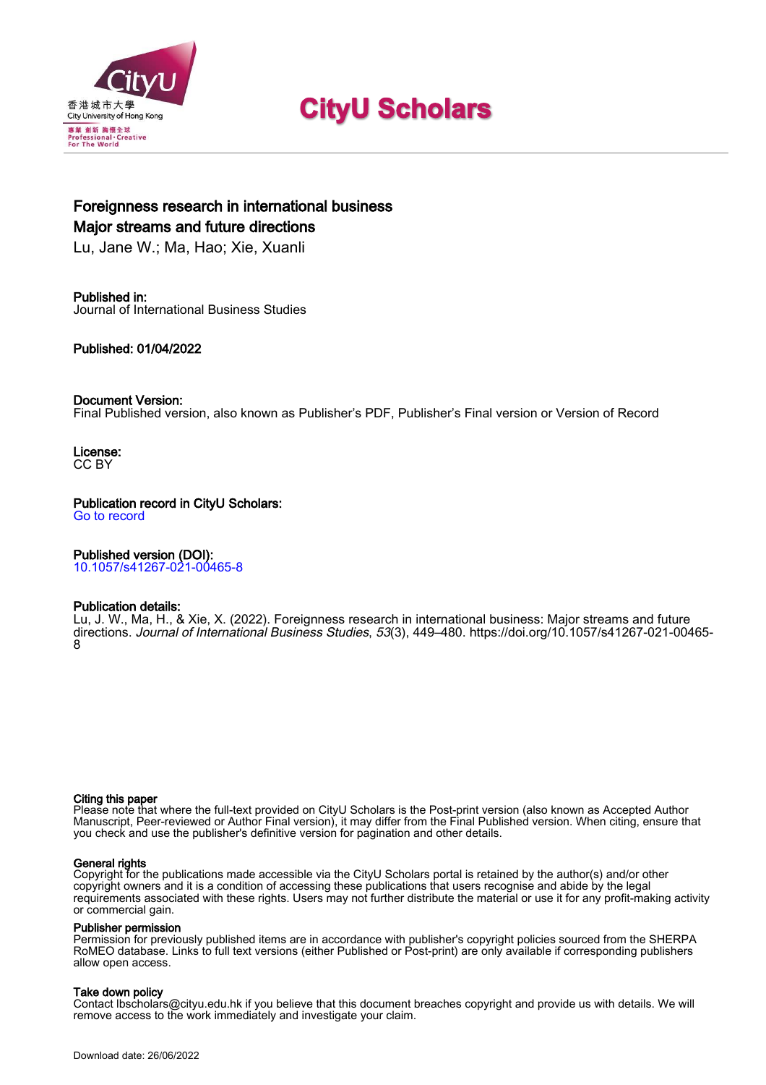

# **CityU Scholars**

## Foreignness research in international business Major streams and future directions

Lu, Jane W.; Ma, Hao; Xie, Xuanli

## Published in:

Journal of International Business Studies

Published: 01/04/2022

## Document Version:

Final Published version, also known as Publisher's PDF, Publisher's Final version or Version of Record

License: CC BY

## Publication record in CityU Scholars:

[Go to record](https://scholars.cityu.edu.hk/en/publications/foreignness-research-in-international-business(e9dfae7e-0b63-42f8-b3f0-939c0ba57a24).html)

## Published version (DOI):

[10.1057/s41267-021-00465-8](https://doi.org/10.1057/s41267-021-00465-8)

## Publication details:

[Lu, J. W.](https://scholars.cityu.edu.hk/en/persons/jane-lu(adec9a0e-c8b4-4f74-9e62-11998bf39957).html), Ma, H., & Xie, X. (2022). [Foreignness research in international business: Major streams and future](https://scholars.cityu.edu.hk/en/publications/foreignness-research-in-international-business(e9dfae7e-0b63-42f8-b3f0-939c0ba57a24).html) [directions.](https://scholars.cityu.edu.hk/en/publications/foreignness-research-in-international-business(e9dfae7e-0b63-42f8-b3f0-939c0ba57a24).html) [Journal of International Business Studies](https://scholars.cityu.edu.hk/en/journals/journal-of-international-business-studies(929e3020-e41a-4a41-877a-a09a20f0e611)/publications.html), 53(3), 449–480. [https://doi.org/10.1057/s41267-021-00465-](https://doi.org/10.1057/s41267-021-00465-8) [8](https://doi.org/10.1057/s41267-021-00465-8)

#### Citing this paper

Please note that where the full-text provided on CityU Scholars is the Post-print version (also known as Accepted Author Manuscript, Peer-reviewed or Author Final version), it may differ from the Final Published version. When citing, ensure that you check and use the publisher's definitive version for pagination and other details.

#### General rights

Copyright for the publications made accessible via the CityU Scholars portal is retained by the author(s) and/or other copyright owners and it is a condition of accessing these publications that users recognise and abide by the legal requirements associated with these rights. Users may not further distribute the material or use it for any profit-making activity or commercial gain.

#### Publisher permission

Permission for previously published items are in accordance with publisher's copyright policies sourced from the SHERPA RoMEO database. Links to full text versions (either Published or Post-print) are only available if corresponding publishers allow open access.

## Take down policy

Contact lbscholars@cityu.edu.hk if you believe that this document breaches copyright and provide us with details. We will remove access to the work immediately and investigate your claim.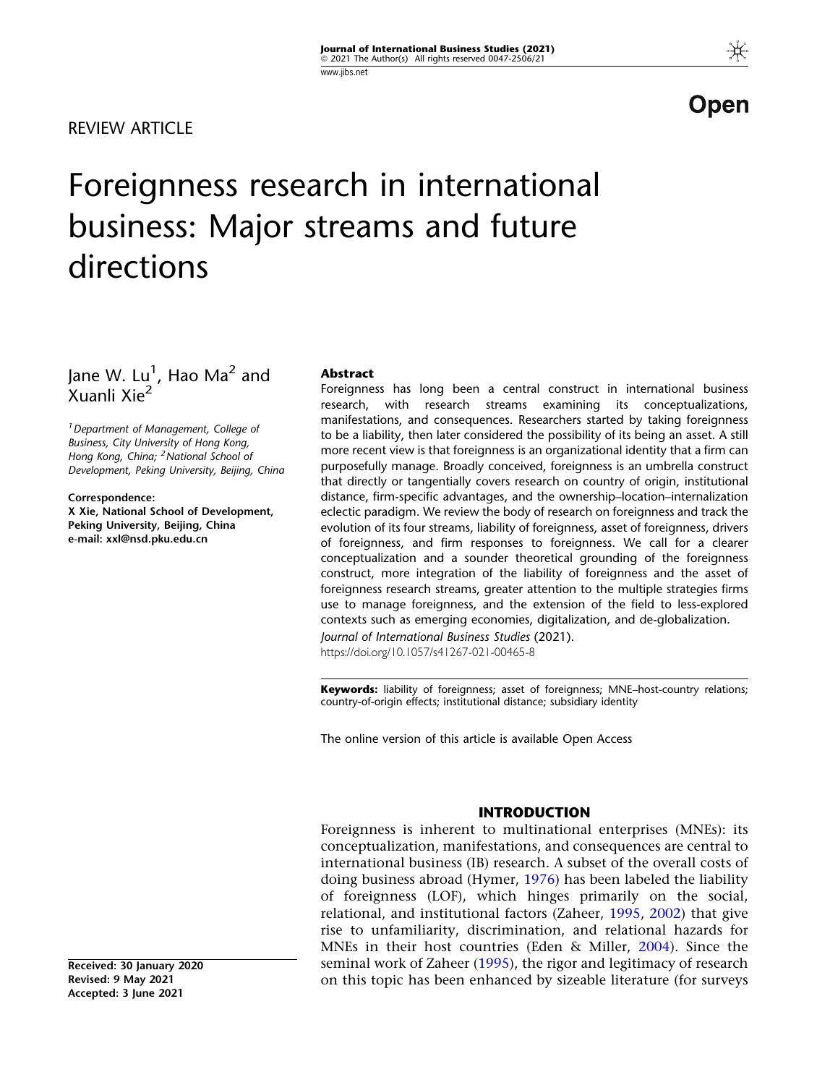REVIEW ARTICLE

## Open

# Foreignness research in international business: Major streams and future directions

Jane W. Lu<sup>1</sup>, Hao Ma<sup>2</sup> and Xuanli Xie<sup>2</sup>

<sup>1</sup> Department of Management, College of Business, City University of Hong Kong, Hong Kong, China; <sup>2</sup>National School of Development, Peking University, Beijing, China

Correspondence: X Xie, National School of Development, Peking University, Beijing, China e-mail: xxl@nsd.pku.edu.cn

Abstract

Foreignness has long been a central construct in international business research, with research streams examining its conceptualizations, manifestations, and consequences. Researchers started by taking foreignness to be a liability, then later considered the possibility of its being an asset. A still more recent view is that foreignness is an organizational identity that a firm can purposefully manage. Broadly conceived, foreignness is an umbrella construct that directly or tangentially covers research on country of origin, institutional distance, firm-specific advantages, and the ownership–location–internalization eclectic paradigm. We review the body of research on foreignness and track the evolution of its four streams, liability of foreignness, asset of foreignness, drivers of foreignness, and firm responses to foreignness. We call for a clearer conceptualization and a sounder theoretical grounding of the foreignness construct, more integration of the liability of foreignness and the asset of foreignness research streams, greater attention to the multiple strategies firms use to manage foreignness, and the extension of the field to less-explored contexts such as emerging economies, digitalization, and de-globalization.

Journal of International Business Studies (2021). https://doi.org/10.1057/s41267-021-00465-8

Keywords: liability of foreignness; asset of foreignness; MNE-host-country relations; country-of-origin effects; institutional distance; subsidiary identity

The online version of this article is available Open Access

## INTRODUCTION

Foreignness is inherent to multinational enterprises (MNEs): its conceptualization, manifestations, and consequences are central to international business (IB) research. A subset of the overall costs of doing business abroad (Hymer, [1976\)](#page-22-0) has been labeled the liability of foreignness (LOF), which hinges primarily on the social, relational, and institutional factors (Zaheer, [1995](#page-25-0), [2002\)](#page-25-0) that give rise to unfamiliarity, discrimination, and relational hazards for MNEs in their host countries (Eden & Miller, [2004\)](#page-21-0). Since the seminal work of Zaheer ([1995\)](#page-25-0), the rigor and legitimacy of research on this topic has been enhanced by sizeable literature (for surveys

Received: 30 January 2020 Revised: 9 May 2021 Accepted: 3 June 2021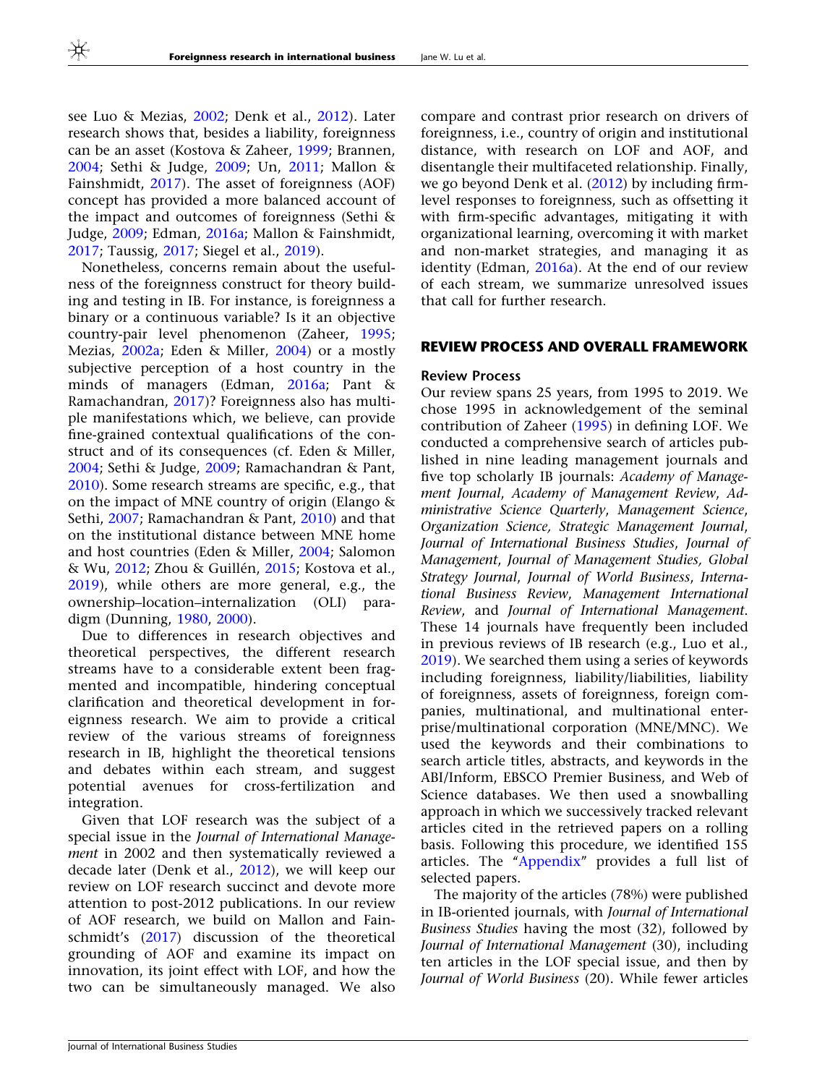see Luo & Mezias, [2002;](#page-23-0) Denk et al., [2012](#page-21-0)). Later research shows that, besides a liability, foreignness can be an asset (Kostova & Zaheer, [1999;](#page-22-0) Brannen, [2004;](#page-20-0) Sethi & Judge, [2009;](#page-24-0) Un, [2011](#page-25-0); Mallon & Fainshmidt, [2017](#page-23-0)). The asset of foreignness (AOF) concept has provided a more balanced account of the impact and outcomes of foreignness (Sethi & Judge, [2009;](#page-24-0) Edman, [2016a](#page-21-0); Mallon & Fainshmidt, [2017;](#page-23-0) Taussig, [2017;](#page-25-0) Siegel et al., [2019](#page-24-0)).

Nonetheless, concerns remain about the usefulness of the foreignness construct for theory building and testing in IB. For instance, is foreignness a binary or a continuous variable? Is it an objective country-pair level phenomenon (Zaheer, [1995;](#page-25-0) Mezias, [2002a;](#page-23-0) Eden & Miller, [2004\)](#page-21-0) or a mostly subjective perception of a host country in the minds of managers (Edman, [2016a](#page-21-0); Pant & Ramachandran, [2017](#page-23-0))? Foreignness also has multiple manifestations which, we believe, can provide fine-grained contextual qualifications of the construct and of its consequences (cf. Eden & Miller, [2004;](#page-21-0) Sethi & Judge, [2009;](#page-24-0) Ramachandran & Pant, [2010\)](#page-24-0). Some research streams are specific, e.g., that on the impact of MNE country of origin (Elango & Sethi, [2007;](#page-21-0) Ramachandran & Pant, [2010](#page-24-0)) and that on the institutional distance between MNE home and host countries (Eden & Miller, [2004;](#page-21-0) Salomon & Wu, [2012;](#page-24-0) Zhou & Guillén, [2015;](#page-25-0) Kostova et al., [2019\)](#page-22-0), while others are more general, e.g., the ownership–location–internalization (OLI) paradigm (Dunning, [1980,](#page-21-0) [2000\)](#page-21-0).

Due to differences in research objectives and theoretical perspectives, the different research streams have to a considerable extent been fragmented and incompatible, hindering conceptual clarification and theoretical development in foreignness research. We aim to provide a critical review of the various streams of foreignness research in IB, highlight the theoretical tensions and debates within each stream, and suggest potential avenues for cross-fertilization and integration.

Given that LOF research was the subject of a special issue in the Journal of International Management in 2002 and then systematically reviewed a decade later (Denk et al., [2012\)](#page-21-0), we will keep our review on LOF research succinct and devote more attention to post-2012 publications. In our review of AOF research, we build on Mallon and Fainschmidt's [\(2017](#page-23-0)) discussion of the theoretical grounding of AOF and examine its impact on innovation, its joint effect with LOF, and how the two can be simultaneously managed. We also

compare and contrast prior research on drivers of foreignness, i.e., country of origin and institutional distance, with research on LOF and AOF, and disentangle their multifaceted relationship. Finally, we go beyond Denk et al. [\(2012](#page-21-0)) by including firmlevel responses to foreignness, such as offsetting it with firm-specific advantages, mitigating it with organizational learning, overcoming it with market and non-market strategies, and managing it as identity (Edman, [2016a](#page-21-0)). At the end of our review of each stream, we summarize unresolved issues that call for further research.

## REVIEW PROCESS AND OVERALL FRAMEWORK

#### Review Process

Our review spans 25 years, from 1995 to 2019. We chose 1995 in acknowledgement of the seminal contribution of Zaheer [\(1995](#page-25-0)) in defining LOF. We conducted a comprehensive search of articles published in nine leading management journals and five top scholarly IB journals: Academy of Management Journal, Academy of Management Review, Administrative Science Quarterly, Management Science, Organization Science, Strategic Management Journal, Journal of International Business Studies, Journal of Management, Journal of Management Studies, Global Strategy Journal, Journal of World Business, International Business Review, Management International Review, and Journal of International Management. These 14 journals have frequently been included in previous reviews of IB research (e.g., Luo et al., [2019\)](#page-23-0). We searched them using a series of keywords including foreignness, liability/liabilities, liability of foreignness, assets of foreignness, foreign companies, multinational, and multinational enterprise/multinational corporation (MNE/MNC). We used the keywords and their combinations to search article titles, abstracts, and keywords in the ABI/Inform, EBSCO Premier Business, and Web of Science databases. We then used a snowballing approach in which we successively tracked relevant articles cited in the retrieved papers on a rolling basis. Following this procedure, we identified 155 articles. The "Appendix" provides a full list of selected papers.

The majority of the articles (78%) were published in IB-oriented journals, with Journal of International Business Studies having the most (32), followed by Journal of International Management (30), including ten articles in the LOF special issue, and then by Journal of World Business (20). While fewer articles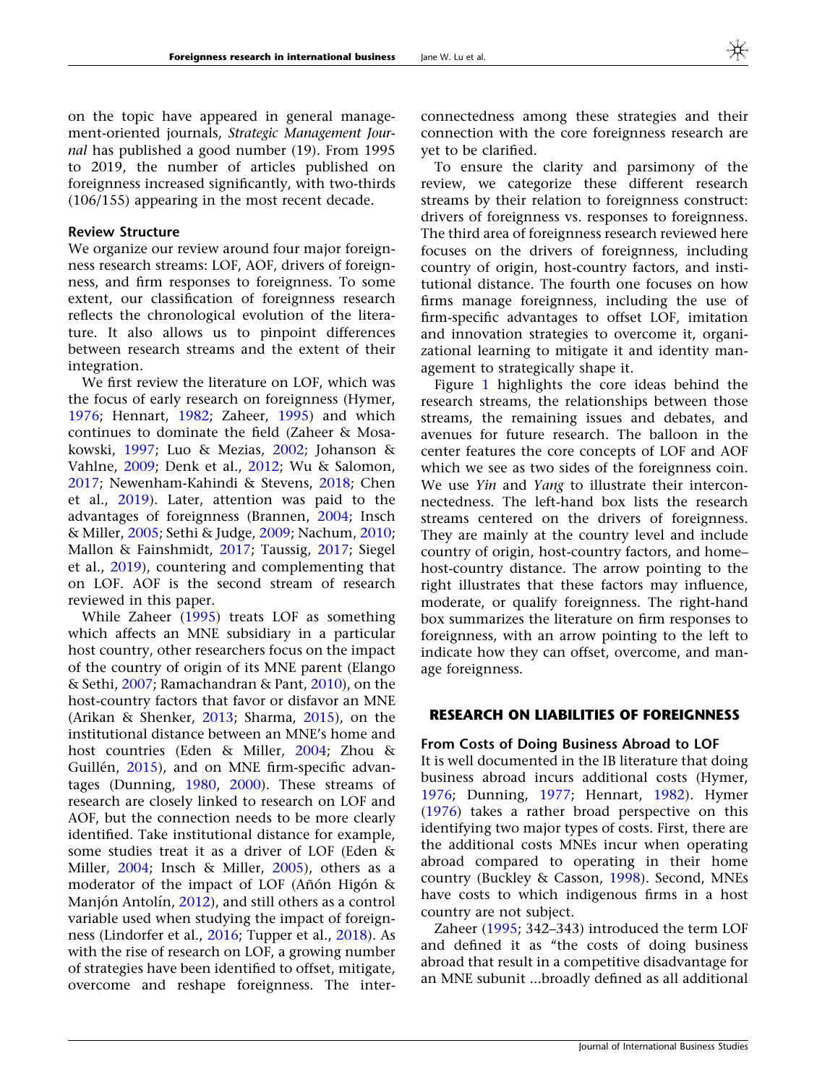on the topic have appeared in general management-oriented journals, Strategic Management Journal has published a good number (19). From 1995 to 2019, the number of articles published on foreignness increased significantly, with two-thirds (106/155) appearing in the most recent decade.

#### Review Structure

We organize our review around four major foreignness research streams: LOF, AOF, drivers of foreignness, and firm responses to foreignness. To some extent, our classification of foreignness research reflects the chronological evolution of the literature. It also allows us to pinpoint differences between research streams and the extent of their integration.

We first review the literature on LOF, which was the focus of early research on foreignness (Hymer, [1976;](#page-22-0) Hennart, [1982;](#page-22-0) Zaheer, [1995](#page-25-0)) and which continues to dominate the field (Zaheer & Mosakowski, [1997](#page-25-0); Luo & Mezias, [2002;](#page-23-0) Johanson & Vahlne, [2009](#page-22-0); Denk et al., [2012;](#page-21-0) Wu & Salomon, [2017;](#page-25-0) Newenham-Kahindi & Stevens, [2018;](#page-23-0) Chen et al., [2019\)](#page-21-0). Later, attention was paid to the advantages of foreignness (Brannen, [2004](#page-20-0); Insch & Miller, [2005](#page-22-0); Sethi & Judge, [2009;](#page-24-0) Nachum, [2010;](#page-23-0) Mallon & Fainshmidt, [2017](#page-23-0); Taussig, [2017](#page-25-0); Siegel et al., [2019](#page-24-0)), countering and complementing that on LOF. AOF is the second stream of research reviewed in this paper.

While Zaheer ([1995\)](#page-25-0) treats LOF as something which affects an MNE subsidiary in a particular host country, other researchers focus on the impact of the country of origin of its MNE parent (Elango & Sethi, [2007;](#page-21-0) Ramachandran & Pant, [2010\)](#page-24-0), on the host-country factors that favor or disfavor an MNE (Arikan & Shenker, [2013](#page-20-0); Sharma, [2015](#page-24-0)), on the institutional distance between an MNE's home and host countries (Eden & Miller, [2004](#page-21-0); Zhou & Guillén, [2015](#page-25-0)), and on MNE firm-specific advantages (Dunning, [1980,](#page-21-0) [2000](#page-21-0)). These streams of research are closely linked to research on LOF and AOF, but the connection needs to be more clearly identified. Take institutional distance for example, some studies treat it as a driver of LOF (Eden & Miller, [2004;](#page-21-0) Insch & Miller, [2005\)](#page-22-0), others as a moderator of the impact of LOF (Añón Higón  $\&$ Manjón Antolín, [2012\)](#page-20-0), and still others as a control variable used when studying the impact of foreignness (Lindorfer et al., [2016](#page-22-0); Tupper et al., [2018\)](#page-25-0). As with the rise of research on LOF, a growing number of strategies have been identified to offset, mitigate, overcome and reshape foreignness. The interconnectedness among these strategies and their connection with the core foreignness research are yet to be clarified.

To ensure the clarity and parsimony of the review, we categorize these different research streams by their relation to foreignness construct: drivers of foreignness vs. responses to foreignness. The third area of foreignness research reviewed here focuses on the drivers of foreignness, including country of origin, host-country factors, and institutional distance. The fourth one focuses on how firms manage foreignness, including the use of firm-specific advantages to offset LOF, imitation and innovation strategies to overcome it, organizational learning to mitigate it and identity management to strategically shape it.

Figure [1](#page-4-0) highlights the core ideas behind the research streams, the relationships between those streams, the remaining issues and debates, and avenues for future research. The balloon in the center features the core concepts of LOF and AOF which we see as two sides of the foreignness coin. We use Yin and Yang to illustrate their interconnectedness. The left-hand box lists the research streams centered on the drivers of foreignness. They are mainly at the country level and include country of origin, host-country factors, and home– host-country distance. The arrow pointing to the right illustrates that these factors may influence, moderate, or qualify foreignness. The right-hand box summarizes the literature on firm responses to foreignness, with an arrow pointing to the left to indicate how they can offset, overcome, and manage foreignness.

#### RESEARCH ON LIABILITIES OF FOREIGNNESS

#### From Costs of Doing Business Abroad to LOF

It is well documented in the IB literature that doing business abroad incurs additional costs (Hymer, [1976;](#page-22-0) Dunning, [1977](#page-21-0); Hennart, [1982\)](#page-22-0). Hymer [\(1976](#page-22-0)) takes a rather broad perspective on this identifying two major types of costs. First, there are the additional costs MNEs incur when operating abroad compared to operating in their home country (Buckley & Casson, [1998](#page-20-0)). Second, MNEs have costs to which indigenous firms in a host country are not subject.

Zaheer ([1995;](#page-25-0) 342–343) introduced the term LOF and defined it as ''the costs of doing business abroad that result in a competitive disadvantage for an MNE subunit ...broadly defined as all additional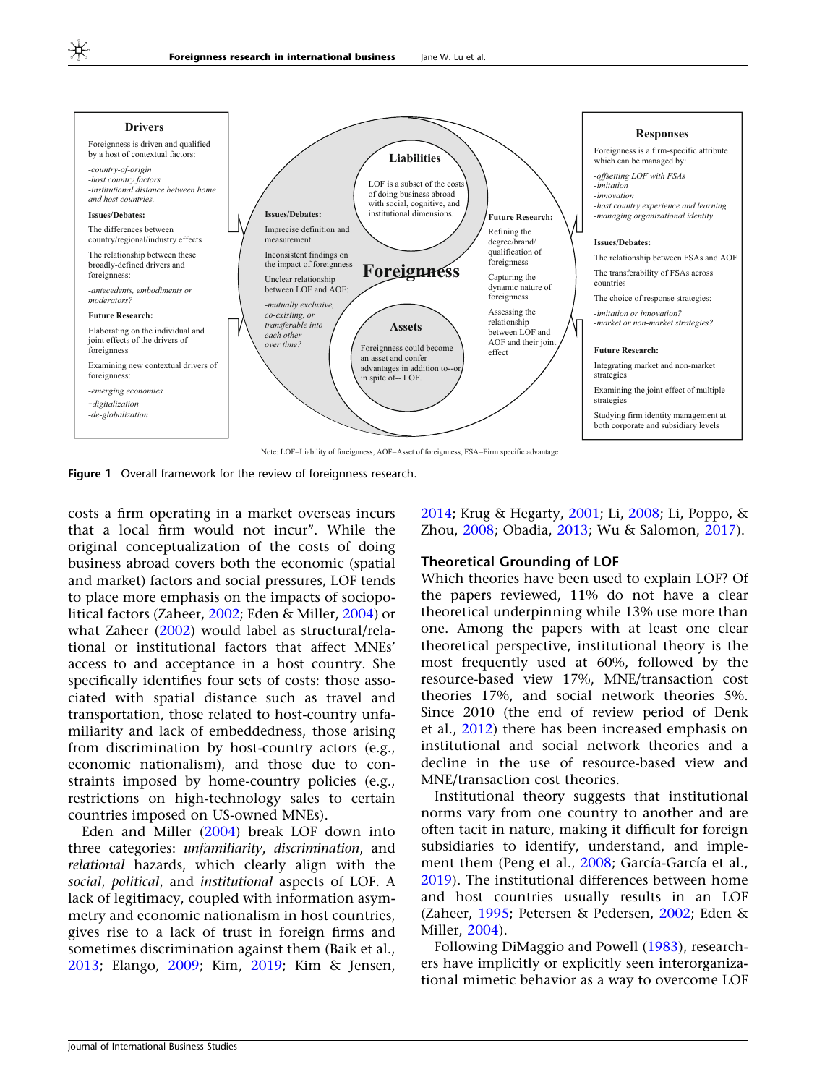<span id="page-4-0"></span>

Note: LOF=Liability of foreignness, AOF=Asset of foreignness, FSA=Firm specific advantage

Figure 1 Overall framework for the review of foreignness research.

costs a firm operating in a market overseas incurs that a local firm would not incur''. While the original conceptualization of the costs of doing business abroad covers both the economic (spatial and market) factors and social pressures, LOF tends to place more emphasis on the impacts of sociopolitical factors (Zaheer, [2002;](#page-25-0) Eden & Miller, [2004\)](#page-21-0) or what Zaheer [\(2002](#page-25-0)) would label as structural/relational or institutional factors that affect MNEs' access to and acceptance in a host country. She specifically identifies four sets of costs: those associated with spatial distance such as travel and transportation, those related to host-country unfamiliarity and lack of embeddedness, those arising from discrimination by host-country actors (e.g., economic nationalism), and those due to constraints imposed by home-country policies (e.g., restrictions on high-technology sales to certain countries imposed on US-owned MNEs).

Eden and Miller ([2004\)](#page-21-0) break LOF down into three categories: unfamiliarity, discrimination, and relational hazards, which clearly align with the social, political, and institutional aspects of LOF. A lack of legitimacy, coupled with information asymmetry and economic nationalism in host countries, gives rise to a lack of trust in foreign firms and sometimes discrimination against them (Baik et al., [2013;](#page-20-0) Elango, [2009](#page-21-0); Kim, [2019;](#page-22-0) Kim & Jensen,

[2014;](#page-22-0) Krug & Hegarty, [2001](#page-22-0); Li, [2008](#page-22-0); Li, Poppo, & Zhou, [2008;](#page-22-0) Obadia, [2013](#page-23-0); Wu & Salomon, [2017\)](#page-25-0).

## Theoretical Grounding of LOF

Which theories have been used to explain LOF? Of the papers reviewed, 11% do not have a clear theoretical underpinning while 13% use more than one. Among the papers with at least one clear theoretical perspective, institutional theory is the most frequently used at 60%, followed by the resource-based view 17%, MNE/transaction cost theories 17%, and social network theories 5%. Since 2010 (the end of review period of Denk et al., [2012](#page-21-0)) there has been increased emphasis on institutional and social network theories and a decline in the use of resource-based view and MNE/transaction cost theories.

Institutional theory suggests that institutional norms vary from one country to another and are often tacit in nature, making it difficult for foreign subsidiaries to identify, understand, and imple-ment them (Peng et al., [2008](#page-23-0); García-García et al., [2019\)](#page-21-0). The institutional differences between home and host countries usually results in an LOF (Zaheer, [1995](#page-25-0); Petersen & Pedersen, [2002;](#page-24-0) Eden & Miller, [2004\)](#page-21-0).

Following DiMaggio and Powell ([1983\)](#page-21-0), researchers have implicitly or explicitly seen interorganizational mimetic behavior as a way to overcome LOF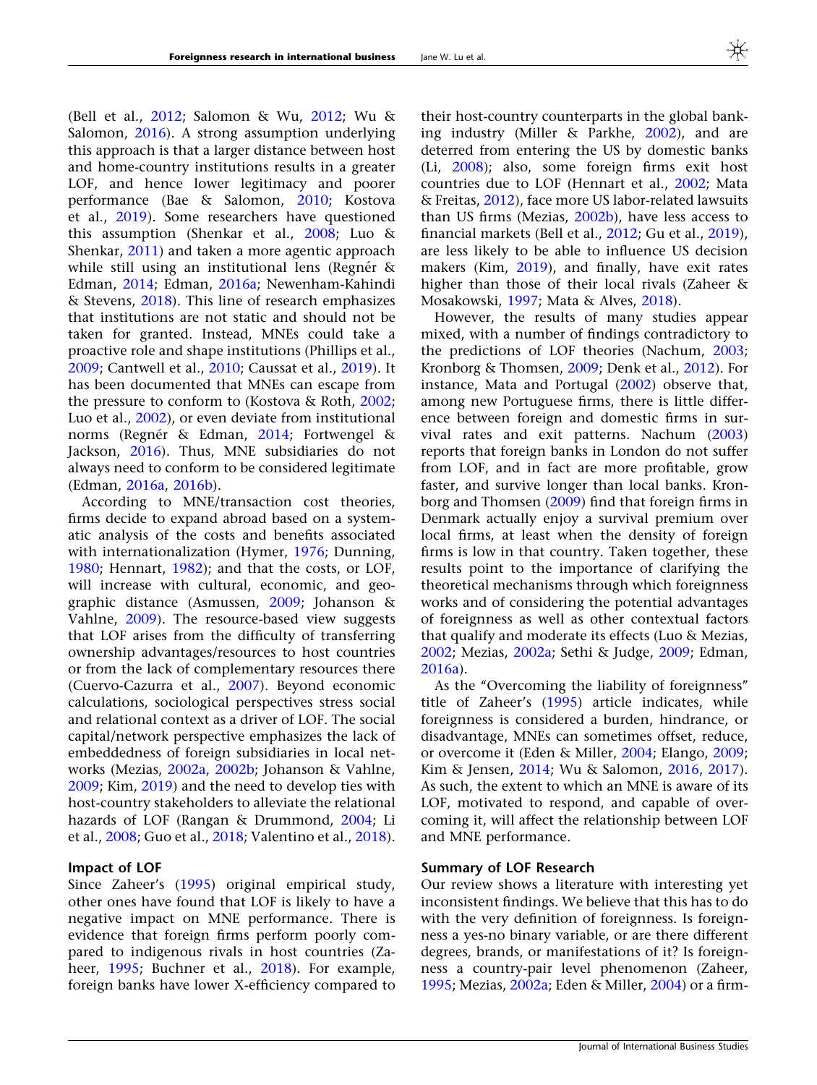(Bell et al., [2012;](#page-20-0) Salomon & Wu, [2012;](#page-24-0) Wu & Salomon, [2016](#page-25-0)). A strong assumption underlying this approach is that a larger distance between host and home-country institutions results in a greater LOF, and hence lower legitimacy and poorer performance (Bae & Salomon, [2010;](#page-20-0) Kostova et al., [2019](#page-22-0)). Some researchers have questioned this assumption (Shenkar et al., [2008;](#page-24-0) Luo & Shenkar, [2011](#page-23-0)) and taken a more agentic approach while still using an institutional lens (Regnér  $\&$ Edman, [2014](#page-24-0); Edman, [2016a](#page-21-0); Newenham-Kahindi & Stevens, [2018\)](#page-23-0). This line of research emphasizes that institutions are not static and should not be taken for granted. Instead, MNEs could take a proactive role and shape institutions (Phillips et al., [2009;](#page-24-0) Cantwell et al., [2010](#page-20-0); Caussat et al., [2019\)](#page-20-0). It has been documented that MNEs can escape from the pressure to conform to (Kostova & Roth, [2002;](#page-22-0) Luo et al., [2002\)](#page-23-0), or even deviate from institutional norms (Regnér & Edman, [2014](#page-24-0); Fortwengel & Jackson, [2016\)](#page-21-0). Thus, MNE subsidiaries do not always need to conform to be considered legitimate (Edman, [2016a](#page-21-0), [2016b](#page-21-0)).

According to MNE/transaction cost theories, firms decide to expand abroad based on a systematic analysis of the costs and benefits associated with internationalization (Hymer, [1976;](#page-22-0) Dunning, [1980;](#page-21-0) Hennart, [1982](#page-22-0)); and that the costs, or LOF, will increase with cultural, economic, and geographic distance (Asmussen, [2009](#page-20-0); Johanson & Vahlne, [2009](#page-22-0)). The resource-based view suggests that LOF arises from the difficulty of transferring ownership advantages/resources to host countries or from the lack of complementary resources there (Cuervo-Cazurra et al., [2007](#page-21-0)). Beyond economic calculations, sociological perspectives stress social and relational context as a driver of LOF. The social capital/network perspective emphasizes the lack of embeddedness of foreign subsidiaries in local networks (Mezias, [2002a](#page-23-0), [2002b;](#page-23-0) Johanson & Vahlne, [2009;](#page-22-0) Kim, [2019](#page-22-0)) and the need to develop ties with host-country stakeholders to alleviate the relational hazards of LOF (Rangan & Drummond, [2004;](#page-24-0) Li et al., [2008;](#page-22-0) Guo et al., [2018;](#page-21-0) Valentino et al., [2018\)](#page-25-0).

#### Impact of LOF

Since Zaheer's [\(1995\)](#page-25-0) original empirical study, other ones have found that LOF is likely to have a negative impact on MNE performance. There is evidence that foreign firms perform poorly compared to indigenous rivals in host countries (Zaheer, [1995;](#page-25-0) Buchner et al., [2018\)](#page-20-0). For example, foreign banks have lower X-efficiency compared to their host-country counterparts in the global banking industry (Miller & Parkhe, [2002](#page-23-0)), and are deterred from entering the US by domestic banks (Li, [2008\)](#page-22-0); also, some foreign firms exit host countries due to LOF (Hennart et al., [2002;](#page-22-0) Mata & Freitas, [2012\)](#page-23-0), face more US labor-related lawsuits than US firms (Mezias, [2002b\)](#page-23-0), have less access to financial markets (Bell et al., [2012](#page-20-0); Gu et al., [2019](#page-21-0)), are less likely to be able to influence US decision makers (Kim, [2019\)](#page-22-0), and finally, have exit rates higher than those of their local rivals (Zaheer & Mosakowski, [1997;](#page-25-0) Mata & Alves, [2018\)](#page-23-0).

However, the results of many studies appear mixed, with a number of findings contradictory to the predictions of LOF theories (Nachum, [2003;](#page-23-0) Kronborg & Thomsen, [2009;](#page-22-0) Denk et al., [2012](#page-21-0)). For instance, Mata and Portugal [\(2002](#page-23-0)) observe that, among new Portuguese firms, there is little difference between foreign and domestic firms in survival rates and exit patterns. Nachum [\(2003](#page-23-0)) reports that foreign banks in London do not suffer from LOF, and in fact are more profitable, grow faster, and survive longer than local banks. Kronborg and Thomsen [\(2009\)](#page-22-0) find that foreign firms in Denmark actually enjoy a survival premium over local firms, at least when the density of foreign firms is low in that country. Taken together, these results point to the importance of clarifying the theoretical mechanisms through which foreignness works and of considering the potential advantages of foreignness as well as other contextual factors that qualify and moderate its effects (Luo & Mezias, [2002;](#page-23-0) Mezias, [2002a](#page-23-0); Sethi & Judge, [2009](#page-24-0); Edman, [2016a\)](#page-21-0).

As the "Overcoming the liability of foreignness" title of Zaheer's [\(1995](#page-25-0)) article indicates, while foreignness is considered a burden, hindrance, or disadvantage, MNEs can sometimes offset, reduce, or overcome it (Eden & Miller, [2004](#page-21-0); Elango, [2009;](#page-21-0) Kim & Jensen, [2014](#page-22-0); Wu & Salomon, [2016,](#page-25-0) [2017](#page-25-0)). As such, the extent to which an MNE is aware of its LOF, motivated to respond, and capable of overcoming it, will affect the relationship between LOF and MNE performance.

#### Summary of LOF Research

Our review shows a literature with interesting yet inconsistent findings. We believe that this has to do with the very definition of foreignness. Is foreignness a yes-no binary variable, or are there different degrees, brands, or manifestations of it? Is foreignness a country-pair level phenomenon (Zaheer, [1995;](#page-25-0) Mezias, [2002a;](#page-23-0) Eden & Miller, [2004](#page-21-0)) or a firm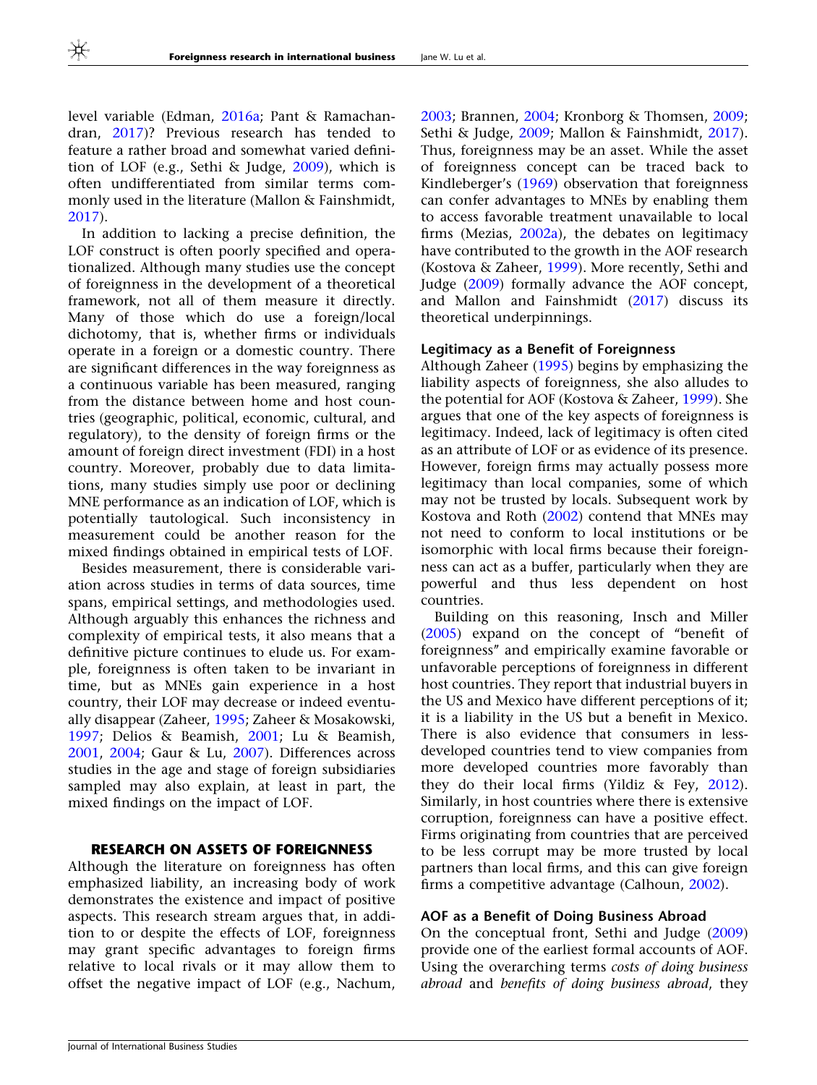level variable (Edman, [2016a;](#page-21-0) Pant & Ramachandran, [2017\)](#page-23-0)? Previous research has tended to feature a rather broad and somewhat varied definition of LOF (e.g., Sethi & Judge, [2009](#page-24-0)), which is often undifferentiated from similar terms commonly used in the literature (Mallon & Fainshmidt, [2017\)](#page-23-0).

In addition to lacking a precise definition, the LOF construct is often poorly specified and operationalized. Although many studies use the concept of foreignness in the development of a theoretical framework, not all of them measure it directly. Many of those which do use a foreign/local dichotomy, that is, whether firms or individuals operate in a foreign or a domestic country. There are significant differences in the way foreignness as a continuous variable has been measured, ranging from the distance between home and host countries (geographic, political, economic, cultural, and regulatory), to the density of foreign firms or the amount of foreign direct investment (FDI) in a host country. Moreover, probably due to data limitations, many studies simply use poor or declining MNE performance as an indication of LOF, which is potentially tautological. Such inconsistency in measurement could be another reason for the mixed findings obtained in empirical tests of LOF.

Besides measurement, there is considerable variation across studies in terms of data sources, time spans, empirical settings, and methodologies used. Although arguably this enhances the richness and complexity of empirical tests, it also means that a definitive picture continues to elude us. For example, foreignness is often taken to be invariant in time, but as MNEs gain experience in a host country, their LOF may decrease or indeed eventually disappear (Zaheer, [1995;](#page-25-0) Zaheer & Mosakowski, [1997;](#page-25-0) Delios & Beamish, [2001;](#page-21-0) Lu & Beamish, [2001,](#page-22-0) [2004;](#page-22-0) Gaur & Lu, [2007\)](#page-21-0). Differences across studies in the age and stage of foreign subsidiaries sampled may also explain, at least in part, the mixed findings on the impact of LOF.

#### RESEARCH ON ASSETS OF FOREIGNNESS

Although the literature on foreignness has often emphasized liability, an increasing body of work demonstrates the existence and impact of positive aspects. This research stream argues that, in addition to or despite the effects of LOF, foreignness may grant specific advantages to foreign firms relative to local rivals or it may allow them to offset the negative impact of LOF (e.g., Nachum,

[2003;](#page-23-0) Brannen, [2004;](#page-20-0) Kronborg & Thomsen, [2009;](#page-22-0) Sethi & Judge, [2009](#page-24-0); Mallon & Fainshmidt, [2017](#page-23-0)). Thus, foreignness may be an asset. While the asset of foreignness concept can be traced back to Kindleberger's ([1969](#page-22-0)) observation that foreignness can confer advantages to MNEs by enabling them to access favorable treatment unavailable to local firms (Mezias,  $2002a$ ), the debates on legitimacy have contributed to the growth in the AOF research (Kostova & Zaheer, [1999](#page-22-0)). More recently, Sethi and Judge [\(2009](#page-24-0)) formally advance the AOF concept, and Mallon and Fainshmidt [\(2017](#page-23-0)) discuss its theoretical underpinnings.

#### Legitimacy as a Benefit of Foreignness

Although Zaheer ([1995\)](#page-25-0) begins by emphasizing the liability aspects of foreignness, she also alludes to the potential for AOF (Kostova & Zaheer, [1999](#page-22-0)). She argues that one of the key aspects of foreignness is legitimacy. Indeed, lack of legitimacy is often cited as an attribute of LOF or as evidence of its presence. However, foreign firms may actually possess more legitimacy than local companies, some of which may not be trusted by locals. Subsequent work by Kostova and Roth ([2002\)](#page-22-0) contend that MNEs may not need to conform to local institutions or be isomorphic with local firms because their foreignness can act as a buffer, particularly when they are powerful and thus less dependent on host countries.

Building on this reasoning, Insch and Miller [\(2005](#page-22-0)) expand on the concept of ''benefit of foreignness'' and empirically examine favorable or unfavorable perceptions of foreignness in different host countries. They report that industrial buyers in the US and Mexico have different perceptions of it; it is a liability in the US but a benefit in Mexico. There is also evidence that consumers in lessdeveloped countries tend to view companies from more developed countries more favorably than they do their local firms (Yildiz & Fey, [2012](#page-25-0)). Similarly, in host countries where there is extensive corruption, foreignness can have a positive effect. Firms originating from countries that are perceived to be less corrupt may be more trusted by local partners than local firms, and this can give foreign firms a competitive advantage (Calhoun, [2002](#page-20-0)).

#### AOF as a Benefit of Doing Business Abroad

On the conceptual front, Sethi and Judge [\(2009](#page-24-0)) provide one of the earliest formal accounts of AOF. Using the overarching terms costs of doing business abroad and benefits of doing business abroad, they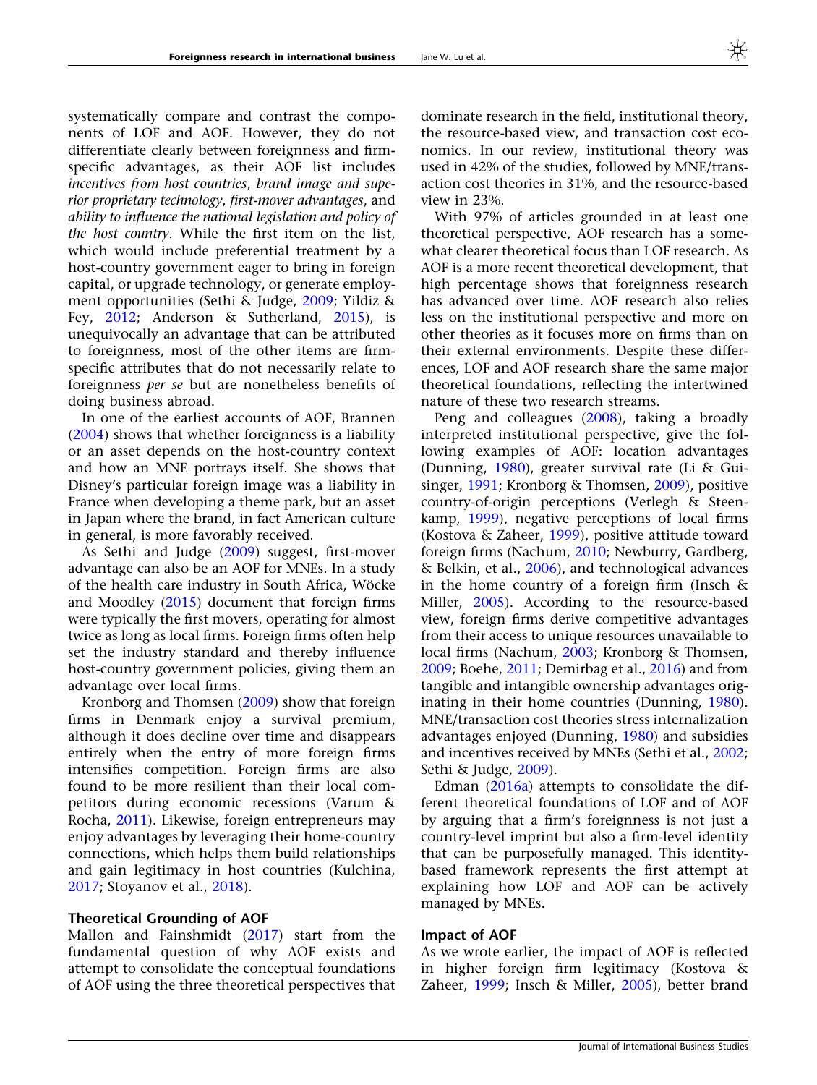systematically compare and contrast the components of LOF and AOF. However, they do not differentiate clearly between foreignness and firmspecific advantages, as their AOF list includes incentives from host countries, brand image and superior proprietary technology, first-mover advantages, and ability to influence the national legislation and policy of the host country. While the first item on the list, which would include preferential treatment by a host-country government eager to bring in foreign capital, or upgrade technology, or generate employment opportunities (Sethi & Judge, [2009](#page-24-0); Yildiz & Fey, [2012;](#page-25-0) Anderson & Sutherland, [2015](#page-20-0)), is unequivocally an advantage that can be attributed to foreignness, most of the other items are firmspecific attributes that do not necessarily relate to foreignness per se but are nonetheless benefits of doing business abroad.

In one of the earliest accounts of AOF, Brannen [\(2004](#page-20-0)) shows that whether foreignness is a liability or an asset depends on the host-country context and how an MNE portrays itself. She shows that Disney's particular foreign image was a liability in France when developing a theme park, but an asset in Japan where the brand, in fact American culture in general, is more favorably received.

As Sethi and Judge [\(2009](#page-24-0)) suggest, first-mover advantage can also be an AOF for MNEs. In a study of the health care industry in South Africa, Wöcke and Moodley ([2015\)](#page-25-0) document that foreign firms were typically the first movers, operating for almost twice as long as local firms. Foreign firms often help set the industry standard and thereby influence host-country government policies, giving them an advantage over local firms.

Kronborg and Thomsen ([2009\)](#page-22-0) show that foreign firms in Denmark enjoy a survival premium, although it does decline over time and disappears entirely when the entry of more foreign firms intensifies competition. Foreign firms are also found to be more resilient than their local competitors during economic recessions (Varum & Rocha, [2011\)](#page-25-0). Likewise, foreign entrepreneurs may enjoy advantages by leveraging their home-country connections, which helps them build relationships and gain legitimacy in host countries (Kulchina, [2017;](#page-22-0) Stoyanov et al., [2018\)](#page-25-0).

## Theoretical Grounding of AOF

Mallon and Fainshmidt [\(2017](#page-23-0)) start from the fundamental question of why AOF exists and attempt to consolidate the conceptual foundations of AOF using the three theoretical perspectives that

dominate research in the field, institutional theory, the resource-based view, and transaction cost economics. In our review, institutional theory was used in 42% of the studies, followed by MNE/transaction cost theories in 31%, and the resource-based view in 23%.

With 97% of articles grounded in at least one theoretical perspective, AOF research has a somewhat clearer theoretical focus than LOF research. As AOF is a more recent theoretical development, that high percentage shows that foreignness research has advanced over time. AOF research also relies less on the institutional perspective and more on other theories as it focuses more on firms than on their external environments. Despite these differences, LOF and AOF research share the same major theoretical foundations, reflecting the intertwined nature of these two research streams.

Peng and colleagues [\(2008](#page-23-0)), taking a broadly interpreted institutional perspective, give the following examples of AOF: location advantages (Dunning, [1980](#page-21-0)), greater survival rate (Li & Guisinger, [1991;](#page-22-0) Kronborg & Thomsen, [2009\)](#page-22-0), positive country-of-origin perceptions (Verlegh & Steenkamp, [1999](#page-25-0)), negative perceptions of local firms (Kostova & Zaheer, [1999](#page-22-0)), positive attitude toward foreign firms (Nachum, [2010](#page-23-0); Newburry, Gardberg, & Belkin, et al., [2006](#page-23-0)), and technological advances in the home country of a foreign firm (Insch & Miller, [2005](#page-22-0)). According to the resource-based view, foreign firms derive competitive advantages from their access to unique resources unavailable to local firms (Nachum, [2003](#page-23-0); Kronborg & Thomsen, [2009;](#page-22-0) Boehe, [2011](#page-20-0); Demirbag et al., [2016\)](#page-21-0) and from tangible and intangible ownership advantages originating in their home countries (Dunning, [1980](#page-21-0)). MNE/transaction cost theories stress internalization advantages enjoyed (Dunning, [1980\)](#page-21-0) and subsidies and incentives received by MNEs (Sethi et al., [2002;](#page-24-0) Sethi & Judge, [2009](#page-24-0)).

Edman ([2016a](#page-21-0)) attempts to consolidate the different theoretical foundations of LOF and of AOF by arguing that a firm's foreignness is not just a country-level imprint but also a firm-level identity that can be purposefully managed. This identitybased framework represents the first attempt at explaining how LOF and AOF can be actively managed by MNEs.

#### Impact of AOF

As we wrote earlier, the impact of AOF is reflected in higher foreign firm legitimacy (Kostova & Zaheer, [1999](#page-22-0); Insch & Miller, [2005\)](#page-22-0), better brand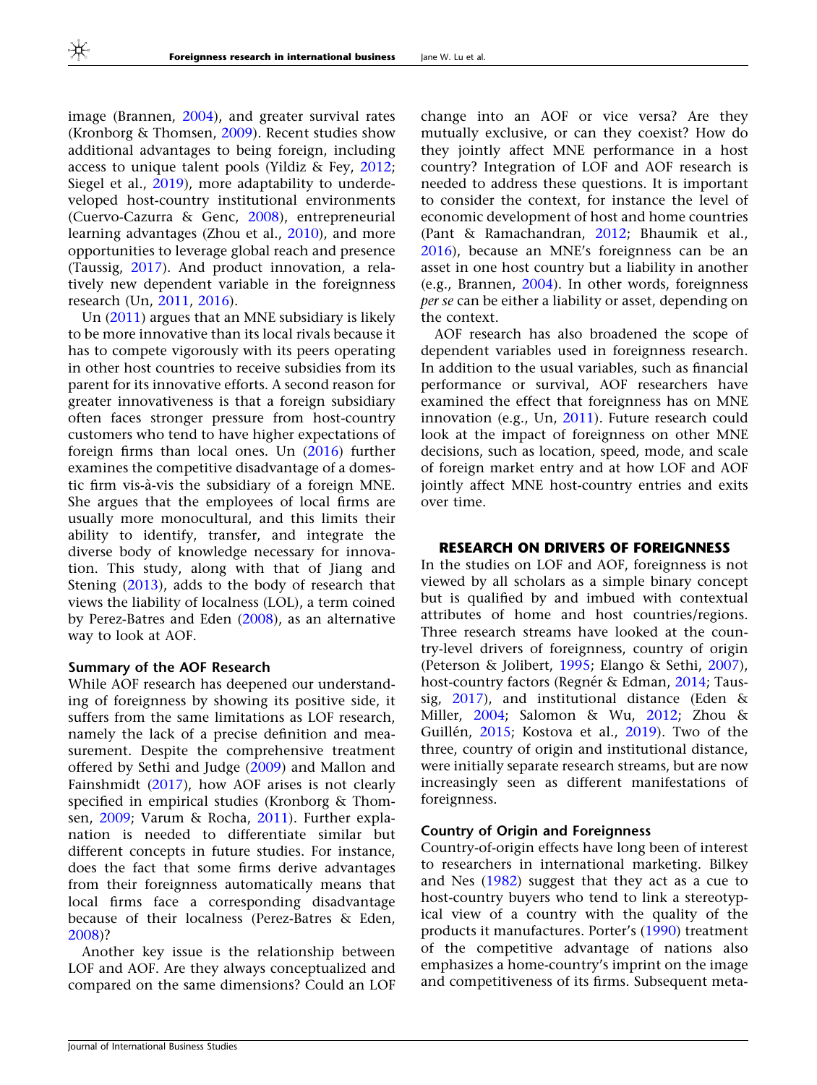image (Brannen, [2004\)](#page-20-0), and greater survival rates (Kronborg & Thomsen, [2009](#page-22-0)). Recent studies show additional advantages to being foreign, including access to unique talent pools (Yildiz & Fey, [2012;](#page-25-0) Siegel et al., [2019](#page-24-0)), more adaptability to underdeveloped host-country institutional environments (Cuervo-Cazurra & Genc, [2008\)](#page-21-0), entrepreneurial learning advantages (Zhou et al., [2010](#page-25-0)), and more opportunities to leverage global reach and presence (Taussig, [2017](#page-25-0)). And product innovation, a relatively new dependent variable in the foreignness research (Un, [2011](#page-25-0), [2016](#page-25-0)).

Un [\(2011](#page-25-0)) argues that an MNE subsidiary is likely to be more innovative than its local rivals because it has to compete vigorously with its peers operating in other host countries to receive subsidies from its parent for its innovative efforts. A second reason for greater innovativeness is that a foreign subsidiary often faces stronger pressure from host-country customers who tend to have higher expectations of foreign firms than local ones. Un [\(2016](#page-25-0)) further examines the competitive disadvantage of a domestic firm vis-à-vis the subsidiary of a foreign MNE. She argues that the employees of local firms are usually more monocultural, and this limits their ability to identify, transfer, and integrate the diverse body of knowledge necessary for innovation. This study, along with that of Jiang and Stening ([2013\)](#page-22-0), adds to the body of research that views the liability of localness (LOL), a term coined by Perez-Batres and Eden  $(2008)$  $(2008)$ , as an alternative way to look at AOF.

#### Summary of the AOF Research

While AOF research has deepened our understanding of foreignness by showing its positive side, it suffers from the same limitations as LOF research, namely the lack of a precise definition and measurement. Despite the comprehensive treatment offered by Sethi and Judge [\(2009](#page-24-0)) and Mallon and Fainshmidt ([2017\)](#page-23-0), how AOF arises is not clearly specified in empirical studies (Kronborg & Thomsen, [2009](#page-22-0); Varum & Rocha, [2011\)](#page-25-0). Further explanation is needed to differentiate similar but different concepts in future studies. For instance, does the fact that some firms derive advantages from their foreignness automatically means that local firms face a corresponding disadvantage because of their localness (Perez-Batres & Eden, [2008\)](#page-23-0)?

Another key issue is the relationship between LOF and AOF. Are they always conceptualized and compared on the same dimensions? Could an LOF change into an AOF or vice versa? Are they mutually exclusive, or can they coexist? How do they jointly affect MNE performance in a host country? Integration of LOF and AOF research is needed to address these questions. It is important to consider the context, for instance the level of economic development of host and home countries (Pant & Ramachandran, [2012](#page-23-0); Bhaumik et al., [2016\)](#page-20-0), because an MNE's foreignness can be an asset in one host country but a liability in another (e.g., Brannen, [2004](#page-20-0)). In other words, foreignness per se can be either a liability or asset, depending on the context.

AOF research has also broadened the scope of dependent variables used in foreignness research. In addition to the usual variables, such as financial performance or survival, AOF researchers have examined the effect that foreignness has on MNE innovation (e.g., Un, [2011](#page-25-0)). Future research could look at the impact of foreignness on other MNE decisions, such as location, speed, mode, and scale of foreign market entry and at how LOF and AOF jointly affect MNE host-country entries and exits over time.

#### RESEARCH ON DRIVERS OF FOREIGNNESS

In the studies on LOF and AOF, foreignness is not viewed by all scholars as a simple binary concept but is qualified by and imbued with contextual attributes of home and host countries/regions. Three research streams have looked at the country-level drivers of foreignness, country of origin (Peterson & Jolibert, [1995;](#page-24-0) Elango & Sethi, [2007](#page-21-0)), host-country factors (Regnér & Edman, [2014](#page-24-0); Taussig, [2017\)](#page-25-0), and institutional distance (Eden & Miller, [2004](#page-21-0); Salomon & Wu, [2012](#page-24-0); Zhou & Guillén, [2015;](#page-25-0) Kostova et al., [2019\)](#page-22-0). Two of the three, country of origin and institutional distance, were initially separate research streams, but are now increasingly seen as different manifestations of foreignness.

#### Country of Origin and Foreignness

Country-of-origin effects have long been of interest to researchers in international marketing. Bilkey and Nes [\(1982](#page-20-0)) suggest that they act as a cue to host-country buyers who tend to link a stereotypical view of a country with the quality of the products it manufactures. Porter's [\(1990](#page-24-0)) treatment of the competitive advantage of nations also emphasizes a home-country's imprint on the image and competitiveness of its firms. Subsequent meta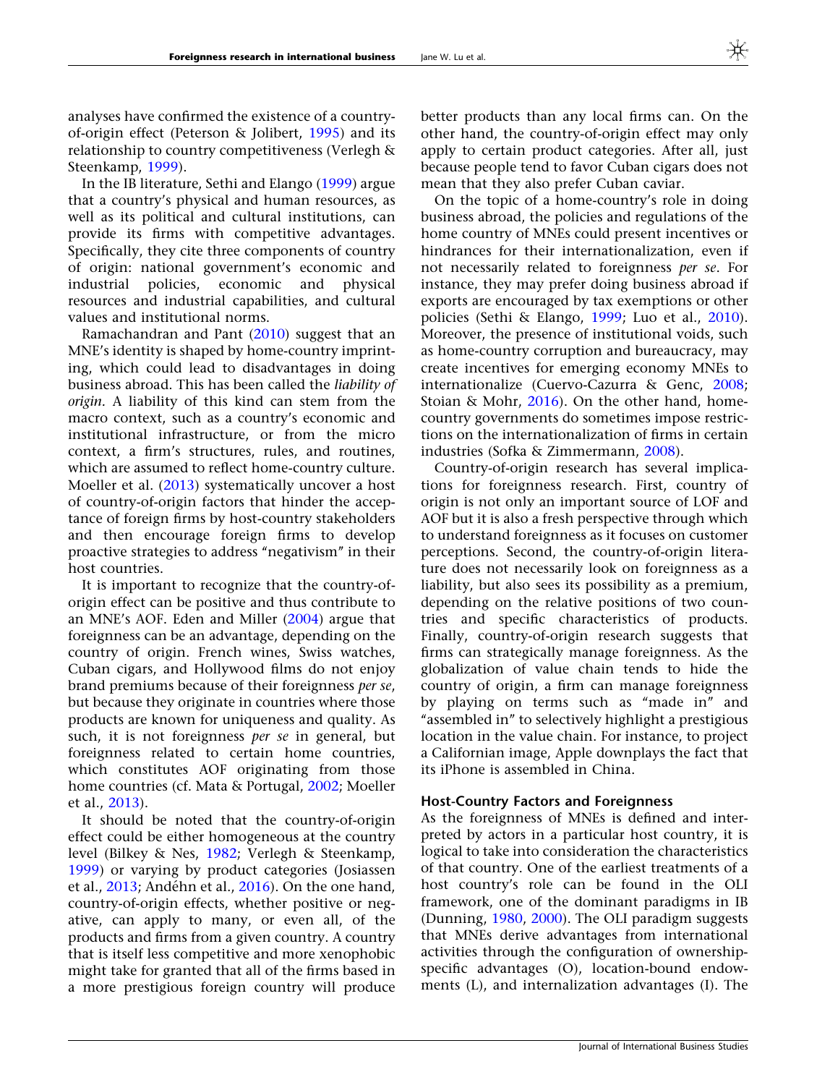analyses have confirmed the existence of a countryof-origin effect (Peterson & Jolibert, [1995\)](#page-24-0) and its relationship to country competitiveness (Verlegh & Steenkamp, [1999](#page-25-0)).

In the IB literature, Sethi and Elango [\(1999\)](#page-24-0) argue that a country's physical and human resources, as well as its political and cultural institutions, can provide its firms with competitive advantages. Specifically, they cite three components of country of origin: national government's economic and industrial policies, economic and physical resources and industrial capabilities, and cultural values and institutional norms.

Ramachandran and Pant ([2010\)](#page-24-0) suggest that an MNE's identity is shaped by home-country imprinting, which could lead to disadvantages in doing business abroad. This has been called the liability of origin. A liability of this kind can stem from the macro context, such as a country's economic and institutional infrastructure, or from the micro context, a firm's structures, rules, and routines, which are assumed to reflect home-country culture. Moeller et al. [\(2013](#page-23-0)) systematically uncover a host of country-of-origin factors that hinder the acceptance of foreign firms by host-country stakeholders and then encourage foreign firms to develop proactive strategies to address ''negativism'' in their host countries.

It is important to recognize that the country-oforigin effect can be positive and thus contribute to an MNE's AOF. Eden and Miller ([2004\)](#page-21-0) argue that foreignness can be an advantage, depending on the country of origin. French wines, Swiss watches, Cuban cigars, and Hollywood films do not enjoy brand premiums because of their foreignness per se, but because they originate in countries where those products are known for uniqueness and quality. As such, it is not foreignness per se in general, but foreignness related to certain home countries, which constitutes AOF originating from those home countries (cf. Mata & Portugal, [2002](#page-23-0); Moeller et al., [2013\)](#page-23-0).

It should be noted that the country-of-origin effect could be either homogeneous at the country level (Bilkey & Nes, [1982;](#page-20-0) Verlegh & Steenkamp, [1999\)](#page-25-0) or varying by product categories (Josiassen et al.,  $2013$ ; Andéhn et al.,  $2016$ ). On the one hand, country-of-origin effects, whether positive or negative, can apply to many, or even all, of the products and firms from a given country. A country that is itself less competitive and more xenophobic might take for granted that all of the firms based in a more prestigious foreign country will produce

better products than any local firms can. On the other hand, the country-of-origin effect may only apply to certain product categories. After all, just because people tend to favor Cuban cigars does not mean that they also prefer Cuban caviar.

On the topic of a home-country's role in doing business abroad, the policies and regulations of the home country of MNEs could present incentives or hindrances for their internationalization, even if not necessarily related to foreignness per se. For instance, they may prefer doing business abroad if exports are encouraged by tax exemptions or other policies (Sethi & Elango, [1999;](#page-24-0) Luo et al., [2010](#page-23-0)). Moreover, the presence of institutional voids, such as home-country corruption and bureaucracy, may create incentives for emerging economy MNEs to internationalize (Cuervo-Cazurra & Genc, [2008;](#page-21-0) Stoian & Mohr, [2016\)](#page-25-0). On the other hand, homecountry governments do sometimes impose restrictions on the internationalization of firms in certain industries (Sofka & Zimmermann, [2008\)](#page-24-0).

Country-of-origin research has several implications for foreignness research. First, country of origin is not only an important source of LOF and AOF but it is also a fresh perspective through which to understand foreignness as it focuses on customer perceptions. Second, the country-of-origin literature does not necessarily look on foreignness as a liability, but also sees its possibility as a premium, depending on the relative positions of two countries and specific characteristics of products. Finally, country-of-origin research suggests that firms can strategically manage foreignness. As the globalization of value chain tends to hide the country of origin, a firm can manage foreignness by playing on terms such as "made in" and "assembled in" to selectively highlight a prestigious location in the value chain. For instance, to project a Californian image, Apple downplays the fact that its iPhone is assembled in China.

#### Host-Country Factors and Foreignness

As the foreignness of MNEs is defined and interpreted by actors in a particular host country, it is logical to take into consideration the characteristics of that country. One of the earliest treatments of a host country's role can be found in the OLI framework, one of the dominant paradigms in IB (Dunning, [1980](#page-21-0), [2000](#page-21-0)). The OLI paradigm suggests that MNEs derive advantages from international activities through the configuration of ownershipspecific advantages (O), location-bound endowments (L), and internalization advantages (I). The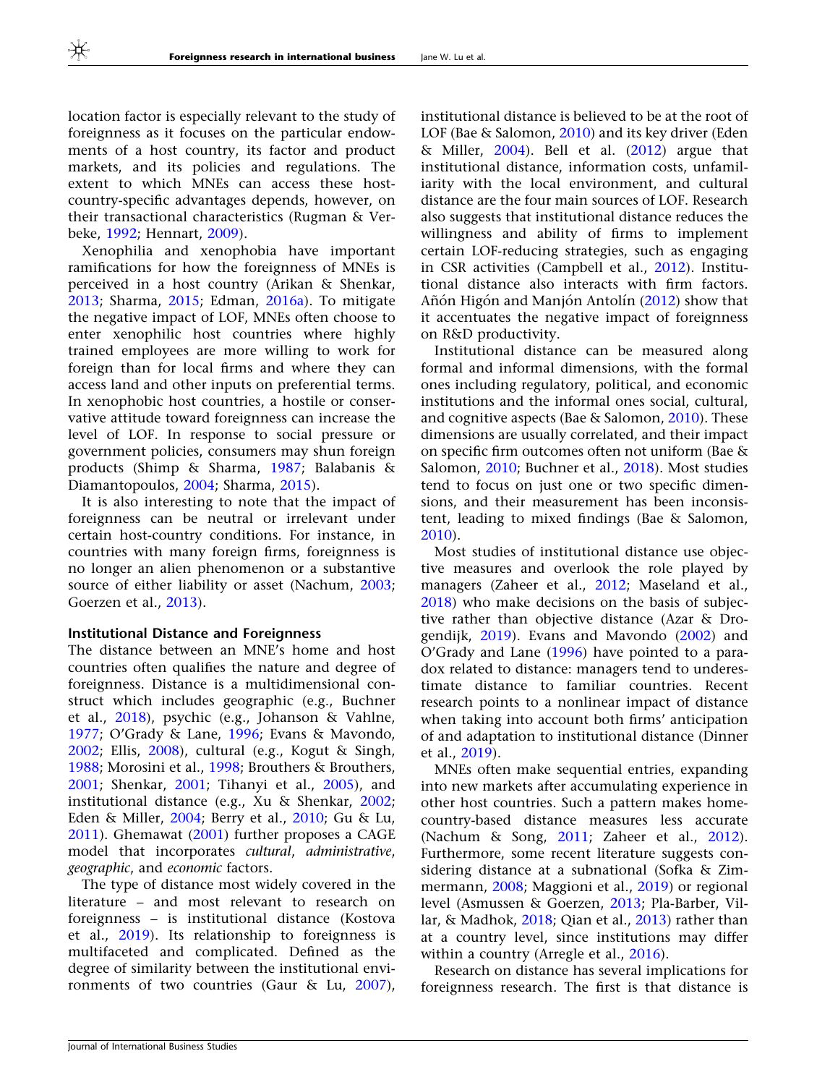location factor is especially relevant to the study of foreignness as it focuses on the particular endowments of a host country, its factor and product markets, and its policies and regulations. The extent to which MNEs can access these hostcountry-specific advantages depends, however, on their transactional characteristics (Rugman & Verbeke, [1992](#page-24-0); Hennart, [2009](#page-22-0)).

Xenophilia and xenophobia have important ramifications for how the foreignness of MNEs is perceived in a host country (Arikan & Shenkar, [2013;](#page-20-0) Sharma, [2015;](#page-24-0) Edman, [2016a\)](#page-21-0). To mitigate the negative impact of LOF, MNEs often choose to enter xenophilic host countries where highly trained employees are more willing to work for foreign than for local firms and where they can access land and other inputs on preferential terms. In xenophobic host countries, a hostile or conservative attitude toward foreignness can increase the level of LOF. In response to social pressure or government policies, consumers may shun foreign products (Shimp & Sharma, [1987;](#page-24-0) Balabanis & Diamantopoulos, [2004;](#page-20-0) Sharma, [2015](#page-24-0)).

It is also interesting to note that the impact of foreignness can be neutral or irrelevant under certain host-country conditions. For instance, in countries with many foreign firms, foreignness is no longer an alien phenomenon or a substantive source of either liability or asset (Nachum, [2003;](#page-23-0) Goerzen et al., [2013](#page-21-0)).

#### Institutional Distance and Foreignness

The distance between an MNE's home and host countries often qualifies the nature and degree of foreignness. Distance is a multidimensional construct which includes geographic (e.g., Buchner et al., [2018\)](#page-20-0), psychic (e.g., Johanson & Vahlne, [1977;](#page-22-0) O'Grady & Lane, [1996](#page-23-0); Evans & Mavondo, [2002;](#page-21-0) Ellis, [2008](#page-21-0)), cultural (e.g., Kogut & Singh, [1988;](#page-22-0) Morosini et al., [1998](#page-23-0); Brouthers & Brouthers, [2001;](#page-20-0) Shenkar, [2001](#page-24-0); Tihanyi et al., [2005](#page-25-0)), and institutional distance (e.g., Xu & Shenkar, [2002;](#page-25-0) Eden & Miller, [2004;](#page-21-0) Berry et al., [2010](#page-20-0); Gu & Lu, [2011\)](#page-21-0). Ghemawat ([2001\)](#page-21-0) further proposes a CAGE model that incorporates cultural, administrative, geographic, and economic factors.

The type of distance most widely covered in the literature – and most relevant to research on foreignness – is institutional distance (Kostova et al., [2019](#page-22-0)). Its relationship to foreignness is multifaceted and complicated. Defined as the degree of similarity between the institutional environments of two countries (Gaur & Lu, [2007\)](#page-21-0),

institutional distance is believed to be at the root of LOF (Bae & Salomon, [2010\)](#page-20-0) and its key driver (Eden  $\&$  Miller, [2004](#page-21-0)). Bell et al. ([2012\)](#page-20-0) argue that institutional distance, information costs, unfamiliarity with the local environment, and cultural distance are the four main sources of LOF. Research also suggests that institutional distance reduces the willingness and ability of firms to implement certain LOF-reducing strategies, such as engaging in CSR activities (Campbell et al., [2012](#page-20-0)). Institutional distance also interacts with firm factors. Añón Higón and Manjón Antolín ([2012\)](#page-20-0) show that it accentuates the negative impact of foreignness on R&D productivity.

Institutional distance can be measured along formal and informal dimensions, with the formal ones including regulatory, political, and economic institutions and the informal ones social, cultural, and cognitive aspects (Bae & Salomon, [2010](#page-20-0)). These dimensions are usually correlated, and their impact on specific firm outcomes often not uniform (Bae & Salomon, [2010;](#page-20-0) Buchner et al., [2018](#page-20-0)). Most studies tend to focus on just one or two specific dimensions, and their measurement has been inconsistent, leading to mixed findings (Bae & Salomon, [2010\)](#page-20-0).

Most studies of institutional distance use objective measures and overlook the role played by managers (Zaheer et al., [2012;](#page-25-0) Maseland et al., [2018\)](#page-23-0) who make decisions on the basis of subjective rather than objective distance (Azar & Drogendijk, [2019](#page-20-0)). Evans and Mavondo ([2002\)](#page-21-0) and O'Grady and Lane [\(1996\)](#page-23-0) have pointed to a paradox related to distance: managers tend to underestimate distance to familiar countries. Recent research points to a nonlinear impact of distance when taking into account both firms' anticipation of and adaptation to institutional distance (Dinner et al., [2019](#page-21-0)).

MNEs often make sequential entries, expanding into new markets after accumulating experience in other host countries. Such a pattern makes homecountry-based distance measures less accurate (Nachum & Song, [2011;](#page-23-0) Zaheer et al., [2012](#page-25-0)). Furthermore, some recent literature suggests considering distance at a subnational (Sofka & Zimmermann, [2008;](#page-24-0) Maggioni et al., [2019\)](#page-23-0) or regional level (Asmussen & Goerzen, [2013;](#page-20-0) Pla-Barber, Villar, & Madhok, [2018](#page-24-0); Qian et al., [2013](#page-24-0)) rather than at a country level, since institutions may differ within a country (Arregle et al., [2016\)](#page-20-0).

Research on distance has several implications for foreignness research. The first is that distance is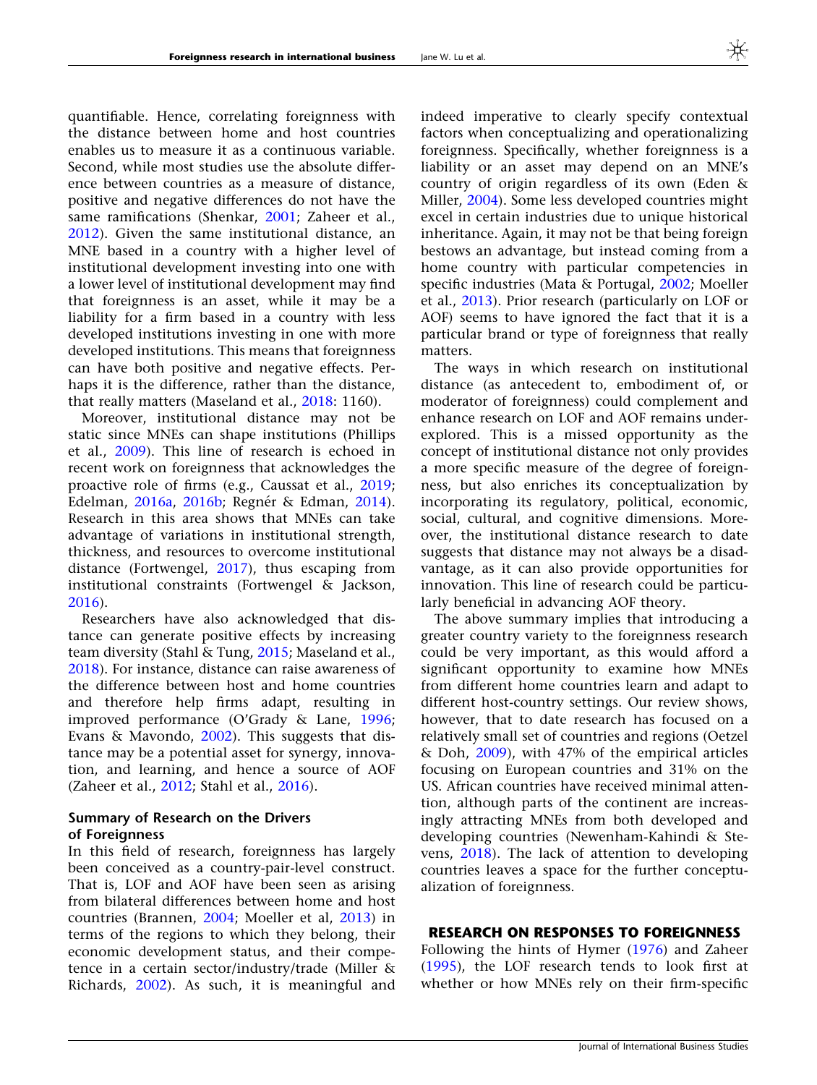quantifiable. Hence, correlating foreignness with the distance between home and host countries enables us to measure it as a continuous variable. Second, while most studies use the absolute difference between countries as a measure of distance, positive and negative differences do not have the same ramifications (Shenkar, [2001](#page-24-0); Zaheer et al., [2012\)](#page-25-0). Given the same institutional distance, an MNE based in a country with a higher level of institutional development investing into one with a lower level of institutional development may find that foreignness is an asset, while it may be a liability for a firm based in a country with less developed institutions investing in one with more developed institutions. This means that foreignness can have both positive and negative effects. Perhaps it is the difference, rather than the distance, that really matters (Maseland et al., [2018:](#page-23-0) 1160).

Moreover, institutional distance may not be static since MNEs can shape institutions (Phillips et al., [2009\)](#page-24-0). This line of research is echoed in recent work on foreignness that acknowledges the proactive role of firms (e.g., Caussat et al., [2019;](#page-20-0) Edelman, [2016a,](#page-21-0) [2016b](#page-21-0); Regnér & Edman, [2014\)](#page-24-0). Research in this area shows that MNEs can take advantage of variations in institutional strength, thickness, and resources to overcome institutional distance (Fortwengel, [2017\)](#page-21-0), thus escaping from institutional constraints (Fortwengel & Jackson, [2016\)](#page-21-0).

Researchers have also acknowledged that distance can generate positive effects by increasing team diversity (Stahl & Tung, [2015;](#page-24-0) Maseland et al., [2018\)](#page-23-0). For instance, distance can raise awareness of the difference between host and home countries and therefore help firms adapt, resulting in improved performance (O'Grady & Lane, [1996;](#page-23-0) Evans & Mavondo, [2002](#page-21-0)). This suggests that distance may be a potential asset for synergy, innovation, and learning, and hence a source of AOF (Zaheer et al., [2012](#page-25-0); Stahl et al., [2016](#page-25-0)).

#### Summary of Research on the Drivers of Foreignness

In this field of research, foreignness has largely been conceived as a country-pair-level construct. That is, LOF and AOF have been seen as arising from bilateral differences between home and host countries (Brannen, [2004](#page-20-0); Moeller et al, [2013\)](#page-23-0) in terms of the regions to which they belong, their economic development status, and their competence in a certain sector/industry/trade (Miller & Richards, [2002\)](#page-23-0). As such, it is meaningful and

indeed imperative to clearly specify contextual factors when conceptualizing and operationalizing foreignness. Specifically, whether foreignness is a liability or an asset may depend on an MNE's country of origin regardless of its own (Eden & Miller, [2004](#page-21-0)). Some less developed countries might excel in certain industries due to unique historical inheritance. Again, it may not be that being foreign bestows an advantage, but instead coming from a home country with particular competencies in specific industries (Mata & Portugal, [2002;](#page-23-0) Moeller et al., [2013](#page-23-0)). Prior research (particularly on LOF or AOF) seems to have ignored the fact that it is a particular brand or type of foreignness that really matters.

The ways in which research on institutional distance (as antecedent to, embodiment of, or moderator of foreignness) could complement and enhance research on LOF and AOF remains underexplored. This is a missed opportunity as the concept of institutional distance not only provides a more specific measure of the degree of foreignness, but also enriches its conceptualization by incorporating its regulatory, political, economic, social, cultural, and cognitive dimensions. Moreover, the institutional distance research to date suggests that distance may not always be a disadvantage, as it can also provide opportunities for innovation. This line of research could be particularly beneficial in advancing AOF theory.

The above summary implies that introducing a greater country variety to the foreignness research could be very important, as this would afford a significant opportunity to examine how MNEs from different home countries learn and adapt to different host-country settings. Our review shows, however, that to date research has focused on a relatively small set of countries and regions (Oetzel & Doh, [2009\)](#page-23-0), with 47% of the empirical articles focusing on European countries and 31% on the US. African countries have received minimal attention, although parts of the continent are increasingly attracting MNEs from both developed and developing countries (Newenham-Kahindi & Stevens, [2018\)](#page-23-0). The lack of attention to developing countries leaves a space for the further conceptualization of foreignness.

#### RESEARCH ON RESPONSES TO FOREIGNNESS

Following the hints of Hymer ([1976\)](#page-22-0) and Zaheer [\(1995](#page-25-0)), the LOF research tends to look first at whether or how MNEs rely on their firm-specific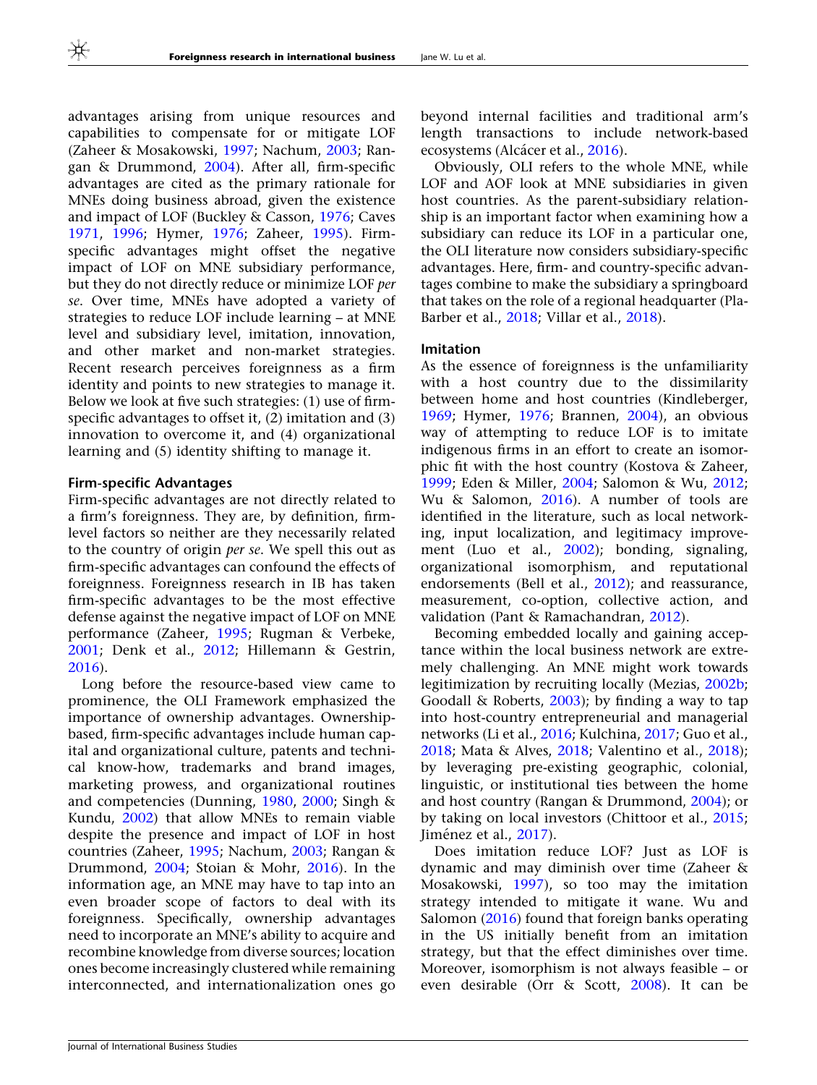advantages arising from unique resources and capabilities to compensate for or mitigate LOF (Zaheer & Mosakowski, [1997](#page-25-0); Nachum, [2003;](#page-23-0) Rangan & Drummond, [2004\)](#page-24-0). After all, firm-specific advantages are cited as the primary rationale for MNEs doing business abroad, given the existence and impact of LOF (Buckley & Casson, [1976;](#page-20-0) Caves [1971,](#page-20-0) [1996;](#page-20-0) Hymer, [1976;](#page-22-0) Zaheer, [1995\)](#page-25-0). Firmspecific advantages might offset the negative impact of LOF on MNE subsidiary performance, but they do not directly reduce or minimize LOF per se. Over time, MNEs have adopted a variety of strategies to reduce LOF include learning – at MNE level and subsidiary level, imitation, innovation, and other market and non-market strategies. Recent research perceives foreignness as a firm identity and points to new strategies to manage it. Below we look at five such strategies: (1) use of firmspecific advantages to offset it, (2) imitation and (3) innovation to overcome it, and (4) organizational learning and (5) identity shifting to manage it.

#### Firm-specific Advantages

Firm-specific advantages are not directly related to a firm's foreignness. They are, by definition, firmlevel factors so neither are they necessarily related to the country of origin per se. We spell this out as firm-specific advantages can confound the effects of foreignness. Foreignness research in IB has taken firm-specific advantages to be the most effective defense against the negative impact of LOF on MNE performance (Zaheer, [1995;](#page-25-0) Rugman & Verbeke, [2001;](#page-24-0) Denk et al., [2012](#page-21-0); Hillemann & Gestrin, [2016\)](#page-22-0).

Long before the resource-based view came to prominence, the OLI Framework emphasized the importance of ownership advantages. Ownershipbased, firm-specific advantages include human capital and organizational culture, patents and technical know-how, trademarks and brand images, marketing prowess, and organizational routines and competencies (Dunning, [1980,](#page-21-0) [2000](#page-21-0); Singh & Kundu, [2002](#page-24-0)) that allow MNEs to remain viable despite the presence and impact of LOF in host countries (Zaheer, [1995](#page-25-0); Nachum, [2003;](#page-23-0) Rangan & Drummond, [2004](#page-24-0); Stoian & Mohr, [2016\)](#page-25-0). In the information age, an MNE may have to tap into an even broader scope of factors to deal with its foreignness. Specifically, ownership advantages need to incorporate an MNE's ability to acquire and recombine knowledge from diverse sources; location ones become increasingly clustered while remaining interconnected, and internationalization ones go

beyond internal facilities and traditional arm's length transactions to include network-based ecosystems (Alcácer et al., [2016](#page-20-0)).

Obviously, OLI refers to the whole MNE, while LOF and AOF look at MNE subsidiaries in given host countries. As the parent-subsidiary relationship is an important factor when examining how a subsidiary can reduce its LOF in a particular one, the OLI literature now considers subsidiary-specific advantages. Here, firm- and country-specific advantages combine to make the subsidiary a springboard that takes on the role of a regional headquarter (Pla-Barber et al., [2018](#page-24-0); Villar et al., [2018\)](#page-25-0).

#### Imitation

As the essence of foreignness is the unfamiliarity with a host country due to the dissimilarity between home and host countries (Kindleberger, [1969;](#page-22-0) Hymer, [1976](#page-22-0); Brannen, [2004](#page-20-0)), an obvious way of attempting to reduce LOF is to imitate indigenous firms in an effort to create an isomorphic fit with the host country (Kostova & Zaheer, [1999;](#page-22-0) Eden & Miller, [2004;](#page-21-0) Salomon & Wu, [2012;](#page-24-0) Wu & Salomon, [2016\)](#page-25-0). A number of tools are identified in the literature, such as local networking, input localization, and legitimacy improvement (Luo et al., [2002\)](#page-23-0); bonding, signaling, organizational isomorphism, and reputational endorsements (Bell et al., [2012](#page-20-0)); and reassurance, measurement, co-option, collective action, and validation (Pant & Ramachandran, [2012\)](#page-23-0).

Becoming embedded locally and gaining acceptance within the local business network are extremely challenging. An MNE might work towards legitimization by recruiting locally (Mezias, [2002b;](#page-23-0) Goodall & Roberts, [2003\)](#page-21-0); by finding a way to tap into host-country entrepreneurial and managerial networks (Li et al., [2016](#page-22-0); Kulchina, [2017;](#page-22-0) Guo et al., [2018;](#page-21-0) Mata & Alves, [2018;](#page-23-0) Valentino et al., [2018](#page-25-0)); by leveraging pre-existing geographic, colonial, linguistic, or institutional ties between the home and host country (Rangan & Drummond, [2004\)](#page-24-0); or by taking on local investors (Chittoor et al., [2015;](#page-21-0) Jiménez et al.,  $2017$ ).

Does imitation reduce LOF? Just as LOF is dynamic and may diminish over time (Zaheer & Mosakowski, [1997\)](#page-25-0), so too may the imitation strategy intended to mitigate it wane. Wu and Salomon [\(2016\)](#page-25-0) found that foreign banks operating in the US initially benefit from an imitation strategy, but that the effect diminishes over time. Moreover, isomorphism is not always feasible – or even desirable (Orr & Scott, [2008\)](#page-23-0). It can be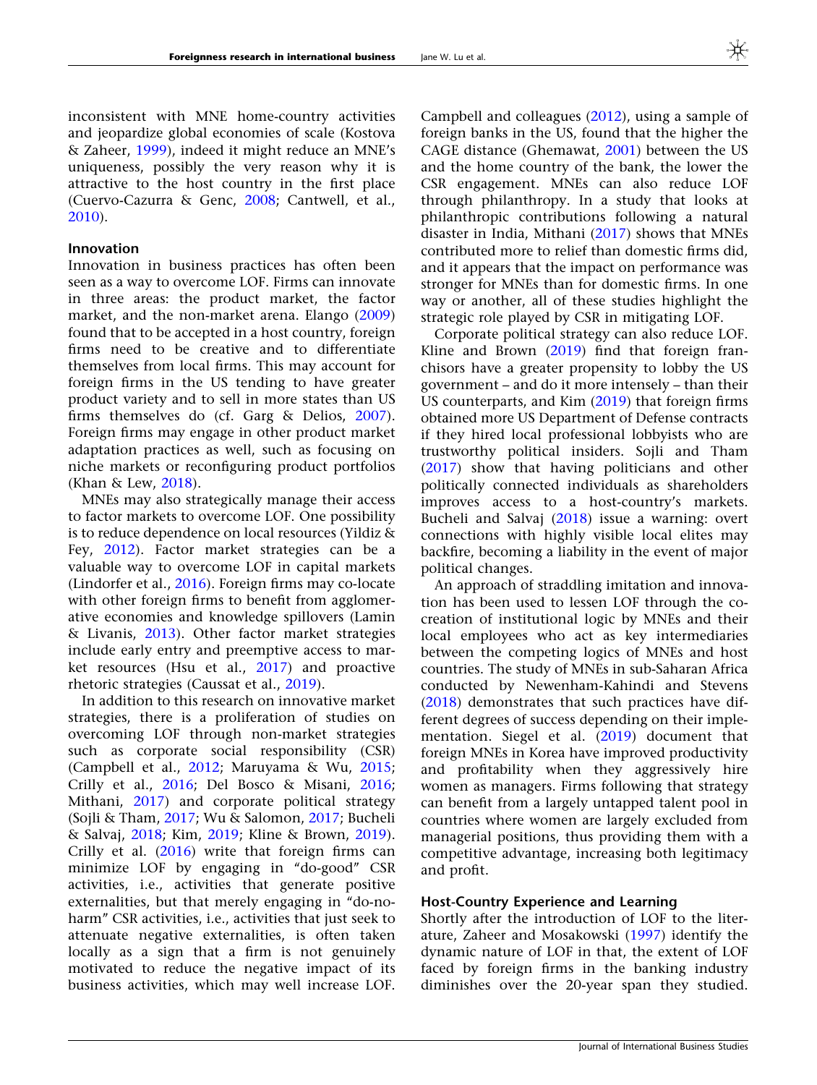inconsistent with MNE home-country activities and jeopardize global economies of scale (Kostova & Zaheer, [1999\)](#page-22-0), indeed it might reduce an MNE's uniqueness, possibly the very reason why it is attractive to the host country in the first place (Cuervo-Cazurra & Genc, [2008](#page-21-0); Cantwell, et al., [2010\)](#page-20-0).

## Innovation

Innovation in business practices has often been seen as a way to overcome LOF. Firms can innovate in three areas: the product market, the factor market, and the non-market arena. Elango ([2009\)](#page-21-0) found that to be accepted in a host country, foreign firms need to be creative and to differentiate themselves from local firms. This may account for foreign firms in the US tending to have greater product variety and to sell in more states than US firms themselves do (cf. Garg & Delios, [2007\)](#page-21-0). Foreign firms may engage in other product market adaptation practices as well, such as focusing on niche markets or reconfiguring product portfolios (Khan & Lew, [2018](#page-22-0)).

MNEs may also strategically manage their access to factor markets to overcome LOF. One possibility is to reduce dependence on local resources (Yildiz & Fey, [2012\)](#page-25-0). Factor market strategies can be a valuable way to overcome LOF in capital markets (Lindorfer et al., [2016](#page-22-0)). Foreign firms may co-locate with other foreign firms to benefit from agglomerative economies and knowledge spillovers (Lamin & Livanis, [2013](#page-22-0)). Other factor market strategies include early entry and preemptive access to market resources (Hsu et al., [2017\)](#page-22-0) and proactive rhetoric strategies (Caussat et al., [2019\)](#page-20-0).

In addition to this research on innovative market strategies, there is a proliferation of studies on overcoming LOF through non-market strategies such as corporate social responsibility (CSR) (Campbell et al., [2012](#page-20-0); Maruyama & Wu, [2015;](#page-23-0) Crilly et al., [2016](#page-21-0); Del Bosco & Misani, [2016;](#page-21-0) Mithani, [2017](#page-23-0)) and corporate political strategy (Sojli & Tham, [2017;](#page-24-0) Wu & Salomon, [2017;](#page-25-0) Bucheli & Salvaj, [2018](#page-20-0); Kim, [2019](#page-22-0); Kline & Brown, [2019\)](#page-22-0). Crilly et al. ([2016\)](#page-21-0) write that foreign firms can minimize LOF by engaging in "do-good" CSR activities, i.e., activities that generate positive externalities, but that merely engaging in ''do-noharm'' CSR activities, i.e., activities that just seek to attenuate negative externalities, is often taken locally as a sign that a firm is not genuinely motivated to reduce the negative impact of its business activities, which may well increase LOF.

Campbell and colleagues ([2012\)](#page-20-0), using a sample of foreign banks in the US, found that the higher the CAGE distance (Ghemawat, [2001](#page-21-0)) between the US and the home country of the bank, the lower the CSR engagement. MNEs can also reduce LOF through philanthropy. In a study that looks at philanthropic contributions following a natural disaster in India, Mithani ([2017\)](#page-23-0) shows that MNEs contributed more to relief than domestic firms did, and it appears that the impact on performance was stronger for MNEs than for domestic firms. In one way or another, all of these studies highlight the strategic role played by CSR in mitigating LOF.

Corporate political strategy can also reduce LOF. Kline and Brown [\(2019](#page-22-0)) find that foreign franchisors have a greater propensity to lobby the US government – and do it more intensely – than their US counterparts, and Kim [\(2019\)](#page-22-0) that foreign firms obtained more US Department of Defense contracts if they hired local professional lobbyists who are trustworthy political insiders. Sojli and Tham [\(2017](#page-24-0)) show that having politicians and other politically connected individuals as shareholders improves access to a host-country's markets. Bucheli and Salvaj ([2018](#page-20-0)) issue a warning: overt connections with highly visible local elites may backfire, becoming a liability in the event of major political changes.

An approach of straddling imitation and innovation has been used to lessen LOF through the cocreation of institutional logic by MNEs and their local employees who act as key intermediaries between the competing logics of MNEs and host countries. The study of MNEs in sub-Saharan Africa conducted by Newenham-Kahindi and Stevens [\(2018](#page-23-0)) demonstrates that such practices have different degrees of success depending on their implementation. Siegel et al. ([2019\)](#page-24-0) document that foreign MNEs in Korea have improved productivity and profitability when they aggressively hire women as managers. Firms following that strategy can benefit from a largely untapped talent pool in countries where women are largely excluded from managerial positions, thus providing them with a competitive advantage, increasing both legitimacy and profit.

#### Host-Country Experience and Learning

Shortly after the introduction of LOF to the literature, Zaheer and Mosakowski [\(1997](#page-25-0)) identify the dynamic nature of LOF in that, the extent of LOF faced by foreign firms in the banking industry diminishes over the 20-year span they studied.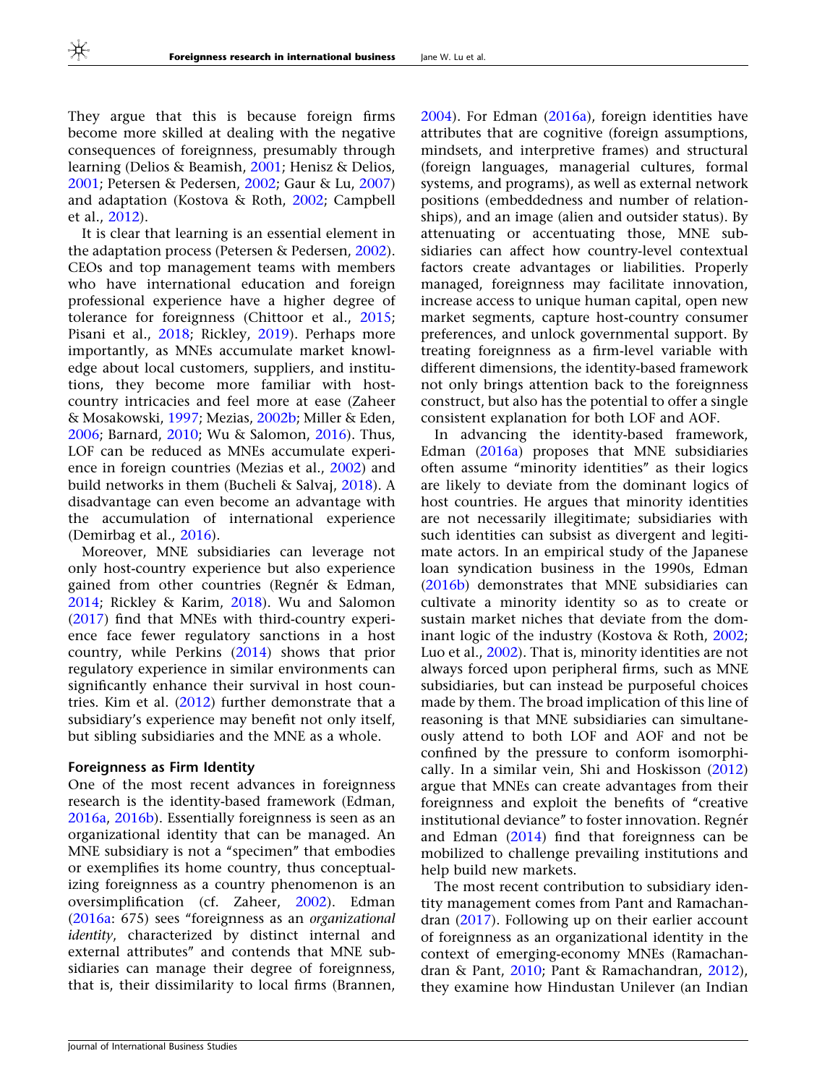They argue that this is because foreign firms become more skilled at dealing with the negative consequences of foreignness, presumably through learning (Delios & Beamish, [2001;](#page-21-0) Henisz & Delios, [2001;](#page-22-0) Petersen & Pedersen, [2002](#page-24-0); Gaur & Lu, [2007\)](#page-21-0) and adaptation (Kostova & Roth, [2002](#page-22-0); Campbell et al., [2012\)](#page-20-0).

It is clear that learning is an essential element in the adaptation process (Petersen & Pedersen, [2002\)](#page-24-0). CEOs and top management teams with members who have international education and foreign professional experience have a higher degree of tolerance for foreignness (Chittoor et al., [2015;](#page-21-0) Pisani et al., [2018;](#page-24-0) Rickley, [2019](#page-24-0)). Perhaps more importantly, as MNEs accumulate market knowledge about local customers, suppliers, and institutions, they become more familiar with hostcountry intricacies and feel more at ease (Zaheer & Mosakowski, [1997](#page-25-0); Mezias, [2002b](#page-23-0); Miller & Eden, [2006;](#page-23-0) Barnard, [2010;](#page-20-0) Wu & Salomon, [2016\)](#page-25-0). Thus, LOF can be reduced as MNEs accumulate experience in foreign countries (Mezias et al., [2002\)](#page-23-0) and build networks in them (Bucheli & Salvaj, [2018](#page-20-0)). A disadvantage can even become an advantage with the accumulation of international experience (Demirbag et al., [2016](#page-21-0)).

Moreover, MNE subsidiaries can leverage not only host-country experience but also experience gained from other countries (Regnér & Edman, [2014;](#page-24-0) Rickley & Karim, [2018](#page-24-0)). Wu and Salomon [\(2017](#page-25-0)) find that MNEs with third-country experience face fewer regulatory sanctions in a host country, while Perkins ([2014\)](#page-23-0) shows that prior regulatory experience in similar environments can significantly enhance their survival in host countries. Kim et al.  $(2012)$  $(2012)$  further demonstrate that a subsidiary's experience may benefit not only itself, but sibling subsidiaries and the MNE as a whole.

#### Foreignness as Firm Identity

One of the most recent advances in foreignness research is the identity-based framework (Edman, [2016a,](#page-21-0) [2016b](#page-21-0)). Essentially foreignness is seen as an organizational identity that can be managed. An MNE subsidiary is not a "specimen" that embodies or exemplifies its home country, thus conceptualizing foreignness as a country phenomenon is an oversimplification (cf. Zaheer, [2002](#page-25-0)). Edman [\(2016a](#page-21-0): 675) sees ''foreignness as an organizational identity, characterized by distinct internal and external attributes'' and contends that MNE subsidiaries can manage their degree of foreignness, that is, their dissimilarity to local firms (Brannen,

[2004\)](#page-20-0). For Edman ([2016a\)](#page-21-0), foreign identities have attributes that are cognitive (foreign assumptions, mindsets, and interpretive frames) and structural (foreign languages, managerial cultures, formal systems, and programs), as well as external network positions (embeddedness and number of relationships), and an image (alien and outsider status). By attenuating or accentuating those, MNE subsidiaries can affect how country-level contextual factors create advantages or liabilities. Properly managed, foreignness may facilitate innovation, increase access to unique human capital, open new market segments, capture host-country consumer preferences, and unlock governmental support. By treating foreignness as a firm-level variable with different dimensions, the identity-based framework not only brings attention back to the foreignness construct, but also has the potential to offer a single consistent explanation for both LOF and AOF.

In advancing the identity-based framework, Edman [\(2016a](#page-21-0)) proposes that MNE subsidiaries often assume ''minority identities'' as their logics are likely to deviate from the dominant logics of host countries. He argues that minority identities are not necessarily illegitimate; subsidiaries with such identities can subsist as divergent and legitimate actors. In an empirical study of the Japanese loan syndication business in the 1990s, Edman [\(2016b](#page-21-0)) demonstrates that MNE subsidiaries can cultivate a minority identity so as to create or sustain market niches that deviate from the dominant logic of the industry (Kostova & Roth, [2002;](#page-22-0) Luo et al., [2002\)](#page-23-0). That is, minority identities are not always forced upon peripheral firms, such as MNE subsidiaries, but can instead be purposeful choices made by them. The broad implication of this line of reasoning is that MNE subsidiaries can simultaneously attend to both LOF and AOF and not be confined by the pressure to conform isomorphically. In a similar vein, Shi and Hoskisson [\(2012](#page-24-0)) argue that MNEs can create advantages from their foreignness and exploit the benefits of ''creative institutional deviance" to foster innovation. Regnér and Edman [\(2014](#page-24-0)) find that foreignness can be mobilized to challenge prevailing institutions and help build new markets.

The most recent contribution to subsidiary identity management comes from Pant and Ramachandran ([2017](#page-23-0)). Following up on their earlier account of foreignness as an organizational identity in the context of emerging-economy MNEs (Ramachandran & Pant, [2010](#page-24-0); Pant & Ramachandran, [2012](#page-23-0)), they examine how Hindustan Unilever (an Indian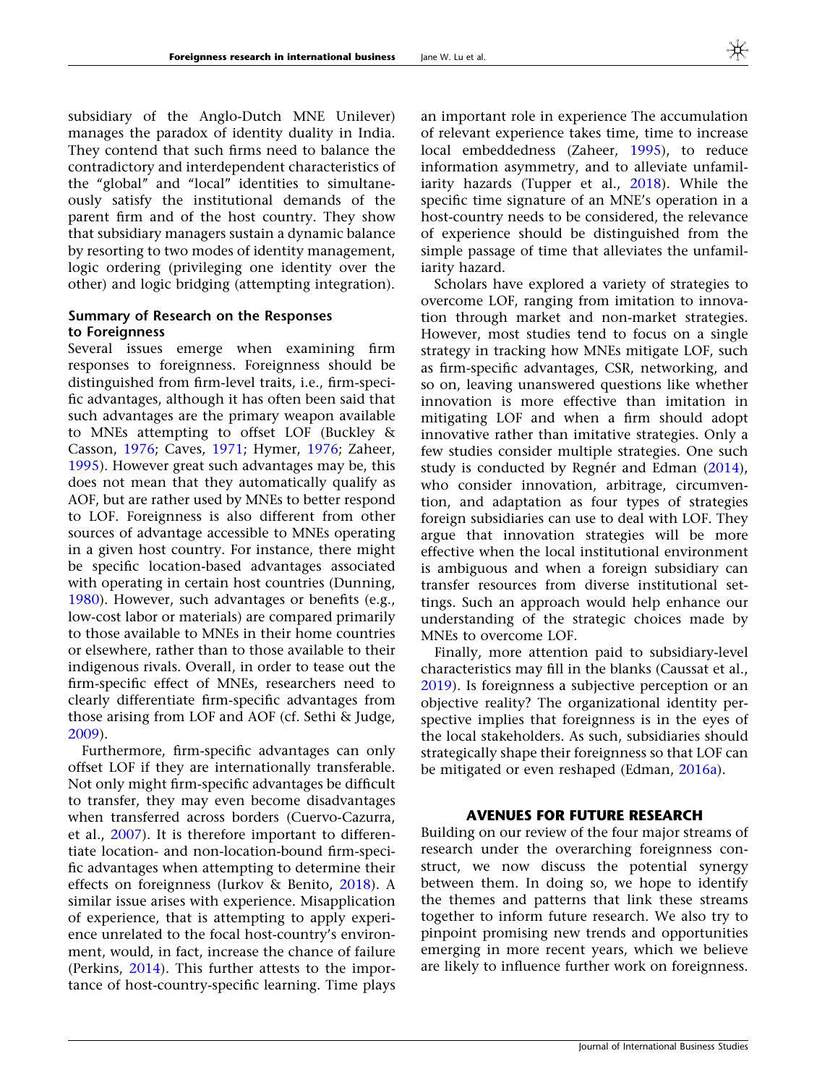subsidiary of the Anglo-Dutch MNE Unilever) manages the paradox of identity duality in India. They contend that such firms need to balance the contradictory and interdependent characteristics of the ''global'' and ''local'' identities to simultaneously satisfy the institutional demands of the parent firm and of the host country. They show that subsidiary managers sustain a dynamic balance by resorting to two modes of identity management, logic ordering (privileging one identity over the other) and logic bridging (attempting integration).

## Summary of Research on the Responses to Foreignness

Several issues emerge when examining firm responses to foreignness. Foreignness should be distinguished from firm-level traits, i.e., firm-specific advantages, although it has often been said that such advantages are the primary weapon available to MNEs attempting to offset LOF (Buckley & Casson, [1976;](#page-20-0) Caves, [1971](#page-20-0); Hymer, [1976;](#page-22-0) Zaheer, [1995\)](#page-25-0). However great such advantages may be, this does not mean that they automatically qualify as AOF, but are rather used by MNEs to better respond to LOF. Foreignness is also different from other sources of advantage accessible to MNEs operating in a given host country. For instance, there might be specific location-based advantages associated with operating in certain host countries (Dunning, [1980\)](#page-21-0). However, such advantages or benefits (e.g., low-cost labor or materials) are compared primarily to those available to MNEs in their home countries or elsewhere, rather than to those available to their indigenous rivals. Overall, in order to tease out the firm-specific effect of MNEs, researchers need to clearly differentiate firm-specific advantages from those arising from LOF and AOF (cf. Sethi & Judge, [2009\)](#page-24-0).

Furthermore, firm-specific advantages can only offset LOF if they are internationally transferable. Not only might firm-specific advantages be difficult to transfer, they may even become disadvantages when transferred across borders (Cuervo-Cazurra, et al., [2007\)](#page-21-0). It is therefore important to differentiate location- and non-location-bound firm-specific advantages when attempting to determine their effects on foreignness (Iurkov & Benito, [2018\)](#page-22-0). A similar issue arises with experience. Misapplication of experience, that is attempting to apply experience unrelated to the focal host-country's environment, would, in fact, increase the chance of failure (Perkins, [2014](#page-23-0)). This further attests to the importance of host-country-specific learning. Time plays

an important role in experience The accumulation of relevant experience takes time, time to increase local embeddedness (Zaheer, [1995](#page-25-0)), to reduce information asymmetry, and to alleviate unfamiliarity hazards (Tupper et al., [2018](#page-25-0)). While the specific time signature of an MNE's operation in a host-country needs to be considered, the relevance of experience should be distinguished from the simple passage of time that alleviates the unfamiliarity hazard.

Scholars have explored a variety of strategies to overcome LOF, ranging from imitation to innovation through market and non-market strategies. However, most studies tend to focus on a single strategy in tracking how MNEs mitigate LOF, such as firm-specific advantages, CSR, networking, and so on, leaving unanswered questions like whether innovation is more effective than imitation in mitigating LOF and when a firm should adopt innovative rather than imitative strategies. Only a few studies consider multiple strategies. One such study is conducted by Regnér and Edman  $(2014)$  $(2014)$ , who consider innovation, arbitrage, circumvention, and adaptation as four types of strategies foreign subsidiaries can use to deal with LOF. They argue that innovation strategies will be more effective when the local institutional environment is ambiguous and when a foreign subsidiary can transfer resources from diverse institutional settings. Such an approach would help enhance our understanding of the strategic choices made by MNEs to overcome LOF.

Finally, more attention paid to subsidiary-level characteristics may fill in the blanks (Caussat et al., [2019\)](#page-20-0). Is foreignness a subjective perception or an objective reality? The organizational identity perspective implies that foreignness is in the eyes of the local stakeholders. As such, subsidiaries should strategically shape their foreignness so that LOF can be mitigated or even reshaped (Edman, [2016a\)](#page-21-0).

#### AVENUES FOR FUTURE RESEARCH

Building on our review of the four major streams of research under the overarching foreignness construct, we now discuss the potential synergy between them. In doing so, we hope to identify the themes and patterns that link these streams together to inform future research. We also try to pinpoint promising new trends and opportunities emerging in more recent years, which we believe are likely to influence further work on foreignness.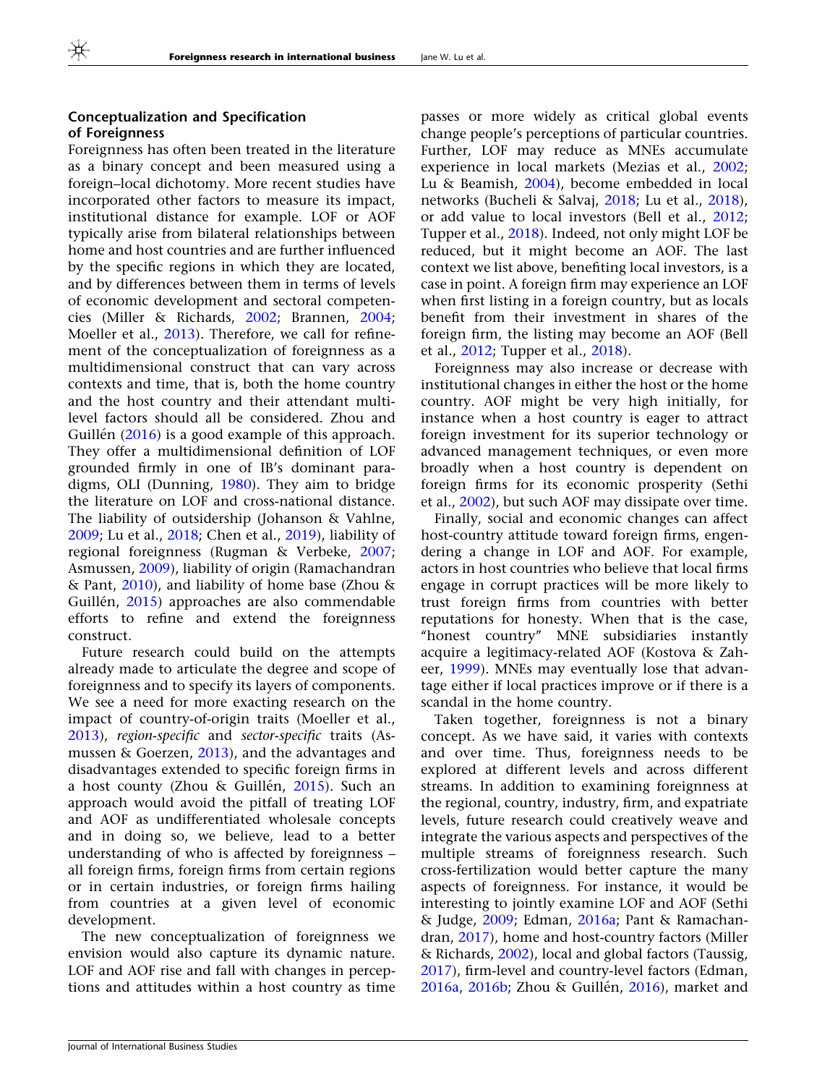Foreignness has often been treated in the literature as a binary concept and been measured using a foreign–local dichotomy. More recent studies have incorporated other factors to measure its impact, institutional distance for example. LOF or AOF typically arise from bilateral relationships between home and host countries and are further influenced by the specific regions in which they are located, and by differences between them in terms of levels of economic development and sectoral competencies (Miller & Richards, [2002;](#page-23-0) Brannen, [2004;](#page-20-0) Moeller et al., [2013\)](#page-23-0). Therefore, we call for refinement of the conceptualization of foreignness as a multidimensional construct that can vary across contexts and time, that is, both the home country and the host country and their attendant multilevel factors should all be considered. Zhou and Guillén  $(2016)$  $(2016)$  is a good example of this approach. They offer a multidimensional definition of LOF grounded firmly in one of IB's dominant paradigms, OLI (Dunning, [1980](#page-21-0)). They aim to bridge the literature on LOF and cross-national distance. The liability of outsidership (Johanson & Vahlne, [2009;](#page-22-0) Lu et al., [2018;](#page-23-0) Chen et al., [2019\)](#page-21-0), liability of regional foreignness (Rugman & Verbeke, [2007;](#page-24-0) Asmussen, [2009](#page-20-0)), liability of origin (Ramachandran & Pant, [2010\)](#page-24-0), and liability of home base (Zhou & Guillén, [2015](#page-25-0)) approaches are also commendable efforts to refine and extend the foreignness construct.

Future research could build on the attempts already made to articulate the degree and scope of foreignness and to specify its layers of components. We see a need for more exacting research on the impact of country-of-origin traits (Moeller et al., [2013\)](#page-23-0), region-specific and sector-specific traits (Asmussen & Goerzen, [2013](#page-20-0)), and the advantages and disadvantages extended to specific foreign firms in a host county (Zhou & Guillén, [2015\)](#page-25-0). Such an approach would avoid the pitfall of treating LOF and AOF as undifferentiated wholesale concepts and in doing so, we believe, lead to a better understanding of who is affected by foreignness – all foreign firms, foreign firms from certain regions or in certain industries, or foreign firms hailing from countries at a given level of economic development.

The new conceptualization of foreignness we envision would also capture its dynamic nature. LOF and AOF rise and fall with changes in perceptions and attitudes within a host country as time

passes or more widely as critical global events change people's perceptions of particular countries. Further, LOF may reduce as MNEs accumulate experience in local markets (Mezias et al., [2002;](#page-23-0) Lu & Beamish, [2004](#page-22-0)), become embedded in local networks (Bucheli & Salvaj, [2018;](#page-20-0) Lu et al., [2018](#page-23-0)), or add value to local investors (Bell et al., [2012;](#page-20-0) Tupper et al., [2018](#page-25-0)). Indeed, not only might LOF be reduced, but it might become an AOF. The last context we list above, benefiting local investors, is a case in point. A foreign firm may experience an LOF when first listing in a foreign country, but as locals benefit from their investment in shares of the foreign firm, the listing may become an AOF (Bell et al., [2012](#page-20-0); Tupper et al., [2018](#page-25-0)).

Foreignness may also increase or decrease with institutional changes in either the host or the home country. AOF might be very high initially, for instance when a host country is eager to attract foreign investment for its superior technology or advanced management techniques, or even more broadly when a host country is dependent on foreign firms for its economic prosperity (Sethi et al., [2002\)](#page-24-0), but such AOF may dissipate over time.

Finally, social and economic changes can affect host-country attitude toward foreign firms, engendering a change in LOF and AOF. For example, actors in host countries who believe that local firms engage in corrupt practices will be more likely to trust foreign firms from countries with better reputations for honesty. When that is the case, "honest country" MNE subsidiaries instantly acquire a legitimacy-related AOF (Kostova & Zaheer, [1999](#page-22-0)). MNEs may eventually lose that advantage either if local practices improve or if there is a scandal in the home country.

Taken together, foreignness is not a binary concept. As we have said, it varies with contexts and over time. Thus, foreignness needs to be explored at different levels and across different streams. In addition to examining foreignness at the regional, country, industry, firm, and expatriate levels, future research could creatively weave and integrate the various aspects and perspectives of the multiple streams of foreignness research. Such cross-fertilization would better capture the many aspects of foreignness. For instance, it would be interesting to jointly examine LOF and AOF (Sethi & Judge, [2009;](#page-24-0) Edman, [2016a](#page-21-0); Pant & Ramachandran, [2017](#page-23-0)), home and host-country factors (Miller & Richards, [2002](#page-23-0)), local and global factors (Taussig, [2017\)](#page-25-0), firm-level and country-level factors (Edman, [2016a,](#page-21-0) [2016b](#page-21-0); Zhou & Guillén, [2016](#page-25-0)), market and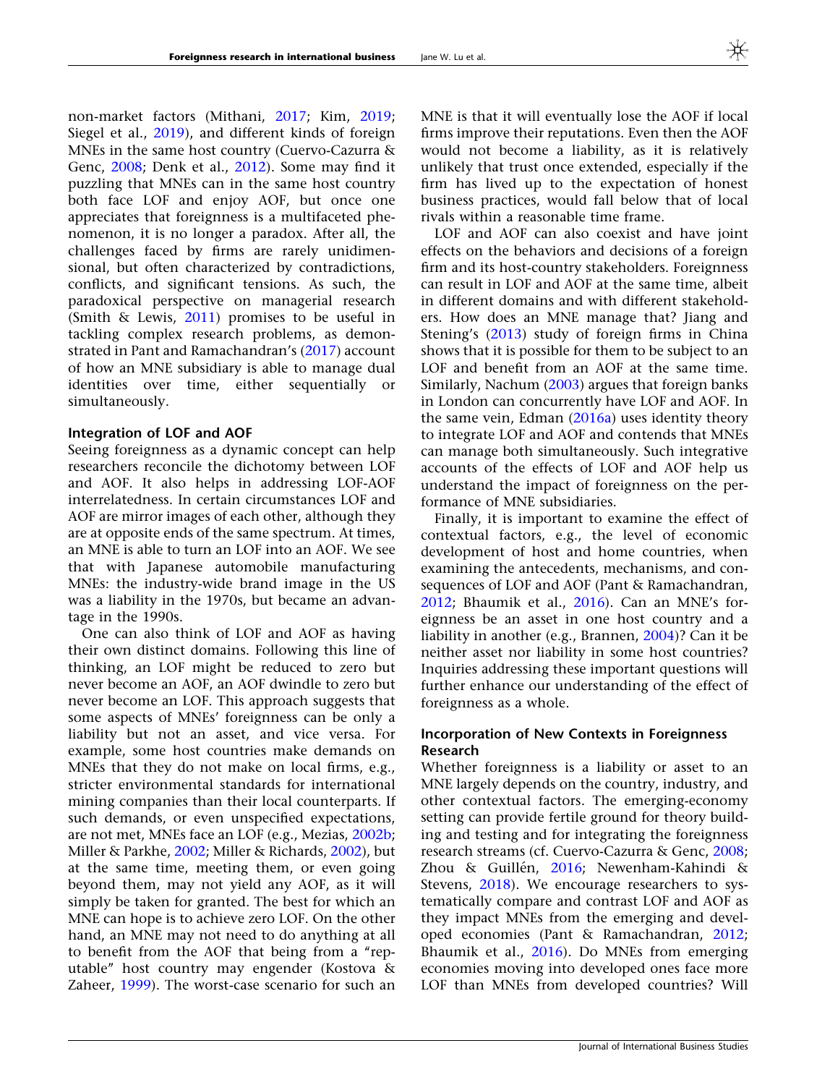non-market factors (Mithani, [2017;](#page-23-0) Kim, [2019;](#page-22-0) Siegel et al., [2019\)](#page-24-0), and different kinds of foreign MNEs in the same host country (Cuervo-Cazurra & Genc, [2008;](#page-21-0) Denk et al., [2012](#page-21-0)). Some may find it puzzling that MNEs can in the same host country both face LOF and enjoy AOF, but once one appreciates that foreignness is a multifaceted phenomenon, it is no longer a paradox. After all, the challenges faced by firms are rarely unidimensional, but often characterized by contradictions, conflicts, and significant tensions. As such, the paradoxical perspective on managerial research (Smith & Lewis, [2011](#page-24-0)) promises to be useful in tackling complex research problems, as demonstrated in Pant and Ramachandran's [\(2017](#page-23-0)) account of how an MNE subsidiary is able to manage dual identities over time, either sequentially or simultaneously.

#### Integration of LOF and AOF

Seeing foreignness as a dynamic concept can help researchers reconcile the dichotomy between LOF and AOF. It also helps in addressing LOF-AOF interrelatedness. In certain circumstances LOF and AOF are mirror images of each other, although they are at opposite ends of the same spectrum. At times, an MNE is able to turn an LOF into an AOF. We see that with Japanese automobile manufacturing MNEs: the industry-wide brand image in the US was a liability in the 1970s, but became an advantage in the 1990s.

One can also think of LOF and AOF as having their own distinct domains. Following this line of thinking, an LOF might be reduced to zero but never become an AOF, an AOF dwindle to zero but never become an LOF. This approach suggests that some aspects of MNEs' foreignness can be only a liability but not an asset, and vice versa. For example, some host countries make demands on MNEs that they do not make on local firms, e.g., stricter environmental standards for international mining companies than their local counterparts. If such demands, or even unspecified expectations, are not met, MNEs face an LOF (e.g., Mezias, [2002b;](#page-23-0) Miller & Parkhe, [2002](#page-23-0); Miller & Richards, [2002\)](#page-23-0), but at the same time, meeting them, or even going beyond them, may not yield any AOF, as it will simply be taken for granted. The best for which an MNE can hope is to achieve zero LOF. On the other hand, an MNE may not need to do anything at all to benefit from the AOF that being from a "reputable'' host country may engender (Kostova & Zaheer, [1999](#page-22-0)). The worst-case scenario for such an

MNE is that it will eventually lose the AOF if local firms improve their reputations. Even then the AOF would not become a liability, as it is relatively unlikely that trust once extended, especially if the firm has lived up to the expectation of honest business practices, would fall below that of local rivals within a reasonable time frame.

LOF and AOF can also coexist and have joint effects on the behaviors and decisions of a foreign firm and its host-country stakeholders. Foreignness can result in LOF and AOF at the same time, albeit in different domains and with different stakeholders. How does an MNE manage that? Jiang and Stening's ([2013\)](#page-22-0) study of foreign firms in China shows that it is possible for them to be subject to an LOF and benefit from an AOF at the same time. Similarly, Nachum ([2003\)](#page-23-0) argues that foreign banks in London can concurrently have LOF and AOF. In the same vein, Edman  $(2016a)$  $(2016a)$  uses identity theory to integrate LOF and AOF and contends that MNEs can manage both simultaneously. Such integrative accounts of the effects of LOF and AOF help us understand the impact of foreignness on the performance of MNE subsidiaries.

Finally, it is important to examine the effect of contextual factors, e.g., the level of economic development of host and home countries, when examining the antecedents, mechanisms, and consequences of LOF and AOF (Pant & Ramachandran, [2012;](#page-23-0) Bhaumik et al., [2016](#page-20-0)). Can an MNE's foreignness be an asset in one host country and a liability in another (e.g., Brannen, [2004\)](#page-20-0)? Can it be neither asset nor liability in some host countries? Inquiries addressing these important questions will further enhance our understanding of the effect of foreignness as a whole.

## Incorporation of New Contexts in Foreignness Research

Whether foreignness is a liability or asset to an MNE largely depends on the country, industry, and other contextual factors. The emerging-economy setting can provide fertile ground for theory building and testing and for integrating the foreignness research streams (cf. Cuervo-Cazurra & Genc, [2008;](#page-21-0) Zhou & Guillén, [2016;](#page-25-0) Newenham-Kahindi & Stevens, [2018\)](#page-23-0). We encourage researchers to systematically compare and contrast LOF and AOF as they impact MNEs from the emerging and developed economies (Pant & Ramachandran, [2012;](#page-23-0) Bhaumik et al., [2016\)](#page-20-0). Do MNEs from emerging economies moving into developed ones face more LOF than MNEs from developed countries? Will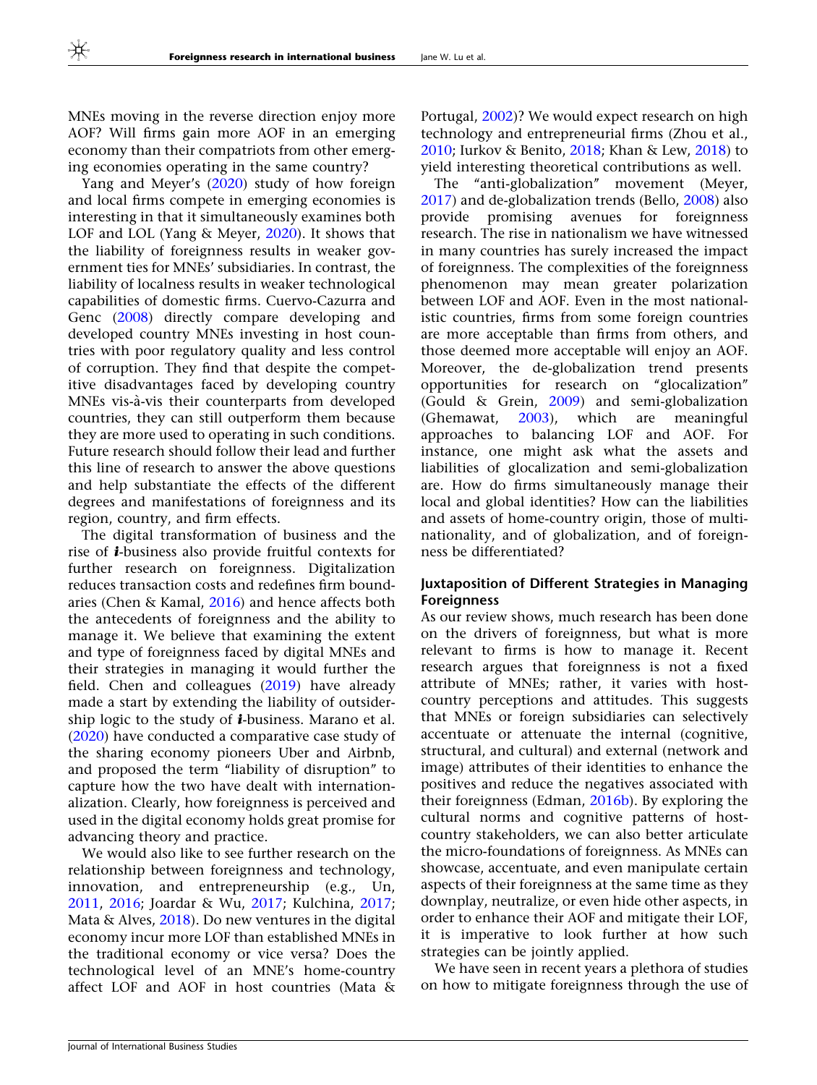MNEs moving in the reverse direction enjoy more AOF? Will firms gain more AOF in an emerging economy than their compatriots from other emerging economies operating in the same country?

Yang and Meyer's [\(2020](#page-25-0)) study of how foreign and local firms compete in emerging economies is interesting in that it simultaneously examines both LOF and LOL (Yang & Meyer, [2020\)](#page-25-0). It shows that the liability of foreignness results in weaker government ties for MNEs' subsidiaries. In contrast, the liability of localness results in weaker technological capabilities of domestic firms. Cuervo-Cazurra and Genc [\(2008](#page-21-0)) directly compare developing and developed country MNEs investing in host countries with poor regulatory quality and less control of corruption. They find that despite the competitive disadvantages faced by developing country MNEs vis-à-vis their counterparts from developed countries, they can still outperform them because they are more used to operating in such conditions. Future research should follow their lead and further this line of research to answer the above questions and help substantiate the effects of the different degrees and manifestations of foreignness and its region, country, and firm effects.

The digital transformation of business and the rise of  $i$ -business also provide fruitful contexts for further research on foreignness. Digitalization reduces transaction costs and redefines firm boundaries (Chen & Kamal, [2016](#page-21-0)) and hence affects both the antecedents of foreignness and the ability to manage it. We believe that examining the extent and type of foreignness faced by digital MNEs and their strategies in managing it would further the field. Chen and colleagues [\(2019](#page-21-0)) have already made a start by extending the liability of outsidership logic to the study of  $\mathbf{i}$ -business. Marano et al. [\(2020](#page-23-0)) have conducted a comparative case study of the sharing economy pioneers Uber and Airbnb, and proposed the term "liability of disruption" to capture how the two have dealt with internationalization. Clearly, how foreignness is perceived and used in the digital economy holds great promise for advancing theory and practice.

We would also like to see further research on the relationship between foreignness and technology, innovation, and entrepreneurship (e.g., Un, [2011,](#page-25-0) [2016;](#page-25-0) Joardar & Wu, [2017](#page-22-0); Kulchina, [2017;](#page-22-0) Mata & Alves, [2018](#page-23-0)). Do new ventures in the digital economy incur more LOF than established MNEs in the traditional economy or vice versa? Does the technological level of an MNE's home-country affect LOF and AOF in host countries (Mata &

Portugal, [2002](#page-23-0))? We would expect research on high technology and entrepreneurial firms (Zhou et al., [2010;](#page-25-0) Iurkov & Benito, [2018](#page-22-0); Khan & Lew, [2018\)](#page-22-0) to yield interesting theoretical contributions as well.

The "anti-globalization" movement (Meyer, [2017\)](#page-23-0) and de-globalization trends (Bello, [2008](#page-20-0)) also provide promising avenues for foreignness research. The rise in nationalism we have witnessed in many countries has surely increased the impact of foreignness. The complexities of the foreignness phenomenon may mean greater polarization between LOF and AOF. Even in the most nationalistic countries, firms from some foreign countries are more acceptable than firms from others, and those deemed more acceptable will enjoy an AOF. Moreover, the de-globalization trend presents opportunities for research on ''glocalization'' (Gould & Grein, [2009](#page-21-0)) and semi-globalization (Ghemawat, [2003\)](#page-21-0), which are meaningful approaches to balancing LOF and AOF. For instance, one might ask what the assets and liabilities of glocalization and semi-globalization are. How do firms simultaneously manage their local and global identities? How can the liabilities and assets of home-country origin, those of multinationality, and of globalization, and of foreignness be differentiated?

#### Juxtaposition of Different Strategies in Managing Foreignness

As our review shows, much research has been done on the drivers of foreignness, but what is more relevant to firms is how to manage it. Recent research argues that foreignness is not a fixed attribute of MNEs; rather, it varies with hostcountry perceptions and attitudes. This suggests that MNEs or foreign subsidiaries can selectively accentuate or attenuate the internal (cognitive, structural, and cultural) and external (network and image) attributes of their identities to enhance the positives and reduce the negatives associated with their foreignness (Edman, [2016b\)](#page-21-0). By exploring the cultural norms and cognitive patterns of hostcountry stakeholders, we can also better articulate the micro-foundations of foreignness. As MNEs can showcase, accentuate, and even manipulate certain aspects of their foreignness at the same time as they downplay, neutralize, or even hide other aspects, in order to enhance their AOF and mitigate their LOF, it is imperative to look further at how such strategies can be jointly applied.

We have seen in recent years a plethora of studies on how to mitigate foreignness through the use of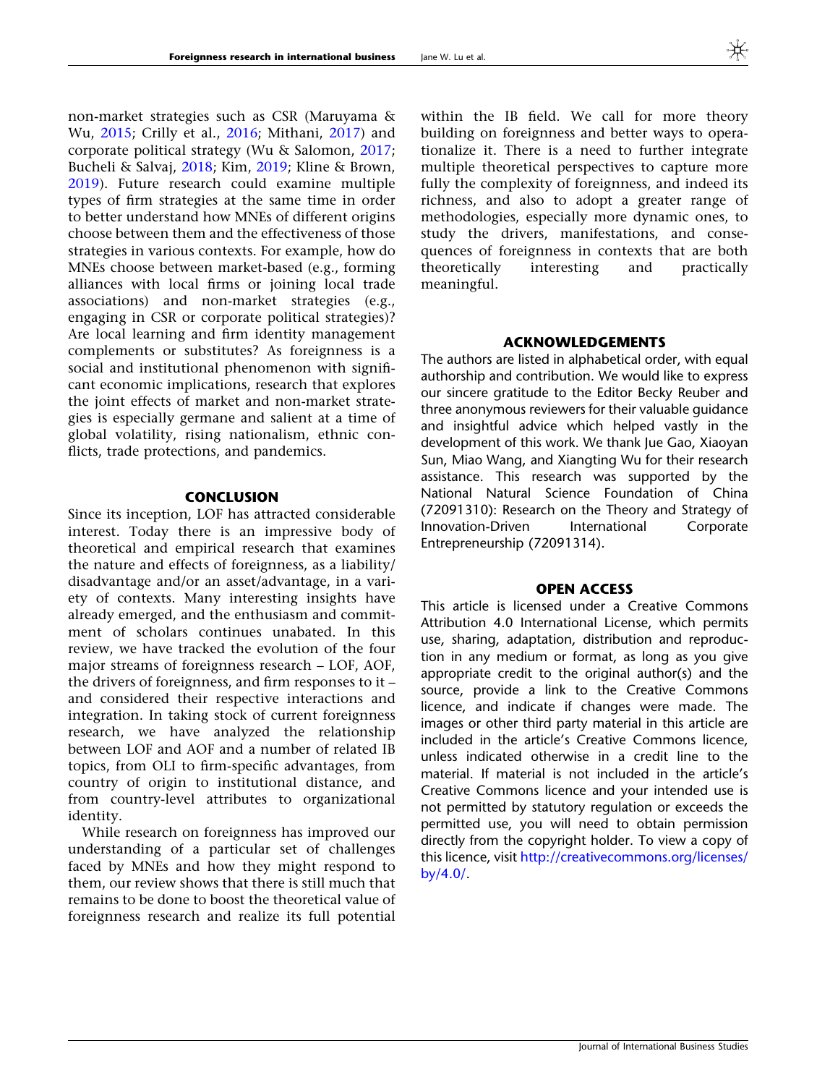non-market strategies such as CSR (Maruyama & Wu, [2015](#page-23-0); Crilly et al., [2016;](#page-21-0) Mithani, [2017\)](#page-23-0) and corporate political strategy (Wu & Salomon, [2017;](#page-25-0) Bucheli & Salvaj, [2018](#page-20-0); Kim, [2019;](#page-22-0) Kline & Brown, [2019\)](#page-22-0). Future research could examine multiple types of firm strategies at the same time in order to better understand how MNEs of different origins choose between them and the effectiveness of those strategies in various contexts. For example, how do MNEs choose between market-based (e.g., forming alliances with local firms or joining local trade associations) and non-market strategies (e.g., engaging in CSR or corporate political strategies)? Are local learning and firm identity management complements or substitutes? As foreignness is a social and institutional phenomenon with significant economic implications, research that explores the joint effects of market and non-market strategies is especially germane and salient at a time of global volatility, rising nationalism, ethnic conflicts, trade protections, and pandemics.

#### **CONCLUSION**

Since its inception, LOF has attracted considerable interest. Today there is an impressive body of theoretical and empirical research that examines the nature and effects of foreignness, as a liability/ disadvantage and/or an asset/advantage, in a variety of contexts. Many interesting insights have already emerged, and the enthusiasm and commitment of scholars continues unabated. In this review, we have tracked the evolution of the four major streams of foreignness research – LOF, AOF, the drivers of foreignness, and firm responses to it – and considered their respective interactions and integration. In taking stock of current foreignness research, we have analyzed the relationship between LOF and AOF and a number of related IB topics, from OLI to firm-specific advantages, from country of origin to institutional distance, and from country-level attributes to organizational identity.

While research on foreignness has improved our understanding of a particular set of challenges faced by MNEs and how they might respond to them, our review shows that there is still much that remains to be done to boost the theoretical value of foreignness research and realize its full potential within the IB field. We call for more theory building on foreignness and better ways to operationalize it. There is a need to further integrate multiple theoretical perspectives to capture more fully the complexity of foreignness, and indeed its richness, and also to adopt a greater range of methodologies, especially more dynamic ones, to study the drivers, manifestations, and consequences of foreignness in contexts that are both theoretically interesting and practically meaningful.

#### ACKNOWLEDGEMENTS

The authors are listed in alphabetical order, with equal authorship and contribution. We would like to express our sincere gratitude to the Editor Becky Reuber and three anonymous reviewers for their valuable guidance and insightful advice which helped vastly in the development of this work. We thank Jue Gao, Xiaoyan Sun, Miao Wang, and Xiangting Wu for their research assistance. This research was supported by the National Natural Science Foundation of China (72091310): Research on the Theory and Strategy of Innovation-Driven International Corporate Entrepreneurship (72091314).

#### OPEN ACCESS

This article is licensed under a Creative Commons Attribution 4.0 International License, which permits use, sharing, adaptation, distribution and reproduction in any medium or format, as long as you give appropriate credit to the original author(s) and the source, provide a link to the Creative Commons licence, and indicate if changes were made. The images or other third party material in this article are included in the article's Creative Commons licence, unless indicated otherwise in a credit line to the material. If material is not included in the article's Creative Commons licence and your intended use is not permitted by statutory regulation or exceeds the permitted use, you will need to obtain permission directly from the copyright holder. To view a copy of this licence, visit [http://creativecommons.org/licenses/](http://creativecommons.org/licenses/by/4.0/) [by/4.0/.](http://creativecommons.org/licenses/by/4.0/)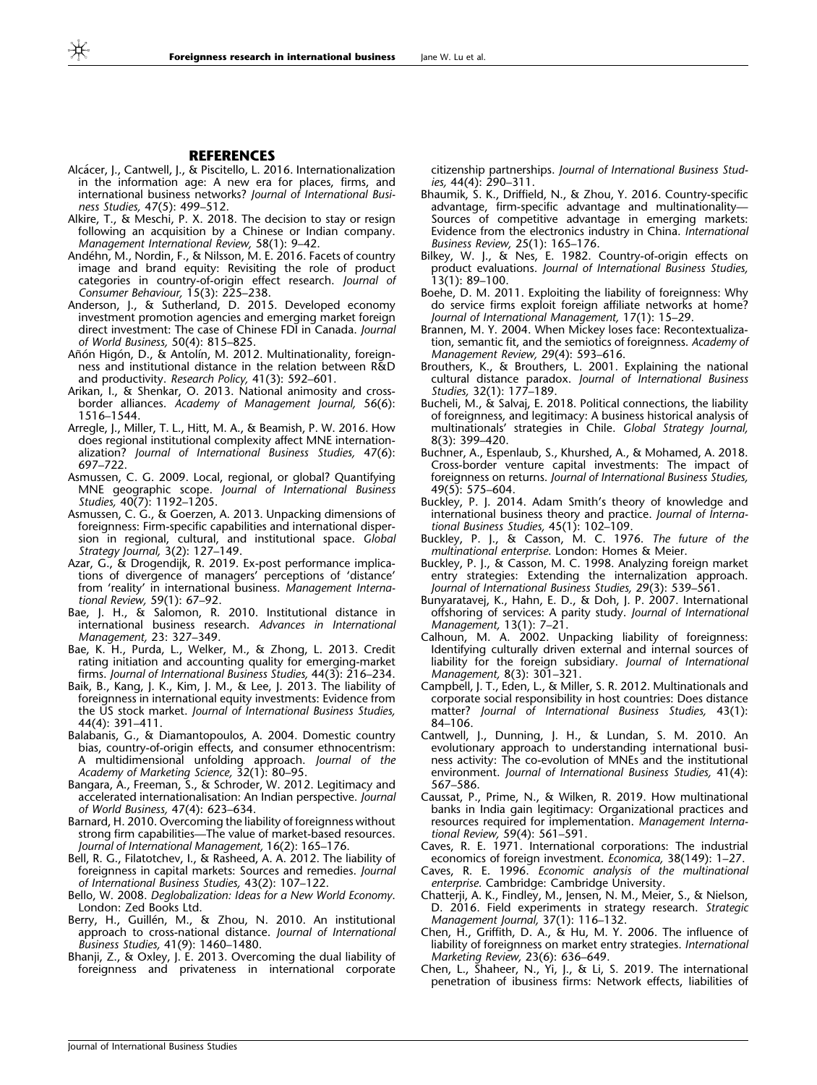#### **REFERENCES**

- <span id="page-20-0"></span>Alcácer, J., Cantwell, J., & Piscitello, L. 2016. Internationalization in the information age: A new era for places, firms, and international business networks? Journal of International Business Studies, 47(5): 499–512.
- Alkire, T., & Meschi, P. X. 2018. The decision to stay or resign following an acquisition by a Chinese or Indian company. Management International Review, 58(1): 9-42.
- Andéhn, M., Nordin, F., & Nilsson, M. E. 2016. Facets of country image and brand equity: Revisiting the role of product categories in country-of-origin effect research. Journal of Consumer Behaviour, 15(3): 225-238.
- Anderson, J., & Sutherland, D. 2015. Developed economy investment promotion agencies and emerging market foreign direct investment: The case of Chinese FDI in Canada. Journal of World Business, 50(4): 815–825.
- Añón Higón, D., & Antolín, M. 2012. Multinationality, foreignness and institutional distance in the relation between R&D and productivity. Research Policy, 41(3): 592–601.
- Arikan, I., & Shenkar, O. 2013. National animosity and crossborder alliances. Academy of Management Journal, 56(6): 1516–1544.
- Arregle, J., Miller, T. L., Hitt, M. A., & Beamish, P. W. 2016. How does regional institutional complexity affect MNE internationalization? Journal of International Business Studies, 47(6): 697–722.
- Asmussen, C. G. 2009. Local, regional, or global? Quantifying MNE geographic scope. Journal of International Business Studies, 40(7): 1192-1205.
- Asmussen, C. G., & Goerzen, A. 2013. Unpacking dimensions of foreignness: Firm-specific capabilities and international dispersion in regional, cultural, and institutional space. Global Strategy Journal, 3(2): 127–149.
- Azar, G., & Drogendijk, R. 2019. Ex-post performance implications of divergence of managers' perceptions of 'distance' from 'reality' in international business. Management International Review, 59(1): 67–92.
- Bae, J. H., & Salomon, R. 2010. Institutional distance in international business research. Advances in International Management, 23: 327–349.
- Bae, K. H., Purda, L., Welker, M., & Zhong, L. 2013. Credit rating initiation and accounting quality for emerging-market firms. Journal of International Business Studies, 44(3): 216–234.
- Baik, B., Kang, J. K., Kim, J. M., & Lee, J. 2013. The liability of foreignness in international equity investments: Evidence from the US stock market. Journal of International Business Studies, 44(4): 391–411.
- Balabanis, G., & Diamantopoulos, A. 2004. Domestic country bias, country-of-origin effects, and consumer ethnocentrism: A multidimensional unfolding approach. Journal of the Academy of Marketing Science, 32(1): 80–95.
- Bangara, A., Freeman, S., & Schroder, W. 2012. Legitimacy and accelerated internationalisation: An Indian perspective. Journal of World Business, 47(4): 623–634.
- Barnard, H. 2010. Overcoming the liability of foreignness without strong firm capabilities—The value of market-based resources. Journal of International Management, 16(2): 165–176.
- Bell, R. G., Filatotchev, I., & Rasheed, A. A. 2012. The liability of foreignness in capital markets: Sources and remedies. Journal of International Business Studies, 43(2): 107–122.
- Bello, W. 2008. Deglobalization: Ideas for a New World Economy. London: Zed Books Ltd.
- Berry, H., Guillén, M., & Zhou, N. 2010. An institutional approach to cross-national distance. Journal of International Business Studies, 41(9): 1460–1480.
- Bhanji, Z., & Oxley, J. E. 2013. Overcoming the dual liability of foreignness and privateness in international corporate

citizenship partnerships. Journal of International Business Studies, 44(4): 290–311.

- Bhaumik, S. K., Driffield, N., & Zhou, Y. 2016. Country-specific advantage, firm-specific advantage and multinationality— Sources of competitive advantage in emerging markets: Evidence from the electronics industry in China. International Business Review, 25(1): 165–176.
- Bilkey, W. J., & Nes, E. 1982. Country-of-origin effects on product evaluations. Journal of International Business Studies, 13(1): 89–100.
- Boehe, D. M. 2011. Exploiting the liability of foreignness: Why do service firms exploit foreign affiliate networks at home? Journal of International Management, 17(1): 15–29.
- Brannen, M. Y. 2004. When Mickey loses face: Recontextualization, semantic fit, and the semiotics of foreignness. Academy of Management Review, 29(4): 593–616.
- Brouthers, K., & Brouthers, L. 2001. Explaining the national cultural distance paradox. Journal of International Business Studies, 32(1): 177–189.
- Bucheli, M., & Salvaj, E. 2018. Political connections, the liability of foreignness, and legitimacy: A business historical analysis of multinationals' strategies in Chile. Global Strategy Journal, 8(3): 399–420.
- Buchner, A., Espenlaub, S., Khurshed, A., & Mohamed, A. 2018. Cross-border venture capital investments: The impact of foreignness on returns. Journal of International Business Studies, 49(5): 575–604.
- Buckley, P. J. 2014. Adam Smith's theory of knowledge and international business theory and practice. Journal of International Business Studies, 45(1): 102–109.
- Buckley, P. J., & Casson, M. C. 1976. The future of the multinational enterprise. London: Homes & Meier.
- Buckley, P. J., & Casson, M. C. 1998. Analyzing foreign market entry strategies: Extending the internalization approach. Journal of International Business Studies, 29(3): 539–561.
- Bunyaratavej, K., Hahn, E. D., & Doh, J. P. 2007. International offshoring of services: A parity study. Journal of International Management, 13(1): 7–21.
- Calhoun, M. A. 2002. Unpacking liability of foreignness: Identifying culturally driven external and internal sources of liability for the foreign subsidiary. Journal of International Management, 8(3): 301–321.
- Campbell, J. T., Eden, L., & Miller, S. R. 2012. Multinationals and corporate social responsibility in host countries: Does distance matter? Journal of International Business Studies, 43(1): 84–106.
- Cantwell, J., Dunning, J. H., & Lundan, S. M. 2010. An evolutionary approach to understanding international business activity: The co-evolution of MNEs and the institutional environment. Journal of International Business Studies, 41(4): 567–586.
- Caussat, P., Prime, N., & Wilken, R. 2019. How multinational banks in India gain legitimacy: Organizational practices and resources required for implementation. Management International Review, 59(4): 561–591.
- Caves, R. E. 1971. International corporations: The industrial economics of foreign investment. Economica, 38(149): 1–27.
- Caves, R. E. 1996. Economic analysis of the multinational enterprise. Cambridge: Cambridge University.
- Chatterji, A. K., Findley, M., Jensen, N. M., Meier, S., & Nielson, D. 2016. Field experiments in strategy research. Strategic Management Journal, 37(1): 116–132.
- Chen, H., Griffith, D. A., & Hu, M. Y. 2006. The influence of liability of foreignness on market entry strategies. International Marketing Review, 23(6): 636–649.
- Chen, L., Shaheer, N., Yi, J., & Li, S. 2019. The international penetration of ibusiness firms: Network effects, liabilities of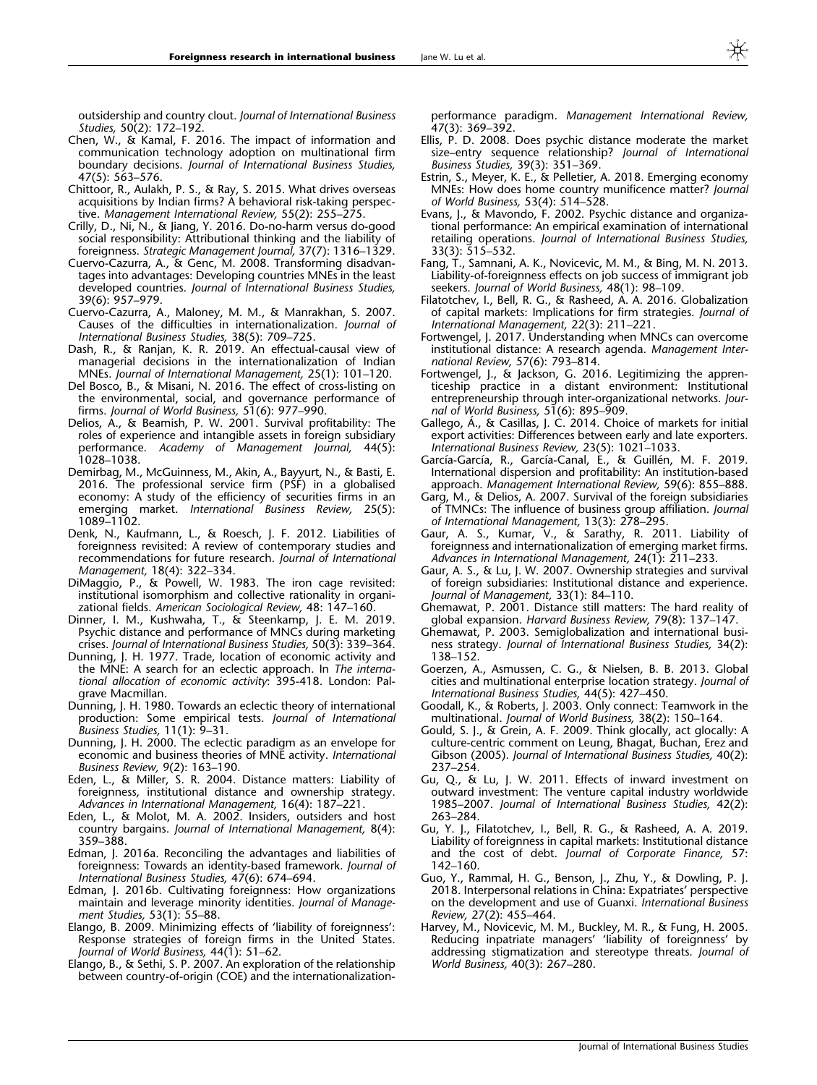<span id="page-21-0"></span>outsidership and country clout. Journal of International Business Studies, 50(2): 172–192.

- Chen, W.,  $\&$  Kamal, F. 2016. The impact of information and communication technology adoption on multinational firm boundary decisions. Journal of International Business Studies, 47(5): 563–576.
- Chittoor, R., Aulakh, P. S., & Ray, S. 2015. What drives overseas acquisitions by Indian firms? A behavioral risk-taking perspective. Management International Review, 55(2): 255-275.
- Crilly, D., Ni, N., & Jiang, Y. 2016. Do-no-harm versus do-good social responsibility: Attributional thinking and the liability of foreignness. Strategic Management Journal, 37(7): 1316–1329.
- Cuervo-Cazurra, A., & Genc, M. 2008. Transforming disadvantages into advantages: Developing countries MNEs in the least developed countries. Journal of International Business Studies, 39(6): 957–979.
- Cuervo-Cazurra, A., Maloney, M. M., & Manrakhan, S. 2007. Causes of the difficulties in internationalization. Journal of International Business Studies, 38(5): 709–725.
- Dash, R., & Ranjan, K. R. 2019. An effectual-causal view of managerial decisions in the internationalization of Indian MNEs. Journal of International Management, 25(1): 101–120.
- Del Bosco, B., & Misani, N. 2016. The effect of cross-listing on the environmental, social, and governance performance of firms. Journal of World Business, 51(6): 977–990.
- Delios, A., & Beamish, P. W. 2001. Survival profitability: The roles of experience and intangible assets in foreign subsidiary performance. Academy of Management Journal, 44(5): 1028–1038.
- Demirbag, M., McGuinness, M., Akin, A., Bayyurt, N., & Basti, E. 2016. The professional service firm (PSF) in a globalised economy: A study of the efficiency of securities firms in an emerging market. International Business Review, 25(5): 1089–1102.
- Denk, N., Kaufmann, L., & Roesch, J. F. 2012. Liabilities of foreignness revisited: A review of contemporary studies and recommendations for future research. Journal of International Management, 18(4): 322–334.
- DiMaggio, P., & Powell, W. 1983. The iron cage revisited: institutional isomorphism and collective rationality in organizational fields. American Sociological Review, 48: 147–160.
- Dinner, I. M., Kushwaha, T., & Steenkamp, J. E. M. 2019. Psychic distance and performance of MNCs during marketing crises. Journal of International Business Studies, 50(3): 339–364.
- Dunning, J. H. 1977. Trade, location of economic activity and the MNE: A search for an eclectic approach. In The international allocation of economic activity: 395-418. London: Palgrave Macmillan.
- Dunning, J. H. 1980. Towards an eclectic theory of international production: Some empirical tests. Journal of International Business Studies, 11(1): 9–31.
- Dunning, J. H. 2000. The eclectic paradigm as an envelope for economic and business theories of MNE activity. International Business Review, 9(2): 163–190.
- Eden, L., & Miller, S. R. 2004. Distance matters: Liability of foreignness, institutional distance and ownership strategy. Advances in International Management, 16(4): 187–221.
- Eden, L., & Molot, M. A. 2002. Insiders, outsiders and host country bargains. Journal of International Management, 8(4): 359–388.
- Edman, J. 2016a. Reconciling the advantages and liabilities of foreignness: Towards an identity-based framework. Journal of International Business Studies, 47(6): 674–694.
- Edman, J. 2016b. Cultivating foreignness: How organizations maintain and leverage minority identities. Journal of Management Studies, 53(1): 55–88.
- Elango, B. 2009. Minimizing effects of 'liability of foreignness': Response strategies of foreign firms in the United States. Journal of World Business, 44(1): 51–62.
- Elango, B., & Sethi, S. P. 2007. An exploration of the relationship between country-of-origin (COE) and the internationalization-

performance paradigm. Management International Review, 47(3): 369–392.

- Ellis, P. D. 2008. Does psychic distance moderate the market size–entry sequence relationship? Journal of International Business Studies, 39(3): 351–369.
- Estrin, S., Meyer, K. E., & Pelletier, A. 2018. Emerging economy MNEs: How does home country munificence matter? Journal of World Business, 53(4): 514–528.
- Evans, J., & Mavondo, F. 2002. Psychic distance and organizational performance: An empirical examination of international retailing operations. Journal of International Business Studies, 33(3): 515–532.
- Fang, T., Samnani, A. K., Novicevic, M. M., & Bing, M. N. 2013. Liability-of-foreignness effects on job success of immigrant job seekers. Journal of World Business, 48(1): 98-109.
- Filatotchev, I., Bell, R. G., & Rasheed, A. A. 2016. Globalization of capital markets: Implications for firm strategies. Journal of International Management, 22(3): 211–221.
- Fortwengel, J. 2017. Understanding when MNCs can overcome institutional distance: A research agenda. Management International Review, 57(6): 793–814.
- Fortwengel, J., & Jackson, G. 2016. Legitimizing the apprenticeship practice in a distant environment: Institutional entrepreneurship through inter-organizational networks. Journal of World Business, 51(6): 895–909.
- Gallego, A., & Casillas, J. C. 2014. Choice of markets for initial export activities: Differences between early and late exporters. International Business Review, 23(5): 1021–1033.
- García-García, R., García-Canal, E., & Guillén, M. F. 2019. International dispersion and profitability: An institution-based approach. Management International Review, 59(6): 855–888.
- Garg, M., & Delios, A. 2007. Survival of the foreign subsidiaries of TMNCs: The influence of business group affiliation. Journal of International Management, 13(3): 278–295.
- Gaur, A. S., Kumar, V., & Sarathy, R. 2011. Liability of foreignness and internationalization of emerging market firms. Advances in International Management, 24(1): 211–233.
- Gaur, A. S., & Lu, J. W. 2007. Ownership strategies and survival of foreign subsidiaries: Institutional distance and experience. Journal of Management, 33(1): 84–110.
- Ghemawat, P. 2001. Distance still matters: The hard reality of global expansion. Harvard Business Review, 79(8): 137–147.
- Ghemawat, P. 2003. Semiglobalization and international business strategy. Journal of International Business Studies, 34(2): 138–152.
- Goerzen, A., Asmussen, C. G., & Nielsen, B. B. 2013. Global cities and multinational enterprise location strategy. Journal of International Business Studies, 44(5): 427–450.
- Goodall, K., & Roberts, J. 2003. Only connect: Teamwork in the multinational. Journal of World Business, 38(2): 150–164.
- Gould, S. J., & Grein, A. F. 2009. Think glocally, act glocally: A culture-centric comment on Leung, Bhagat, Buchan, Erez and Gibson (2005). Journal of International Business Studies, 40(2): 237–254.
- Gu, Q., & Lu, J. W. 2011. Effects of inward investment on outward investment: The venture capital industry worldwide 1985–2007. Journal of International Business Studies, 42(2): 263–284.
- Gu, Y. J., Filatotchev, I., Bell, R. G., & Rasheed, A. A. 2019. Liability of foreignness in capital markets: Institutional distance and the cost of debt. Journal of Corporate Finance, 57: 142–160.
- Guo, Y., Rammal, H. G., Benson, J., Zhu, Y., & Dowling, P. J. 2018. Interpersonal relations in China: Expatriates' perspective on the development and use of Guanxi. International Business Review, 27(2): 455–464.
- Harvey, M., Novicevic, M. M., Buckley, M. R., & Fung, H. 2005. Reducing inpatriate managers' 'liability of foreignness' by addressing stigmatization and stereotype threats. Journal of World Business, 40(3): 267–280.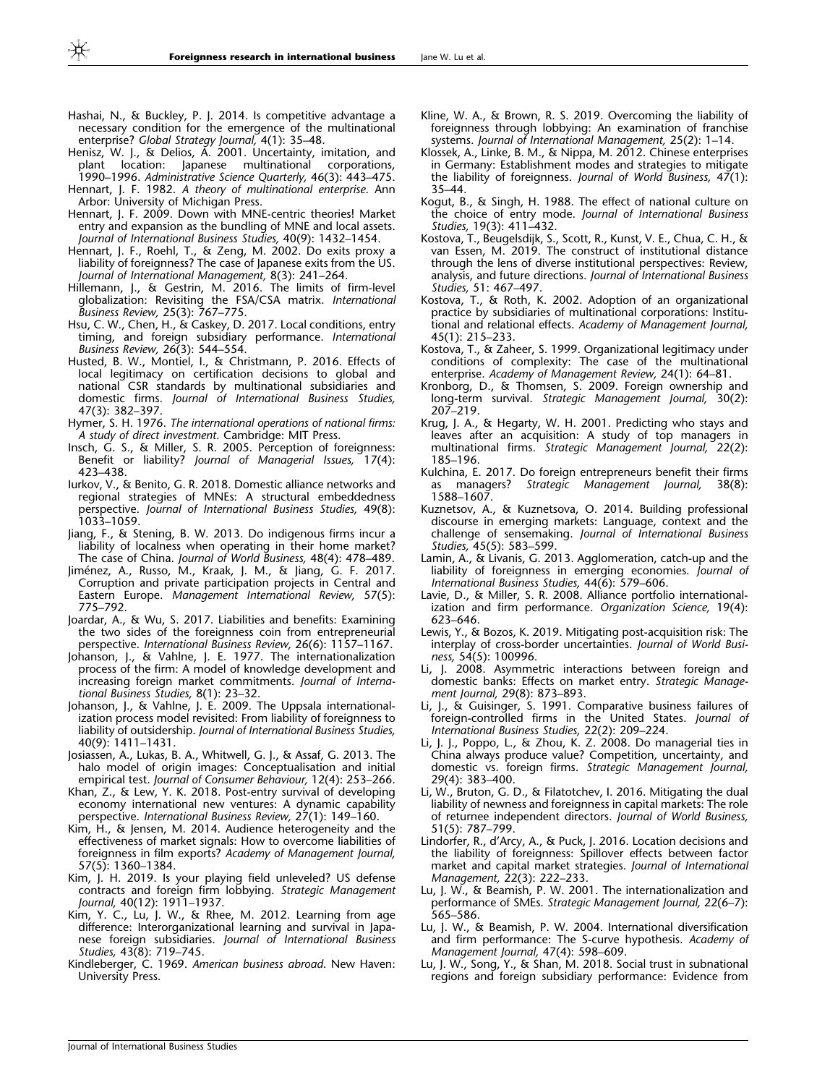- <span id="page-22-0"></span>Hashai, N., & Buckley, P. J. 2014. Is competitive advantage a necessary condition for the emergence of the multinational enterprise? Global Strategy Journal, 4(1): 35-48.
- Henisz, W. J., & Delios, A. 2001. Uncertainty, imitation, and plant location: Japanese multinational corporations, 1990–1996. Administrative Science Quarterly, 46(3): 443–475.
- Hennart, J. F. 1982. A theory of multinational enterprise. Ann Arbor: University of Michigan Press.
- Hennart, J. F. 2009. Down with MNE-centric theories! Market entry and expansion as the bundling of MNE and local assets. Journal of International Business Studies, 40(9): 1432–1454.
- Hennart, J. F., Roehl, T., & Zeng, M. 2002. Do exits proxy a liability of foreignness? The case of Japanese exits from the US. Journal of International Management, 8(3): 241–264.
- Hillemann, J., & Gestrin, M. 2016. The limits of firm-level globalization: Revisiting the FSA/CSA matrix. International Business Review, 25(3): 767–775.
- Hsu, C. W., Chen, H., & Caskey, D. 2017. Local conditions, entry timing, and foreign subsidiary performance. International Business Review, 26(3): 544–554.
- Husted, B. W., Montiel, I., & Christmann, P. 2016. Effects of local legitimacy on certification decisions to global and national CSR standards by multinational subsidiaries and domestic firms. Journal of International Business Studies, 47(3): 382–397.
- Hymer, S. H. 1976. The international operations of national firms: A study of direct investment. Cambridge: MIT Press.
- Insch, G. S., & Miller, S. R. 2005. Perception of foreignness: Benefit or liability? Journal of Managerial Issues, 17(4): 423–438.
- Iurkov, V., & Benito, G. R. 2018. Domestic alliance networks and regional strategies of MNEs: A structural embeddedness perspective. Journal of International Business Studies, 49(8): 1033–1059.
- Jiang, F., & Stening, B. W. 2013. Do indigenous firms incur a liability of localness when operating in their home market? The case of China. Journal of World Business, 48(4): 478–489.
- Jiménez, A., Russo, M., Kraak, J. M., & Jiang, G. F. 2017. Corruption and private participation projects in Central and Eastern Europe. Management International Review, 57(5): 775–792.
- Joardar, A., & Wu, S. 2017. Liabilities and benefits: Examining the two sides of the foreignness coin from entrepreneurial perspective. International Business Review, 26(6): 1157–1167.
- Johanson, J., & Vahlne, J. E. 1977. The internationalization process of the firm: A model of knowledge development and increasing foreign market commitments. Journal of International Business Studies, 8(1): 23–32.
- Johanson, J., & Vahlne, J. E. 2009. The Uppsala internationalization process model revisited: From liability of foreignness to liability of outsidership. Journal of International Business Studies, 40(9): 1411–1431.
- Josiassen, A., Lukas, B. A., Whitwell, G. J., & Assaf, G. 2013. The halo model of origin images: Conceptualisation and initial empirical test. Journal of Consumer Behaviour, 12(4): 253–266.
- Khan, Z., & Lew, Y. K. 2018. Post-entry survival of developing economy international new ventures: A dynamic capability perspective. International Business Review, 27(1): 149–160.
- Kim, H., & Jensen, M. 2014. Audience heterogeneity and the effectiveness of market signals: How to overcome liabilities of foreignness in film exports? Academy of Management Journal, 57(5): 1360–1384.
- Kim, J. H. 2019. Is your playing field unleveled? US defense contracts and foreign firm lobbying. Strategic Management Journal, 40(12): 1911–1937.
- Kim, Y. C., Lu, J. W., & Rhee, M. 2012. Learning from age difference: Interorganizational learning and survival in Japanese foreign subsidiaries. Journal of International Business Studies, 43(8): 719–745.
- Kindleberger, C. 1969. American business abroad. New Haven: University Press.
- Kline, W. A., & Brown, R. S. 2019. Overcoming the liability of foreignness through lobbying: An examination of franchise systems. Journal of International Management, 25(2): 1–14.
- Klossek, A., Linke, B. M., & Nippa, M. 2012. Chinese enterprises in Germany: Establishment modes and strategies to mitigate the liability of foreignness. Journal of World Business,  $47(1)$ : 35–44.
- Kogut, B., & Singh, H. 1988. The effect of national culture on the choice of entry mode. Journal of International Business Studies, 19(3): 411–432.
- Kostova, T., Beugelsdijk, S., Scott, R., Kunst, V. E., Chua, C. H., & van Essen, M. 2019. The construct of institutional distance through the lens of diverse institutional perspectives: Review, analysis, and future directions. Journal of International Business Studies, 51: 467–497.
- Kostova, T., & Roth, K. 2002. Adoption of an organizational practice by subsidiaries of multinational corporations: Institutional and relational effects. Academy of Management Journal, 45(1): 215–233.
- Kostova, T., & Zaheer, S. 1999. Organizational legitimacy under conditions of complexity: The case of the multinational enterprise. Academy of Management Review, 24(1): 64–81.
- Kronborg, D., & Thomsen, S. 2009. Foreign ownership and long-term survival. Strategic Management Journal, 30(2): 207–219.
- Krug, J. A., & Hegarty, W. H. 2001. Predicting who stays and leaves after an acquisition: A study of top managers in multinational firms. Strategic Management Journal, 22(2): 185–196.
- Kulchina, E. 2017. Do foreign entrepreneurs benefit their firms as managers? Strategic Management Journal, 38(8): 1588–1607.
- Kuznetsov, A., & Kuznetsova, O. 2014. Building professional discourse in emerging markets: Language, context and the challenge of sensemaking. Journal of International Business Studies, 45(5): 583-599.
- Lamin, A., & Livanis, G. 2013. Agglomeration, catch-up and the liability of foreignness in emerging economies. Journal of International Business Studies, 44(6): 579–606.
- Lavie, D., & Miller, S. R. 2008. Alliance portfolio internationalization and firm performance. Organization Science, 19(4): 623–646.
- Lewis, Y., & Bozos, K. 2019. Mitigating post-acquisition risk: The interplay of cross-border uncertainties. Journal of World Business, 54(5): 100996.
- Li, J. 2008. Asymmetric interactions between foreign and domestic banks: Effects on market entry. Strategic Management Journal, 29(8): 873–893.
- Li, J., & Guisinger, S. 1991. Comparative business failures of foreign-controlled firms in the United States. Journal of International Business Studies, 22(2): 209–224.
- Li, J. J., Poppo, L., & Zhou, K. Z. 2008. Do managerial ties in China always produce value? Competition, uncertainty, and domestic vs. foreign firms. Strategic Management Journal, 29(4): 383–400.
- Li, W., Bruton, G. D., & Filatotchev, I. 2016. Mitigating the dual liability of newness and foreignness in capital markets: The role of returnee independent directors. Journal of World Business, 51(5): 787–799.
- Lindorfer, R., d'Arcy, A., & Puck, J. 2016. Location decisions and the liability of foreignness: Spillover effects between factor market and capital market strategies. Journal of International Management, 22(3): 222–233.
- Lu, J. W., & Beamish, P. W. 2001. The internationalization and performance of SMEs. Strategic Management Journal, 22(6–7): 565–586.
- Lu, J. W., & Beamish, P. W. 2004. International diversification and firm performance: The S-curve hypothesis. Academy of Management Journal, 47(4): 598–609.
- Lu, J. W., Song, Y., & Shan, M. 2018. Social trust in subnational regions and foreign subsidiary performance: Evidence from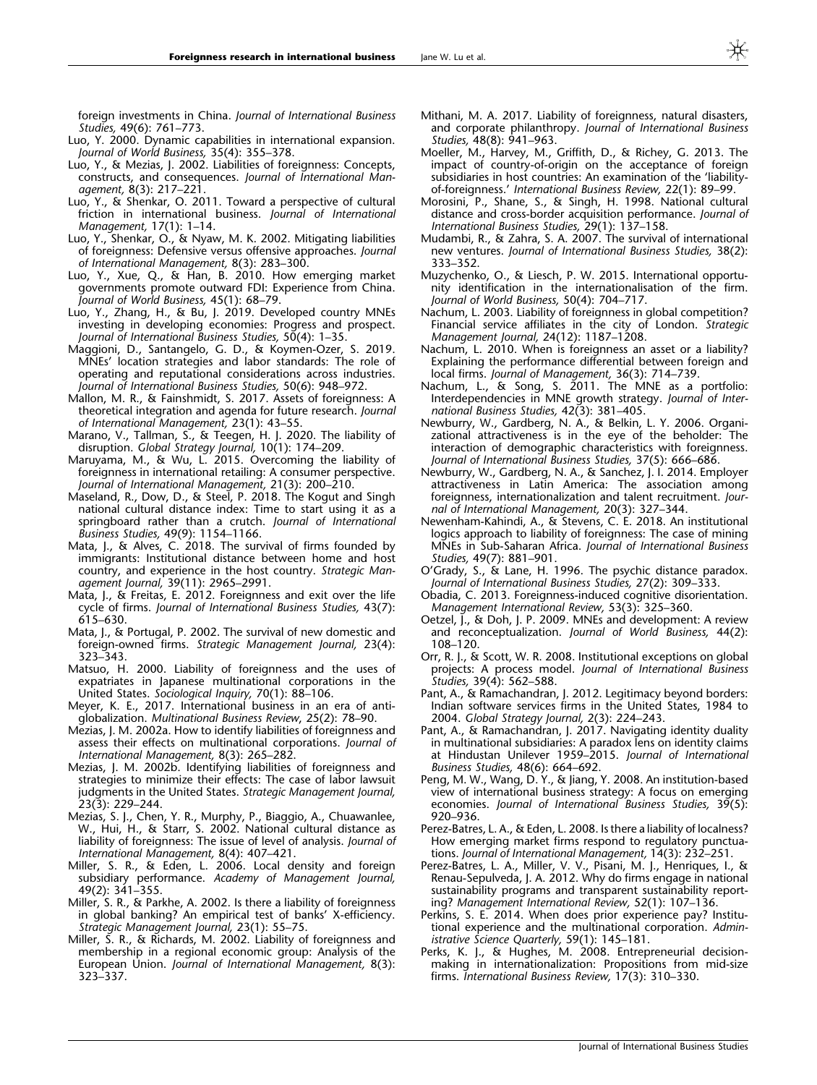<span id="page-23-0"></span>foreign investments in China. Journal of International Business Studies, 49(6): 761–773.

- Luo, Y. 2000. Dynamic capabilities in international expansion. Journal of World Business, 35(4): 355–378.
- Luo, Y., & Mezias, J. 2002. Liabilities of foreignness: Concepts, constructs, and consequences. Journal of International Management, 8(3): 217–221.
- Luo, Y., & Shenkar, O. 2011. Toward a perspective of cultural friction in international business. Journal of International Management, 17(1): 1–14.
- Luo, Y., Shenkar, O., & Nyaw, M. K. 2002. Mitigating liabilities of foreignness: Defensive versus offensive approaches. Journal of International Management, 8(3): 283–300.
- Luo, Y., Xue, Q., & Han, B. 2010. How emerging market governments promote outward FDI: Experience from China. Journal of World Business, 45(1): 68–79.
- Luo, Y., Zhang, H., & Bu, J. 2019. Developed country MNEs investing in developing economies: Progress and prospect. Journal of International Business Studies, 50(4): 1–35.
- Maggioni, D., Santangelo, G. D., & Koymen-Ozer, S. 2019. MNEs' location strategies and labor standards: The role of operating and reputational considerations across industries. Journal of International Business Studies, 50(6): 948–972.
- Mallon, M. R., & Fainshmidt, S. 2017. Assets of foreignness: A theoretical integration and agenda for future research. Journal of International Management, 23(1): 43-55.
- Marano, V., Tallman, S., & Teegen, H. J. 2020. The liability of disruption. Global Strategy Journal, 10(1): 174–209.
- Maruyama, M., & Wu, L. 2015. Overcoming the liability of foreignness in international retailing: A consumer perspective. Journal of International Management, 21(3): 200–210.
- Maseland, R., Dow, D., & Steel, P. 2018. The Kogut and Singh national cultural distance index: Time to start using it as a springboard rather than a crutch. Journal of International Business Studies, 49(9): 1154–1166.
- Mata, J., & Alves, C. 2018. The survival of firms founded by immigrants: Institutional distance between home and host country, and experience in the host country. Strategic Management Journal, 39(11): 2965–2991.
- Mata, J., & Freitas, E. 2012. Foreignness and exit over the life cycle of firms. Journal of International Business Studies, 43(7): 615–630.
- Mata, J., & Portugal, P. 2002. The survival of new domestic and foreign-owned firms. Strategic Management Journal, 23(4): 323–343.
- Matsuo, H. 2000. Liability of foreignness and the uses of expatriates in Japanese multinational corporations in the United States. Sociological Inquiry, 70(1): 88–106.
- Meyer, K. E., 2017. International business in an era of antiglobalization. Multinational Business Review, 25(2): 78–90.
- Mezias, J. M. 2002a. How to identify liabilities of foreignness and assess their effects on multinational corporations. Journal of International Management, 8(3): 265–282.
- Mezias, J. M. 2002b. Identifying liabilities of foreignness and strategies to minimize their effects: The case of labor lawsuit judgments in the United States. Strategic Management Journal, 23(3): 229–244.
- Mezias, S. J., Chen, Y. R., Murphy, P., Biaggio, A., Chuawanlee, W., Hui, H., & Starr, S. 2002. National cultural distance as liability of foreignness: The issue of level of analysis. Journal of International Management, 8(4): 407–421.
- Miller, S. R., & Eden, L. 2006. Local density and foreign subsidiary performance. Academy of Management Journal, 49(2): 341–355.
- Miller, S. R., & Parkhe, A. 2002. Is there a liability of foreignness in global banking? An empirical test of banks' X-efficiency. Strategic Management Journal, 23(1): 55–75.
- Miller, S. R., & Richards, M. 2002. Liability of foreignness and membership in a regional economic group: Analysis of the European Union. Journal of International Management, 8(3): 323–337.
- Mithani, M. A. 2017. Liability of foreignness, natural disasters, and corporate philanthropy. Journal of International Business Studies, 48(8): 941-963.
- Moeller, M., Harvey, M., Griffith, D., & Richey, G. 2013. The impact of country-of-origin on the acceptance of foreign subsidiaries in host countries: An examination of the 'liabilityof-foreignness.' International Business Review, 22(1): 89–99.
- Morosini, P., Shane, S., & Singh, H. 1998. National cultural distance and cross-border acquisition performance. Journal of International Business Studies, 29(1): 137–158.
- Mudambi, R., & Zahra, S. A. 2007. The survival of international new ventures. Journal of International Business Studies, 38(2): 333–352.
- Muzychenko, O., & Liesch, P. W. 2015. International opportunity identification in the internationalisation of the firm. Journal of World Business, 50(4): 704–717.
- Nachum, L. 2003. Liability of foreignness in global competition? Financial service affiliates in the city of London. Strategic Management Journal, 24(12): 1187-1208.
- Nachum, L. 2010. When is foreignness an asset or a liability? Explaining the performance differential between foreign and local firms. Journal of Management, 36(3): 714–739.
- Nachum, L., & Song, S. 2011. The MNE as a portfolio: Interdependencies in MNE growth strategy. Journal of International Business Studies, 42(3): 381–405.
- Newburry, W., Gardberg, N. A., & Belkin, L. Y. 2006. Organizational attractiveness is in the eye of the beholder: The interaction of demographic characteristics with foreignness. Journal of International Business Studies, 37(5): 666–686.
- Newburry, W., Gardberg, N. A., & Sanchez, J. I. 2014. Employer attractiveness in Latin America: The association among foreignness, internationalization and talent recruitment. Journal of International Management, 20(3): 327–344.
- Newenham-Kahindi, A., & Stevens, C. E. 2018. An institutional logics approach to liability of foreignness: The case of mining MNEs in Sub-Saharan Africa. Journal of International Business Studies, 49(7): 881–901.
- O'Grady, S., & Lane, H. 1996. The psychic distance paradox. Journal of International Business Studies, 27(2): 309–333.
- Obadia, C. 2013. Foreignness-induced cognitive disorientation. Management International Review, 53(3): 325–360.
- Oetzel, J., & Doh, J. P. 2009. MNEs and development: A review and reconceptualization. Journal of World Business, 44(2): 108–120.
- Orr, R. J., & Scott, W. R. 2008. Institutional exceptions on global projects: A process model. Journal of International Business Studies, 39(4): 562–588.
- Pant, A., & Ramachandran, J. 2012. Legitimacy beyond borders: Indian software services firms in the United States, 1984 to 2004. Global Strategy Journal, 2(3): 224–243.
- Pant, A., & Ramachandran, J. 2017. Navigating identity duality in multinational subsidiaries: A paradox lens on identity claims at Hindustan Unilever 1959–2015. Journal of International Business Studies, 48(6): 664–692.
- Peng, M. W., Wang, D. Y., & Jiang, Y. 2008. An institution-based view of international business strategy: A focus on emerging economies. Journal of International Business Studies, 39(5): 920–936.
- Perez-Batres, L. A., & Eden, L. 2008. Is there a liability of localness? How emerging market firms respond to regulatory punctuations. Journal of International Management, 14(3): 232–251.
- Perez-Batres, L. A., Miller, V. V., Pisani, M. J., Henriques, I., & Renau-Sepulveda, J. A. 2012. Why do firms engage in national sustainability programs and transparent sustainability reporting? Management International Review, 52(1): 107–136.
- Perkins, S. E. 2014. When does prior experience pay? Institutional experience and the multinational corporation. Administrative Science Quarterly, 59(1): 145–181.
- Perks, K. J., & Hughes, M. 2008. Entrepreneurial decisionmaking in internationalization: Propositions from mid-size firms. International Business Review, 17(3): 310–330.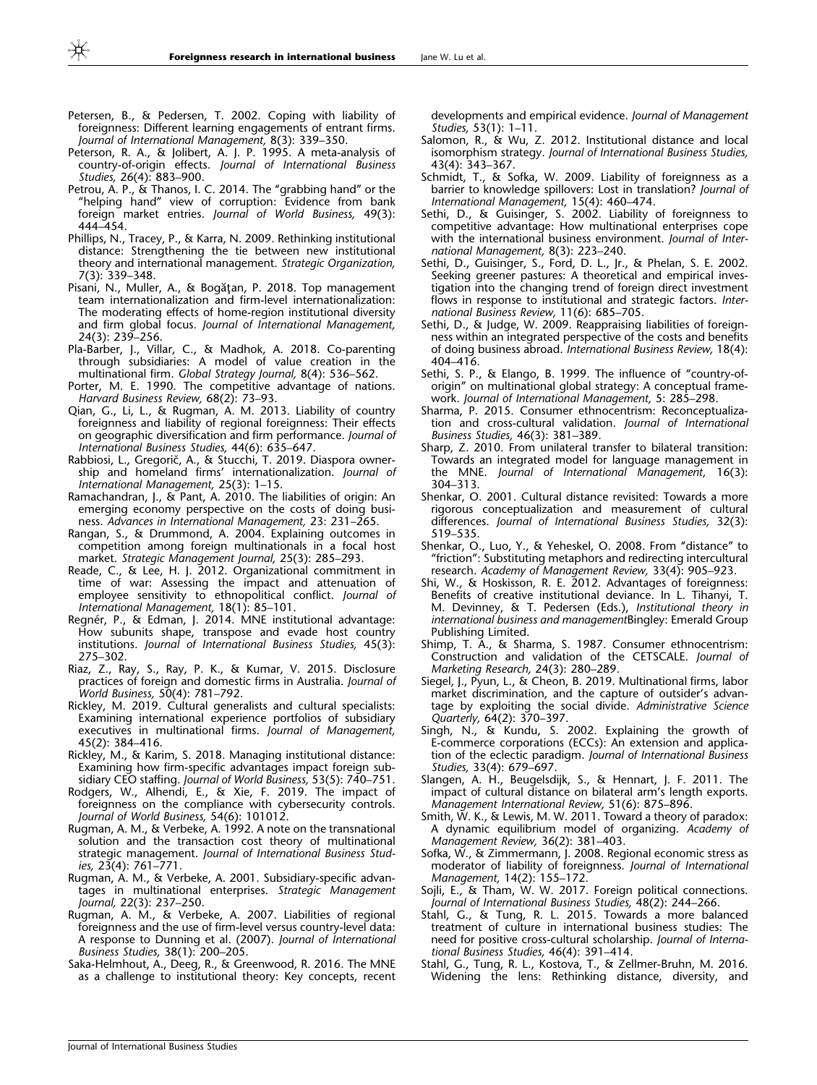- <span id="page-24-0"></span>Petersen, B., & Pedersen, T. 2002. Coping with liability of foreignness: Different learning engagements of entrant firms. Journal of International Management, 8(3): 339–350.
- Peterson, R. A., & Jolibert, A. J. P. 1995. A meta-analysis of country-of-origin effects. Journal of International Business Studies, 26(4): 883–900.
- Petrou, A. P., & Thanos, I. C. 2014. The "grabbing hand" or the ''helping hand'' view of corruption: Evidence from bank foreign market entries. Journal of World Business, 49(3): 444–454.
- Phillips, N., Tracey, P., & Karra, N. 2009. Rethinking institutional distance: Strengthening the tie between new institutional theory and international management. Strategic Organization, 7(3): 339–348.
- Pisani, N., Muller, A., & Bogățan, P. 2018. Top management team internationalization and firm-level internationalization: The moderating effects of home-region institutional diversity and firm global focus. Journal of International Management, 24(3): 239–256.
- Pla-Barber, J., Villar, C., & Madhok, A. 2018. Co-parenting through subsidiaries: A model of value creation in the multinational firm. Global Strategy Journal, 8(4): 536–562.
- Porter, M. E. 1990. The competitive advantage of nations. Harvard Business Review, 68(2): 73–93.
- Qian, G., Li, L., & Rugman, A. M. 2013. Liability of country foreignness and liability of regional foreignness: Their effects on geographic diversification and firm performance. Journal of International Business Studies, 44(6): 635–647.
- Rabbiosi, L., Gregorič, A., & Stucchi, T. 2019. Diaspora ownership and homeland firms' internationalization. Journal of International Management, 25(3): 1–15.
- Ramachandran, J., & Pant, A. 2010. The liabilities of origin: An emerging economy perspective on the costs of doing business. Advances in International Management, 23: 231–265.
- Rangan, S., & Drummond, A. 2004. Explaining outcomes in competition among foreign multinationals in a focal host market. Strategic Management Journal, 25(3): 285–293.
- Reade, C., & Lee, H. J. 2012. Organizational commitment in time of war: Assessing the impact and attenuation of employee sensitivity to ethnopolitical conflict. Journal of International Management, 18(1): 85–101.
- Regnér, P., & Edman, J. 2014. MNE institutional advantage: How subunits shape, transpose and evade host country institutions. Journal of International Business Studies, 45(3): 275–302.
- Riaz, Z., Ray, S., Ray, P. K., & Kumar, V. 2015. Disclosure practices of foreign and domestic firms in Australia. Journal of World Business, 50(4): 781–792.
- Rickley, M. 2019. Cultural generalists and cultural specialists: Examining international experience portfolios of subsidiary executives in multinational firms. Journal of Management, 45(2): 384–416.
- Rickley, M., & Karim, S. 2018. Managing institutional distance: Examining how firm-specific advantages impact foreign subsidiary CEO staffing. Journal of World Business, 53(5): 740–751.
- Rodgers, W., Alhendi, E., & Xie, F. 2019. The impact of foreignness on the compliance with cybersecurity controls. Journal of World Business, 54(6): 101012.
- Rugman, A. M., & Verbeke, A. 1992. A note on the transnational solution and the transaction cost theory of multinational strategic management. Journal of International Business Studies, 23(4): 761–771.
- Rugman, A. M., & Verbeke, A. 2001. Subsidiary-specific advantages in multinational enterprises. Strategic Management Journal, 22(3): 237–250.
- Rugman, A. M., & Verbeke, A. 2007. Liabilities of regional foreignness and the use of firm-level versus country-level data: A response to Dunning et al. (2007). Journal of International Business Studies, 38(1): 200–205.
- Saka-Helmhout, A., Deeg, R., & Greenwood, R. 2016. The MNE as a challenge to institutional theory: Key concepts, recent

developments and empirical evidence. Journal of Management Studies, 53(1): 1–11.

- Salomon, R., & Wu, Z. 2012. Institutional distance and local isomorphism strategy. Journal of International Business Studies, 43(4): 343–367.
- Schmidt, T., & Sofka, W. 2009. Liability of foreignness as a barrier to knowledge spillovers: Lost in translation? Journal of International Management, 15(4): 460–474.
- Sethi, D., & Guisinger, S. 2002. Liability of foreignness to competitive advantage: How multinational enterprises cope with the international business environment. Journal of International Management, 8(3): 223–240.
- Sethi, D., Guisinger, S., Ford, D. L., Jr., & Phelan, S. E. 2002. Seeking greener pastures: A theoretical and empirical investigation into the changing trend of foreign direct investment flows in response to institutional and strategic factors. International Business Review, 11(6): 685–705.
- Sethi, D., & Judge, W. 2009. Reappraising liabilities of foreignness within an integrated perspective of the costs and benefits of doing business abroad. International Business Review, 18(4): 404–416.
- Sethi, S. P., & Elango, B. 1999. The influence of ''country-oforigin'' on multinational global strategy: A conceptual framework. Journal of International Management, 5: 285–298.
- Sharma, P. 2015. Consumer ethnocentrism: Reconceptualization and cross-cultural validation. Journal of International Business Studies, 46(3): 381–389.
- Sharp, Z. 2010. From unilateral transfer to bilateral transition: Towards an integrated model for language management in the MNE. Journal of International Management, 16(3): 304–313.
- Shenkar, O. 2001. Cultural distance revisited: Towards a more rigorous conceptualization and measurement of cultural differences. Journal of International Business Studies, 32(3): 519–535.
- Shenkar, O., Luo, Y., & Yeheskel, O. 2008. From ''distance'' to ''friction'': Substituting metaphors and redirecting intercultural research. Academy of Management Review, 33(4): 905–923.
- Shi, W., & Hoskisson, R. E. 2012. Advantages of foreignness: Benefits of creative institutional deviance. In L. Tihanyi, T. M. Devinney, & T. Pedersen (Eds.), Institutional theory in international business and managementBingley: Emerald Group Publishing Limited.
- Shimp, T. A., & Sharma, S. 1987. Consumer ethnocentrism: Construction and validation of the CETSCALE. Journal of Marketing Research, 24(3): 280–289.
- Siegel, J., Pyun, L., & Cheon, B. 2019. Multinational firms, labor market discrimination, and the capture of outsider's advantage by exploiting the social divide. Administrative Science Quarterly, 64(2): 370–397.
- Singh, N., & Kundu, S. 2002. Explaining the growth of E-commerce corporations (ECCs): An extension and application of the eclectic paradigm. Journal of International Business Studies, 33(4): 679–697.
- Slangen, A. H., Beugelsdijk, S., & Hennart, J. F. 2011. The impact of cultural distance on bilateral arm's length exports. Management International Review, 51(6): 875–896.
- Smith, W. K., & Lewis, M. W. 2011. Toward a theory of paradox: A dynamic equilibrium model of organizing. Academy of Management Review, 36(2): 381–403.
- Sofka, W., & Zimmermann, J. 2008. Regional economic stress as moderator of liability of foreignness. Journal of International Management, 14(2): 155–172.
- Sojli, E., & Tham, W. W. 2017. Foreign political connections. Journal of International Business Studies, 48(2): 244–266.
- Stahl, G., & Tung, R. L. 2015. Towards a more balanced treatment of culture in international business studies: The need for positive cross-cultural scholarship. Journal of International Business Studies, 46(4): 391–414.
- Stahl, G., Tung, R. L., Kostova, T., & Zellmer-Bruhn, M. 2016. Widening the lens: Rethinking distance, diversity, and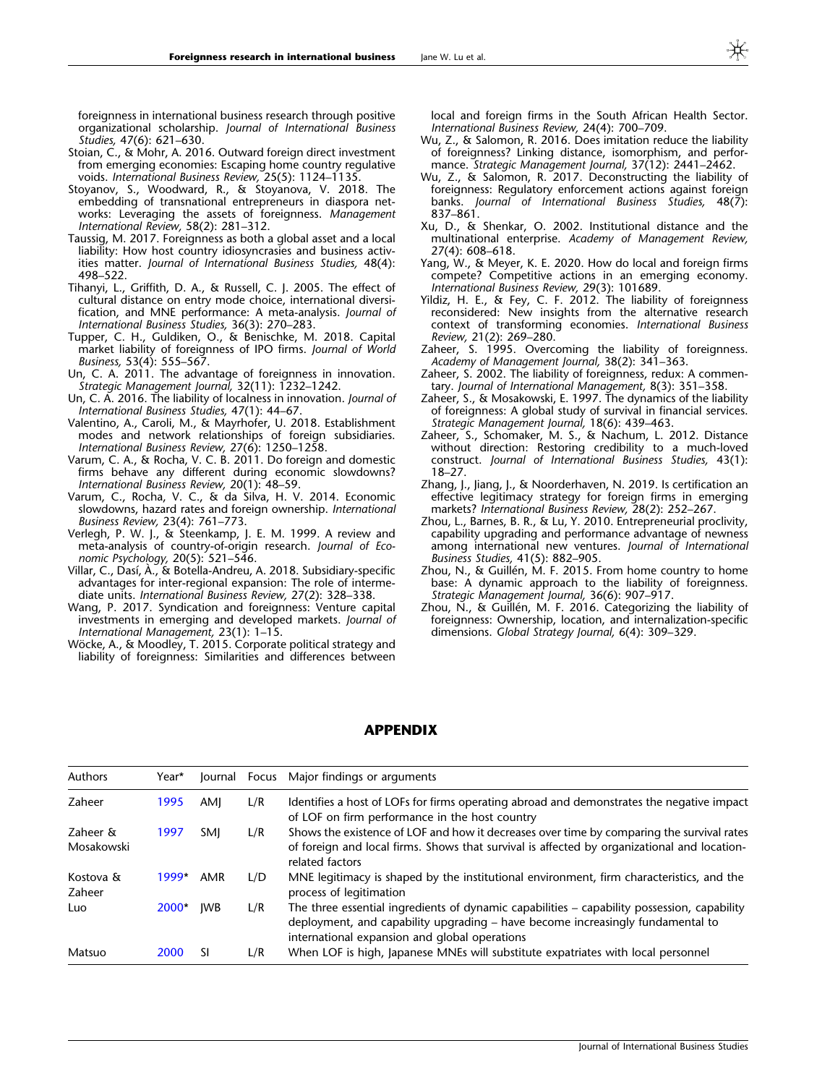<span id="page-25-0"></span>foreignness in international business research through positive organizational scholarship. Journal of International Business Studies, 47(6): 621–630.

- Stoian, C., & Mohr, A. 2016. Outward foreign direct investment from emerging economies: Escaping home country regulative voids. International Business Review, 25(5): 1124–1135.
- Stoyanov, S., Woodward, R., & Stoyanova, V. 2018. The embedding of transnational entrepreneurs in diaspora networks: Leveraging the assets of foreignness. Management International Review, 58(2): 281–312.
- Taussig, M. 2017. Foreignness as both a global asset and a local liability: How host country idiosyncrasies and business activities matter. Journal of International Business Studies, 48(4): 498–522.
- Tihanyi, L., Griffith, D. A., & Russell, C. J. 2005. The effect of cultural distance on entry mode choice, international diversification, and MNE performance: A meta-analysis. Journal of International Business Studies, 36(3): 270–283.
- Tupper, C. H., Guldiken, O., & Benischke, M. 2018. Capital market liability of foreignness of IPO firms. Journal of World Business, 53(4): 555–567.
- Un, C. A. 2011. The advantage of foreignness in innovation. Strategic Management Journal, 32(11): 1232–1242.
- Un, C. A. 2016. The liability of localness in innovation. Journal of International Business Studies, 47(1): 44–67.
- Valentino, A., Caroli, M., & Mayrhofer, U. 2018. Establishment modes and network relationships of foreign subsidiaries. International Business Review, 27(6): 1250–1258.
- Varum, C. A., & Rocha, V. C. B. 2011. Do foreign and domestic firms behave any different during economic slowdowns? International Business Review, 20(1): 48–59.
- Varum, C., Rocha, V. C., & da Silva, H. V. 2014. Economic slowdowns, hazard rates and foreign ownership. International Business Review, 23(4): 761–773.
- Verlegh, P. W. J., & Steenkamp, J. E. M. 1999. A review and meta-analysis of country-of-origin research. Journal of Economic Psychology, 20(5): 521–546.
- Villar, C., Dasí, A., & Botella-Andreu, A. 2018. Subsidiary-specific advantages for inter-regional expansion: The role of intermediate units. International Business Review, 27(2): 328–338.
- Wang, P. 2017. Syndication and foreignness: Venture capital investments in emerging and developed markets. Journal of International Management, 23(1): 1–15.
- Wöcke, A., & Moodley, T. 2015. Corporate political strategy and liability of foreignness: Similarities and differences between

local and foreign firms in the South African Health Sector. International Business Review, 24(4): 700–709.

- Wu, Z., & Salomon, R. 2016. Does imitation reduce the liability of foreignness? Linking distance, isomorphism, and performance. Strategic Management Journal, 37(12): 2441-2462.
- Wu, Z., & Salomon, R. 2017. Deconstructing the liability of foreignness: Regulatory enforcement actions against foreign banks. Journal of International Business Studies, 48(7): 837–861.
- Xu, D., & Shenkar, O. 2002. Institutional distance and the multinational enterprise. Academy of Management Review, 27(4): 608–618.
- Yang, W., & Meyer, K. E. 2020. How do local and foreign firms compete? Competitive actions in an emerging economy. International Business Review, 29(3): 101689.
- Yildiz, H. E., & Fey, C. F. 2012. The liability of foreignness reconsidered: New insights from the alternative research context of transforming economies. International Business Review, 21(2): 269–280.
- Zaheer, S. 1995. Overcoming the liability of foreignness. Academy of Management Journal, 38(2): 341-363.
- Zaheer, S. 2002. The liability of foreignness, redux: A commentary. Journal of International Management, 8(3): 351–358.
- Zaheer, S., & Mosakowski, E. 1997. The dynamics of the liability of foreignness: A global study of survival in financial services. Strategic Management Journal, 18(6): 439-463.
- Zaheer, S., Schomaker, M. S., & Nachum, L. 2012. Distance without direction: Restoring credibility to a much-loved construct. Journal of International Business Studies, 43(1): 18–27.
- Zhang, J., Jiang, J., & Noorderhaven, N. 2019. Is certification an effective legitimacy strategy for foreign firms in emerging markets? International Business Review, 28(2): 252-267.
- Zhou, L., Barnes, B. R., & Lu, Y. 2010. Entrepreneurial proclivity, capability upgrading and performance advantage of newness among international new ventures. Journal of International Business Studies, 41(5): 882–905.
- Zhou, N., & Guillén, M. F. 2015. From home country to home base: A dynamic approach to the liability of foreignness. Strategic Management Journal, 36(6): 907–917.
- Zhou, N., & Guillén, M. F. 2016. Categorizing the liability of foreignness: Ownership, location, and internalization-specific dimensions. Global Strategy Journal, 6(4): 309–329.

#### APPENDIX

| Authors                | Year*    |            |     | Journal Focus Major findings or arguments                                                                                                                                                                                      |
|------------------------|----------|------------|-----|--------------------------------------------------------------------------------------------------------------------------------------------------------------------------------------------------------------------------------|
| Zaheer                 | 1995     | AMI        | L/R | Identifies a host of LOFs for firms operating abroad and demonstrates the negative impact<br>of LOF on firm performance in the host country                                                                                    |
| Zaheer &<br>Mosakowski | 1997     | SMI        | L/R | Shows the existence of LOF and how it decreases over time by comparing the survival rates<br>of foreign and local firms. Shows that survival is affected by organizational and location-<br>related factors                    |
| Kostova &<br>Zaheer    | $1999 -$ | AMR        | L/D | MNE legitimacy is shaped by the institutional environment, firm characteristics, and the<br>process of legitimation                                                                                                            |
| Luo                    | $2000*$  | <b>IWB</b> | L/R | The three essential ingredients of dynamic capabilities – capability possession, capability<br>deployment, and capability upgrading - have become increasingly fundamental to<br>international expansion and global operations |
| Matsuo                 | 2000     | SI.        | L/R | When LOF is high, Japanese MNEs will substitute expatriates with local personnel                                                                                                                                               |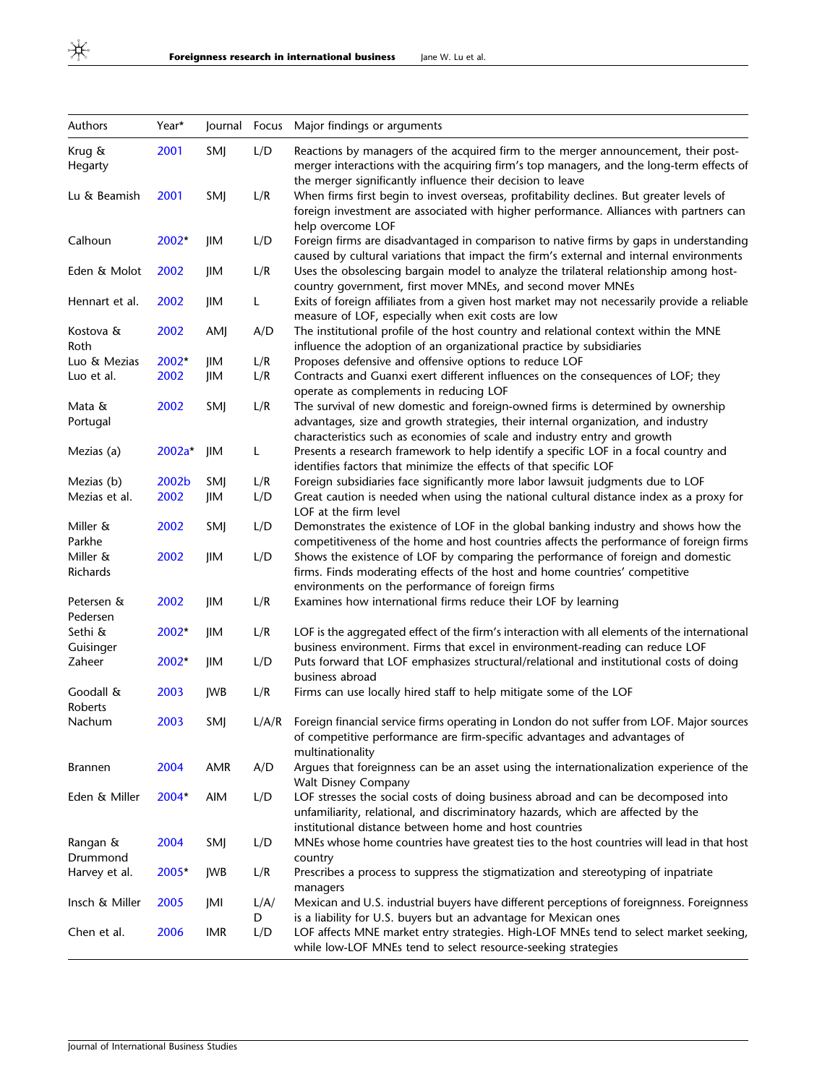| Authors                | Year*    | Journal    | Focus     | Major findings or arguments                                                                                                                                                                                                                      |
|------------------------|----------|------------|-----------|--------------------------------------------------------------------------------------------------------------------------------------------------------------------------------------------------------------------------------------------------|
| Krug &<br>Hegarty      | 2001     | SMJ        | L/D       | Reactions by managers of the acquired firm to the merger announcement, their post-<br>merger interactions with the acquiring firm's top managers, and the long-term effects of<br>the merger significantly influence their decision to leave     |
| Lu & Beamish           | 2001     | <b>SMJ</b> | L/R       | When firms first begin to invest overseas, profitability declines. But greater levels of<br>foreign investment are associated with higher performance. Alliances with partners can<br>help overcome LOF                                          |
| Calhoun                | 2002*    | JIМ        | L/D       | Foreign firms are disadvantaged in comparison to native firms by gaps in understanding<br>caused by cultural variations that impact the firm's external and internal environments                                                                |
| Eden & Molot           | 2002     | JIМ        | L/R       | Uses the obsolescing bargain model to analyze the trilateral relationship among host-<br>country government, first mover MNEs, and second mover MNEs                                                                                             |
| Hennart et al.         | 2002     | JIМ        | L         | Exits of foreign affiliates from a given host market may not necessarily provide a reliable<br>measure of LOF, especially when exit costs are low                                                                                                |
| Kostova &<br>Roth      | 2002     | AMJ        | A/D       | The institutional profile of the host country and relational context within the MNE<br>influence the adoption of an organizational practice by subsidiaries                                                                                      |
| Luo & Mezias           | 2002*    | JIM        | L/R       | Proposes defensive and offensive options to reduce LOF                                                                                                                                                                                           |
| Luo et al.             | 2002     | JIM        | L/R       | Contracts and Guanxi exert different influences on the consequences of LOF; they<br>operate as complements in reducing LOF                                                                                                                       |
| Mata &<br>Portugal     | 2002     | SMJ        | L/R       | The survival of new domestic and foreign-owned firms is determined by ownership<br>advantages, size and growth strategies, their internal organization, and industry<br>characteristics such as economies of scale and industry entry and growth |
| Mezias (a)             | $2002a*$ | JIМ        | L         | Presents a research framework to help identify a specific LOF in a focal country and<br>identifies factors that minimize the effects of that specific LOF                                                                                        |
| Mezias (b)             | 2002b    | <b>SMJ</b> | L/R       | Foreign subsidiaries face significantly more labor lawsuit judgments due to LOF                                                                                                                                                                  |
| Mezias et al.          | 2002     | JIM        | L/D       | Great caution is needed when using the national cultural distance index as a proxy for<br>LOF at the firm level                                                                                                                                  |
| Miller &<br>Parkhe     | 2002     | SMJ        | L/D       | Demonstrates the existence of LOF in the global banking industry and shows how the<br>competitiveness of the home and host countries affects the performance of foreign firms                                                                    |
| Miller &<br>Richards   | 2002     | JIМ        | L/D       | Shows the existence of LOF by comparing the performance of foreign and domestic<br>firms. Finds moderating effects of the host and home countries' competitive<br>environments on the performance of foreign firms                               |
| Petersen &<br>Pedersen | 2002     | JIМ        | L/R       | Examines how international firms reduce their LOF by learning                                                                                                                                                                                    |
| Sethi &<br>Guisinger   | 2002*    | JIM        | L/R       | LOF is the aggregated effect of the firm's interaction with all elements of the international<br>business environment. Firms that excel in environment-reading can reduce LOF                                                                    |
| Zaheer                 | 2002*    | JIМ        | L/D       | Puts forward that LOF emphasizes structural/relational and institutional costs of doing<br>business abroad                                                                                                                                       |
| Goodall &<br>Roberts   | 2003     | <b>JWB</b> | L/R       | Firms can use locally hired staff to help mitigate some of the LOF                                                                                                                                                                               |
| Nachum                 | 2003     | <b>SMJ</b> | L/A/R     | Foreign financial service firms operating in London do not suffer from LOF. Major sources<br>of competitive performance are firm-specific advantages and advantages of<br>multinationality                                                       |
| <b>Brannen</b>         | 2004     | AMR        | A/D       | Argues that foreignness can be an asset using the internationalization experience of the<br>Walt Disney Company                                                                                                                                  |
| Eden & Miller          | $2004*$  | AIM        | L/D       | LOF stresses the social costs of doing business abroad and can be decomposed into<br>unfamiliarity, relational, and discriminatory hazards, which are affected by the<br>institutional distance between home and host countries                  |
| Rangan &<br>Drummond   | 2004     | <b>SMJ</b> | L/D       | MNEs whose home countries have greatest ties to the host countries will lead in that host<br>country                                                                                                                                             |
| Harvey et al.          | 2005*    | <b>JWB</b> | L/R       | Prescribes a process to suppress the stigmatization and stereotyping of inpatriate<br>managers                                                                                                                                                   |
| Insch & Miller         | 2005     | JMI        | L/A/<br>D | Mexican and U.S. industrial buyers have different perceptions of foreignness. Foreignness<br>is a liability for U.S. buyers but an advantage for Mexican ones                                                                                    |
| Chen et al.            | 2006     | IMR        | L/D       | LOF affects MNE market entry strategies. High-LOF MNEs tend to select market seeking,<br>while low-LOF MNEs tend to select resource-seeking strategies                                                                                           |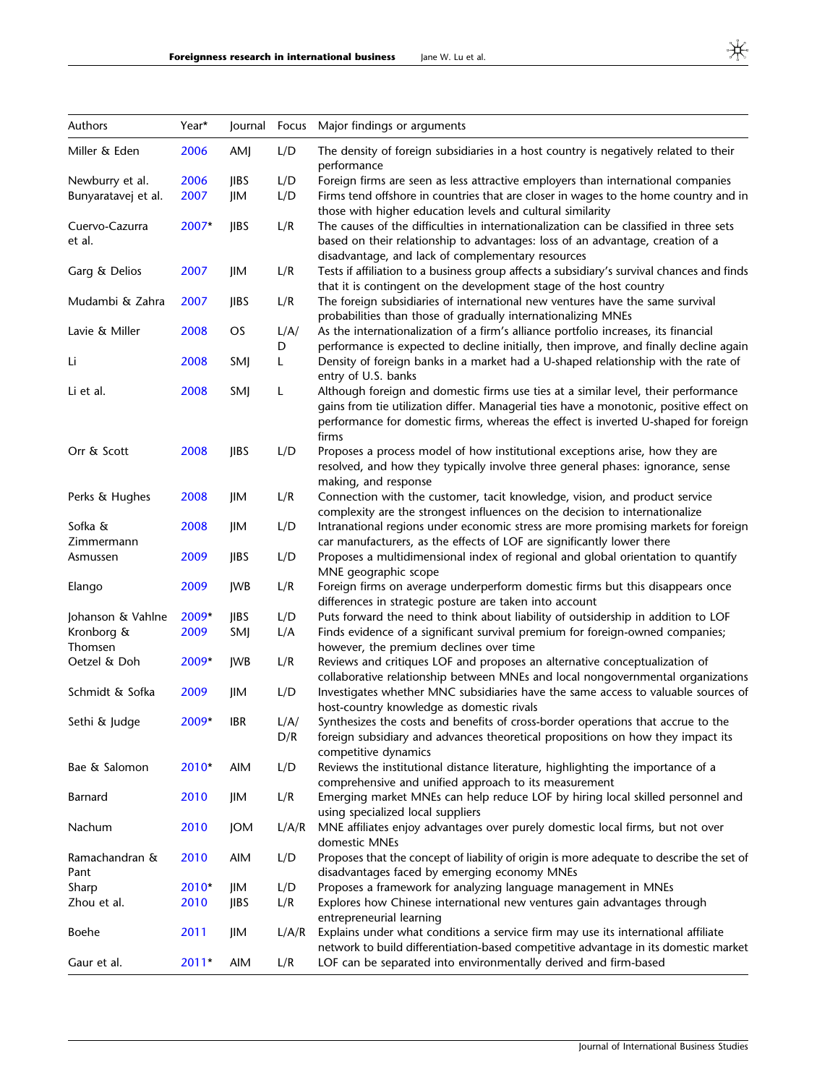$\frac{\lambda}{\lambda}$ 

| <b>Authors</b>           | Year*   | Journal Focus |             | Major findings or arguments                                                                                                                                                                                                                                                   |
|--------------------------|---------|---------------|-------------|-------------------------------------------------------------------------------------------------------------------------------------------------------------------------------------------------------------------------------------------------------------------------------|
| Miller & Eden            | 2006    | <b>AMJ</b>    | L/D         | The density of foreign subsidiaries in a host country is negatively related to their<br>performance                                                                                                                                                                           |
| Newburry et al.          | 2006    | <b>JIBS</b>   | L/D         | Foreign firms are seen as less attractive employers than international companies                                                                                                                                                                                              |
| Bunyaratavej et al.      | 2007    | JIM           | L/D         | Firms tend offshore in countries that are closer in wages to the home country and in<br>those with higher education levels and cultural similarity                                                                                                                            |
| Cuervo-Cazurra<br>et al. | 2007*   | <b>JIBS</b>   | L/R         | The causes of the difficulties in internationalization can be classified in three sets<br>based on their relationship to advantages: loss of an advantage, creation of a<br>disadvantage, and lack of complementary resources                                                 |
| Garg & Delios            | 2007    | JIМ           | L/R         | Tests if affiliation to a business group affects a subsidiary's survival chances and finds<br>that it is contingent on the development stage of the host country                                                                                                              |
| Mudambi & Zahra          | 2007    | JIBS          | L/R         | The foreign subsidiaries of international new ventures have the same survival<br>probabilities than those of gradually internationalizing MNEs                                                                                                                                |
| Lavie & Miller           | 2008    | <b>OS</b>     | L/A/<br>D   | As the internationalization of a firm's alliance portfolio increases, its financial<br>performance is expected to decline initially, then improve, and finally decline again                                                                                                  |
| Li                       | 2008    | SMJ           | Г           | Density of foreign banks in a market had a U-shaped relationship with the rate of<br>entry of U.S. banks                                                                                                                                                                      |
| Li et al.                | 2008    | <b>SMJ</b>    | L           | Although foreign and domestic firms use ties at a similar level, their performance<br>gains from tie utilization differ. Managerial ties have a monotonic, positive effect on<br>performance for domestic firms, whereas the effect is inverted U-shaped for foreign<br>firms |
| Orr & Scott              | 2008    | <b>JIBS</b>   | L/D         | Proposes a process model of how institutional exceptions arise, how they are<br>resolved, and how they typically involve three general phases: ignorance, sense<br>making, and response                                                                                       |
| Perks & Hughes           | 2008    | JIM           | L/R         | Connection with the customer, tacit knowledge, vision, and product service<br>complexity are the strongest influences on the decision to internationalize                                                                                                                     |
| Sofka &<br>Zimmermann    | 2008    | JIМ           | L/D         | Intranational regions under economic stress are more promising markets for foreign<br>car manufacturers, as the effects of LOF are significantly lower there                                                                                                                  |
| Asmussen                 | 2009    | <b>JIBS</b>   | L/D         | Proposes a multidimensional index of regional and global orientation to quantify<br>MNE geographic scope                                                                                                                                                                      |
| Elango                   | 2009    | <b>JWB</b>    | L/R         | Foreign firms on average underperform domestic firms but this disappears once<br>differences in strategic posture are taken into account                                                                                                                                      |
| Johanson & Vahlne        | $2009*$ | JIBS          | L/D         | Puts forward the need to think about liability of outsidership in addition to LOF                                                                                                                                                                                             |
| Kronborg &<br>Thomsen    | 2009    | <b>SMJ</b>    | L/A         | Finds evidence of a significant survival premium for foreign-owned companies;<br>however, the premium declines over time                                                                                                                                                      |
| Oetzel & Doh             | 2009*   | <b>JWB</b>    | L/R         | Reviews and critiques LOF and proposes an alternative conceptualization of<br>collaborative relationship between MNEs and local nongovernmental organizations                                                                                                                 |
| Schmidt & Sofka          | 2009    | JIМ           | L/D         | Investigates whether MNC subsidiaries have the same access to valuable sources of<br>host-country knowledge as domestic rivals                                                                                                                                                |
| Sethi & Judge            | 2009*   | IBR           | L/A/<br>D/R | Synthesizes the costs and benefits of cross-border operations that accrue to the<br>foreign subsidiary and advances theoretical propositions on how they impact its<br>competitive dynamics                                                                                   |
| Bae & Salomon            | $2010*$ | AIM           | L/D         | Reviews the institutional distance literature, highlighting the importance of a<br>comprehensive and unified approach to its measurement                                                                                                                                      |
| Barnard                  | 2010    | JIM           | L/R         | Emerging market MNEs can help reduce LOF by hiring local skilled personnel and<br>using specialized local suppliers                                                                                                                                                           |
| Nachum                   | 2010    | JOM           | L/A/R       | MNE affiliates enjoy advantages over purely domestic local firms, but not over<br>domestic MNEs                                                                                                                                                                               |
| Ramachandran &<br>Pant   | 2010    | AIM           | L/D         | Proposes that the concept of liability of origin is more adequate to describe the set of<br>disadvantages faced by emerging economy MNEs                                                                                                                                      |
| Sharp                    | 2010*   | JIM           | L/D         | Proposes a framework for analyzing language management in MNEs                                                                                                                                                                                                                |
| Zhou et al.              | 2010    | JIBS          | L/R         | Explores how Chinese international new ventures gain advantages through<br>entrepreneurial learning                                                                                                                                                                           |
| Boehe                    | 2011    | JIM           | L/A/R       | Explains under what conditions a service firm may use its international affiliate<br>network to build differentiation-based competitive advantage in its domestic market                                                                                                      |
| Gaur et al.              | $2011*$ | AIM           | L/R         | LOF can be separated into environmentally derived and firm-based                                                                                                                                                                                                              |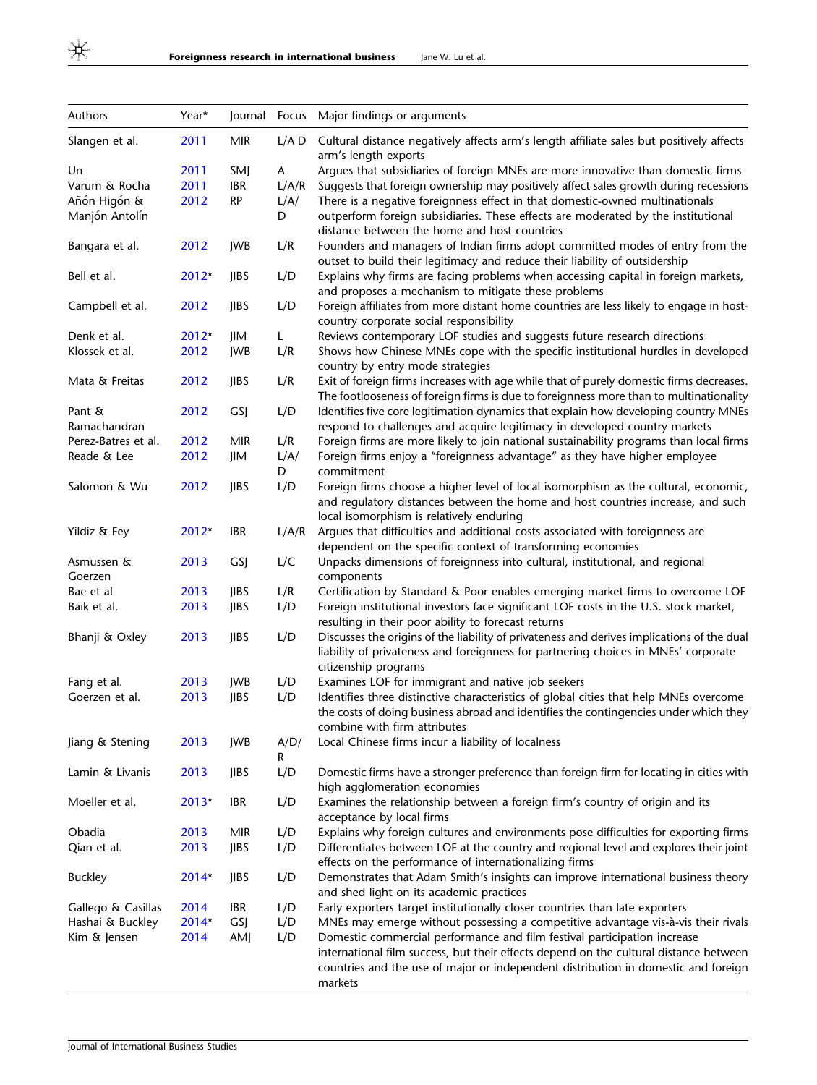| Authors             | Year*   |             |           | Journal Focus Major findings or arguments                                                                            |
|---------------------|---------|-------------|-----------|----------------------------------------------------------------------------------------------------------------------|
| Slangen et al.      | 2011    | <b>MIR</b>  | $L/A$ D   | Cultural distance negatively affects arm's length affiliate sales but positively affects<br>arm's length exports     |
| Un                  | 2011    | <b>SMJ</b>  | A         | Argues that subsidiaries of foreign MNEs are more innovative than domestic firms                                     |
| Varum & Rocha       | 2011    | IBR         | L/A/R     | Suggests that foreign ownership may positively affect sales growth during recessions                                 |
| Añón Higón &        | 2012    | RP          | L/A/      | There is a negative foreignness effect in that domestic-owned multinationals                                         |
| Manjón Antolín      |         |             | D         | outperform foreign subsidiaries. These effects are moderated by the institutional                                    |
|                     |         |             |           | distance between the home and host countries                                                                         |
| Bangara et al.      | 2012    | <b>JWB</b>  | L/R       | Founders and managers of Indian firms adopt committed modes of entry from the                                        |
|                     |         |             |           | outset to build their legitimacy and reduce their liability of outsidership                                          |
| Bell et al.         | $2012*$ | <b>JIBS</b> | L/D       | Explains why firms are facing problems when accessing capital in foreign markets,                                    |
|                     |         |             |           | and proposes a mechanism to mitigate these problems                                                                  |
| Campbell et al.     | 2012    | <b>JIBS</b> | L/D       | Foreign affiliates from more distant home countries are less likely to engage in host-                               |
|                     |         |             |           | country corporate social responsibility                                                                              |
| Denk et al.         | $2012*$ | JIM         | L         | Reviews contemporary LOF studies and suggests future research directions                                             |
| Klossek et al.      | 2012    | <b>JWB</b>  | L/R       | Shows how Chinese MNEs cope with the specific institutional hurdles in developed                                     |
|                     |         |             |           | country by entry mode strategies                                                                                     |
| Mata & Freitas      | 2012    | JIBS        | L/R       | Exit of foreign firms increases with age while that of purely domestic firms decreases.                              |
|                     |         |             |           | The footlooseness of foreign firms is due to foreignness more than to multinationality                               |
| Pant &              | 2012    | GSJ         | L/D       | Identifies five core legitimation dynamics that explain how developing country MNEs                                  |
| Ramachandran        |         |             |           | respond to challenges and acquire legitimacy in developed country markets                                            |
| Perez-Batres et al. | 2012    | <b>MIR</b>  | L/R       | Foreign firms are more likely to join national sustainability programs than local firms                              |
| Reade & Lee         | 2012    | JIM         | L/A/<br>D | Foreign firms enjoy a "foreignness advantage" as they have higher employee<br>commitment                             |
| Salomon & Wu        | 2012    | <b>JIBS</b> | L/D       | Foreign firms choose a higher level of local isomorphism as the cultural, economic,                                  |
|                     |         |             |           | and regulatory distances between the home and host countries increase, and such                                      |
|                     |         |             |           | local isomorphism is relatively enduring                                                                             |
| Yildiz & Fey        | 2012*   | IBR         | L/A/R     | Argues that difficulties and additional costs associated with foreignness are                                        |
|                     |         |             |           | dependent on the specific context of transforming economies                                                          |
| Asmussen &          | 2013    | GSJ         | L/C       | Unpacks dimensions of foreignness into cultural, institutional, and regional                                         |
| Goerzen             |         |             |           | components                                                                                                           |
| Bae et al           | 2013    | JIBS        | L/R       | Certification by Standard & Poor enables emerging market firms to overcome LOF                                       |
| Baik et al.         | 2013    | JIBS        | L/D       | Foreign institutional investors face significant LOF costs in the U.S. stock market,                                 |
|                     |         |             |           | resulting in their poor ability to forecast returns                                                                  |
| Bhanji & Oxley      | 2013    | <b>JIBS</b> | L/D       | Discusses the origins of the liability of privateness and derives implications of the dual                           |
|                     |         |             |           | liability of privateness and foreignness for partnering choices in MNEs' corporate                                   |
|                     |         |             |           | citizenship programs                                                                                                 |
| Fang et al.         | 2013    | JWB         | L/D       | Examines LOF for immigrant and native job seekers                                                                    |
| Goerzen et al.      | 2013    | <b>JIBS</b> | L/D       | Identifies three distinctive characteristics of global cities that help MNEs overcome                                |
|                     |         |             |           | the costs of doing business abroad and identifies the contingencies under which they<br>combine with firm attributes |
| Jiang & Stening     | 2013    | JWB         | A/D/      | Local Chinese firms incur a liability of localness                                                                   |
|                     |         |             | R         |                                                                                                                      |
| Lamin & Livanis     | 2013    | JIBS        | L/D       | Domestic firms have a stronger preference than foreign firm for locating in cities with                              |
|                     |         |             |           | high agglomeration economies                                                                                         |
| Moeller et al.      | $2013*$ | IBR         | L/D       | Examines the relationship between a foreign firm's country of origin and its                                         |
|                     |         |             |           | acceptance by local firms                                                                                            |
| Obadia              | 2013    | <b>MIR</b>  | L/D       | Explains why foreign cultures and environments pose difficulties for exporting firms                                 |
| Qian et al.         | 2013    | JIBS        | L/D       | Differentiates between LOF at the country and regional level and explores their joint                                |
|                     |         |             |           | effects on the performance of internationalizing firms                                                               |
| <b>Buckley</b>      | $2014*$ | JIBS        | L/D       | Demonstrates that Adam Smith's insights can improve international business theory                                    |
|                     |         |             |           | and shed light on its academic practices                                                                             |
| Gallego & Casillas  | 2014    | IBR         | L/D       | Early exporters target institutionally closer countries than late exporters                                          |
| Hashai & Buckley    | $2014*$ | GSJ         | L/D       | MNEs may emerge without possessing a competitive advantage vis-à-vis their rivals                                    |
| Kim & Jensen        | 2014    | <b>AMJ</b>  | L/D       | Domestic commercial performance and film festival participation increase                                             |
|                     |         |             |           | international film success, but their effects depend on the cultural distance between                                |
|                     |         |             |           | countries and the use of major or independent distribution in domestic and foreign                                   |
|                     |         |             |           | markets                                                                                                              |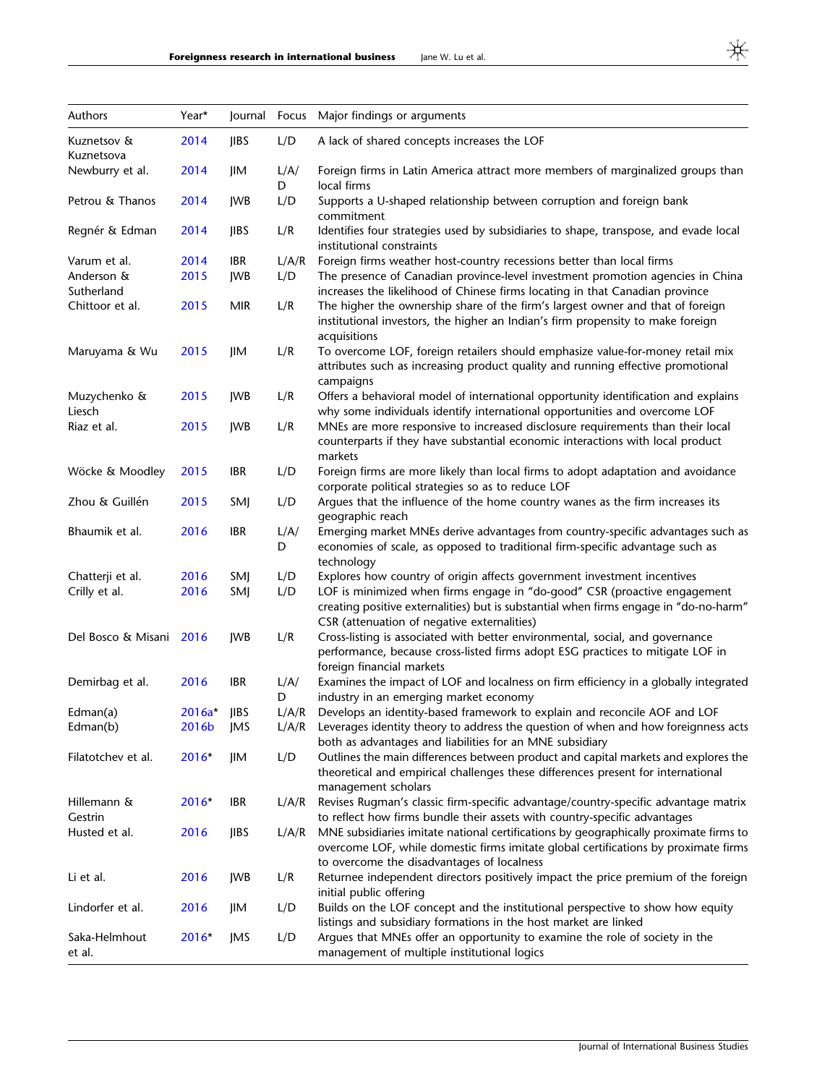| Authors                   | Year*   |             |           | Journal Focus Major findings or arguments                                                                                                                                                                                  |
|---------------------------|---------|-------------|-----------|----------------------------------------------------------------------------------------------------------------------------------------------------------------------------------------------------------------------------|
| Kuznetsov &<br>Kuznetsova | 2014    | <b>JIBS</b> | L/D       | A lack of shared concepts increases the LOF                                                                                                                                                                                |
| Newburry et al.           | 2014    | JIM         | L/A/<br>D | Foreign firms in Latin America attract more members of marginalized groups than<br>local firms                                                                                                                             |
| Petrou & Thanos           | 2014    | JWB         | L/D       | Supports a U-shaped relationship between corruption and foreign bank<br>commitment                                                                                                                                         |
| Regnér & Edman            | 2014    | <b>JIBS</b> | L/R       | Identifies four strategies used by subsidiaries to shape, transpose, and evade local<br>institutional constraints                                                                                                          |
| Varum et al.              | 2014    | <b>IBR</b>  | L/A/R     | Foreign firms weather host-country recessions better than local firms                                                                                                                                                      |
| Anderson &                | 2015    | JWB         | L/D       | The presence of Canadian province-level investment promotion agencies in China                                                                                                                                             |
| Sutherland                |         |             |           | increases the likelihood of Chinese firms locating in that Canadian province                                                                                                                                               |
| Chittoor et al.           | 2015    | <b>MIR</b>  | L/R       | The higher the ownership share of the firm's largest owner and that of foreign<br>institutional investors, the higher an Indian's firm propensity to make foreign<br>acquisitions                                          |
| Maruyama & Wu             | 2015    | JIМ         | L/R       | To overcome LOF, foreign retailers should emphasize value-for-money retail mix<br>attributes such as increasing product quality and running effective promotional<br>campaigns                                             |
| Muzychenko &<br>Liesch    | 2015    | JWB         | L/R       | Offers a behavioral model of international opportunity identification and explains<br>why some individuals identify international opportunities and overcome LOF                                                           |
| Riaz et al.               | 2015    | <b>JWB</b>  | L/R       | MNEs are more responsive to increased disclosure requirements than their local<br>counterparts if they have substantial economic interactions with local product<br>markets                                                |
| Wöcke & Moodley           | 2015    | <b>IBR</b>  | L/D       | Foreign firms are more likely than local firms to adopt adaptation and avoidance<br>corporate political strategies so as to reduce LOF                                                                                     |
| Zhou & Guillén            | 2015    | SMJ         | L/D       | Argues that the influence of the home country wanes as the firm increases its<br>geographic reach                                                                                                                          |
| Bhaumik et al.            | 2016    | IBR         | L/A/<br>D | Emerging market MNEs derive advantages from country-specific advantages such as<br>economies of scale, as opposed to traditional firm-specific advantage such as<br>technology                                             |
| Chatterji et al.          | 2016    | SMJ         | L/D       | Explores how country of origin affects government investment incentives                                                                                                                                                    |
| Crilly et al.             | 2016    | SMJ         | L/D       | LOF is minimized when firms engage in "do-good" CSR (proactive engagement<br>creating positive externalities) but is substantial when firms engage in "do-no-harm"<br>CSR (attenuation of negative externalities)          |
| Del Bosco & Misani        | 2016    | <b>JWB</b>  | L/R       | Cross-listing is associated with better environmental, social, and governance<br>performance, because cross-listed firms adopt ESG practices to mitigate LOF in<br>foreign financial markets                               |
| Demirbag et al.           | 2016    | IBR         | L/A/<br>D | Examines the impact of LOF and localness on firm efficiency in a globally integrated<br>industry in an emerging market economy                                                                                             |
| Edman(a)                  | 2016a   | JIBS        | L/A/R     | Develops an identity-based framework to explain and reconcile AOF and LOF                                                                                                                                                  |
| Edman(b)                  | 2016b   | <b>JMS</b>  | L/A/R     | Leverages identity theory to address the question of when and how foreignness acts<br>both as advantages and liabilities for an MNE subsidiary                                                                             |
| Filatotchev et al.        | $2016*$ | JIM         | L/D       | Outlines the main differences between product and capital markets and explores the<br>theoretical and empirical challenges these differences present for international<br>management scholars                              |
| Hillemann &<br>Gestrin    | $2016*$ | IBR         | L/A/R     | Revises Rugman's classic firm-specific advantage/country-specific advantage matrix<br>to reflect how firms bundle their assets with country-specific advantages                                                            |
| Husted et al.             | 2016    | JIBS        | L/A/R     | MNE subsidiaries imitate national certifications by geographically proximate firms to<br>overcome LOF, while domestic firms imitate global certifications by proximate firms<br>to overcome the disadvantages of localness |
| Li et al.                 | 2016    | JWB         | L/R       | Returnee independent directors positively impact the price premium of the foreign<br>initial public offering                                                                                                               |
| Lindorfer et al.          | 2016    | JIM         | L/D       | Builds on the LOF concept and the institutional perspective to show how equity<br>listings and subsidiary formations in the host market are linked                                                                         |
| Saka-Helmhout<br>et al.   | $2016*$ | JMS         | L/D       | Argues that MNEs offer an opportunity to examine the role of society in the<br>management of multiple institutional logics                                                                                                 |

米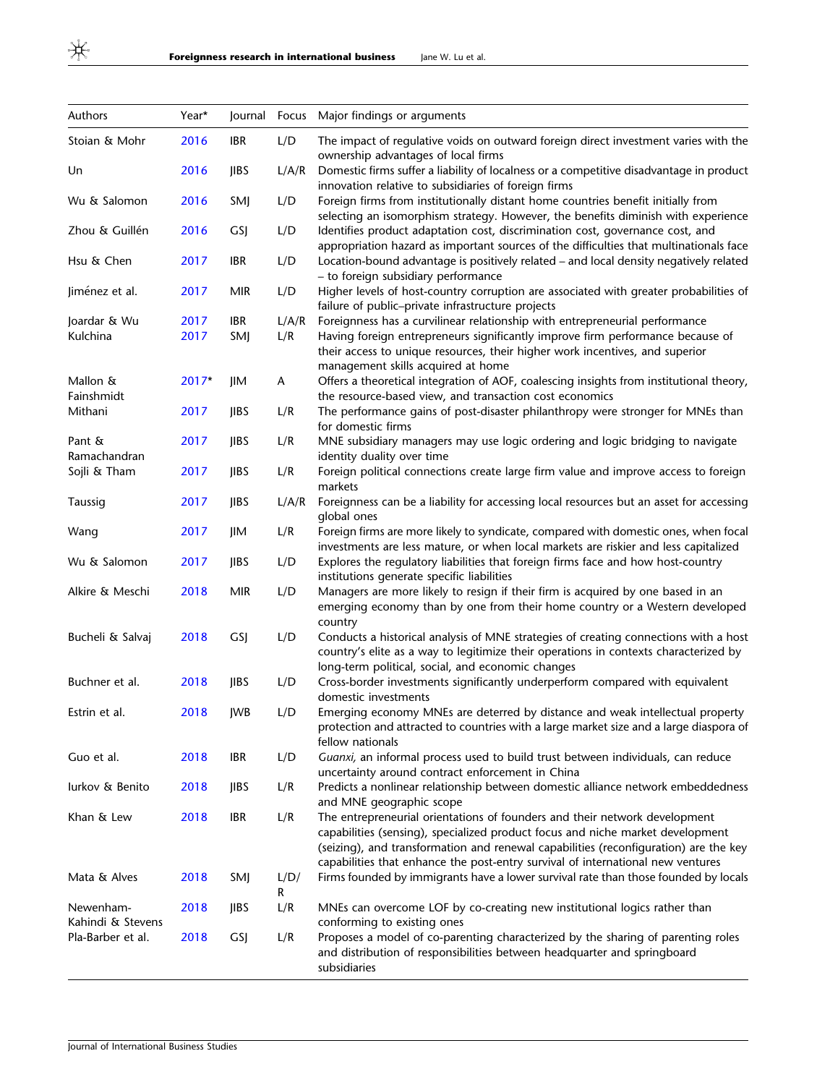| Authors                        | Year*   |             |           | Journal Focus Major findings or arguments                                                                                                                                                                                                                                                                                               |
|--------------------------------|---------|-------------|-----------|-----------------------------------------------------------------------------------------------------------------------------------------------------------------------------------------------------------------------------------------------------------------------------------------------------------------------------------------|
| Stoian & Mohr                  | 2016    | <b>IBR</b>  | L/D       | The impact of regulative voids on outward foreign direct investment varies with the<br>ownership advantages of local firms                                                                                                                                                                                                              |
| Un                             | 2016    | <b>JIBS</b> | L/A/R     | Domestic firms suffer a liability of localness or a competitive disadvantage in product<br>innovation relative to subsidiaries of foreign firms                                                                                                                                                                                         |
| Wu & Salomon                   | 2016    | SMJ         | L/D       | Foreign firms from institutionally distant home countries benefit initially from<br>selecting an isomorphism strategy. However, the benefits diminish with experience                                                                                                                                                                   |
| Zhou & Guillén                 | 2016    | <b>GSI</b>  | L/D       | Identifies product adaptation cost, discrimination cost, governance cost, and<br>appropriation hazard as important sources of the difficulties that multinationals face                                                                                                                                                                 |
| Hsu & Chen                     | 2017    | IBR         | L/D       | Location-bound advantage is positively related - and local density negatively related<br>- to foreign subsidiary performance                                                                                                                                                                                                            |
| Jiménez et al.                 | 2017    | <b>MIR</b>  | L/D       | Higher levels of host-country corruption are associated with greater probabilities of<br>failure of public-private infrastructure projects                                                                                                                                                                                              |
| Joardar & Wu                   | 2017    | IBR         | L/A/R     | Foreignness has a curvilinear relationship with entrepreneurial performance                                                                                                                                                                                                                                                             |
| Kulchina                       | 2017    | <b>SMJ</b>  | L/R       | Having foreign entrepreneurs significantly improve firm performance because of<br>their access to unique resources, their higher work incentives, and superior<br>management skills acquired at home                                                                                                                                    |
| Mallon &<br>Fainshmidt         | $2017*$ | JIМ         | A         | Offers a theoretical integration of AOF, coalescing insights from institutional theory,<br>the resource-based view, and transaction cost economics                                                                                                                                                                                      |
| Mithani                        | 2017    | <b>JIBS</b> | L/R       | The performance gains of post-disaster philanthropy were stronger for MNEs than<br>for domestic firms                                                                                                                                                                                                                                   |
| Pant &<br>Ramachandran         | 2017    | <b>JIBS</b> | L/R       | MNE subsidiary managers may use logic ordering and logic bridging to navigate<br>identity duality over time                                                                                                                                                                                                                             |
| Sojli & Tham                   | 2017    | <b>JIBS</b> | L/R       | Foreign political connections create large firm value and improve access to foreign<br>markets                                                                                                                                                                                                                                          |
| Taussig                        | 2017    | <b>JIBS</b> | L/A/R     | Foreignness can be a liability for accessing local resources but an asset for accessing<br>global ones                                                                                                                                                                                                                                  |
| Wang                           | 2017    | JIМ         | L/R       | Foreign firms are more likely to syndicate, compared with domestic ones, when focal<br>investments are less mature, or when local markets are riskier and less capitalized                                                                                                                                                              |
| Wu & Salomon                   | 2017    | <b>JIBS</b> | L/D       | Explores the regulatory liabilities that foreign firms face and how host-country<br>institutions generate specific liabilities                                                                                                                                                                                                          |
| Alkire & Meschi                | 2018    | <b>MIR</b>  | L/D       | Managers are more likely to resign if their firm is acquired by one based in an<br>emerging economy than by one from their home country or a Western developed<br>country                                                                                                                                                               |
| Bucheli & Salvaj               | 2018    | GSJ         | L/D       | Conducts a historical analysis of MNE strategies of creating connections with a host<br>country's elite as a way to legitimize their operations in contexts characterized by<br>long-term political, social, and economic changes                                                                                                       |
| Buchner et al.                 | 2018    | <b>JIBS</b> | L/D       | Cross-border investments significantly underperform compared with equivalent<br>domestic investments                                                                                                                                                                                                                                    |
| Estrin et al.                  | 2018    | <b>JWB</b>  | L/D       | Emerging economy MNEs are deterred by distance and weak intellectual property<br>protection and attracted to countries with a large market size and a large diaspora of<br>fellow nationals                                                                                                                                             |
| Guo et al.                     | 2018    | IBR         | L/D       | Guanxi, an informal process used to build trust between individuals, can reduce<br>uncertainty around contract enforcement in China                                                                                                                                                                                                     |
| lurkov & Benito                | 2018    | JIBS        | L/R       | Predicts a nonlinear relationship between domestic alliance network embeddedness<br>and MNE geographic scope                                                                                                                                                                                                                            |
| Khan & Lew                     | 2018    | IBR         | L/R       | The entrepreneurial orientations of founders and their network development<br>capabilities (sensing), specialized product focus and niche market development<br>(seizing), and transformation and renewal capabilities (reconfiguration) are the key<br>capabilities that enhance the post-entry survival of international new ventures |
| Mata & Alves                   | 2018    | <b>SMJ</b>  | L/D/<br>R | Firms founded by immigrants have a lower survival rate than those founded by locals                                                                                                                                                                                                                                                     |
| Newenham-<br>Kahindi & Stevens | 2018    | JIBS        | L/R       | MNEs can overcome LOF by co-creating new institutional logics rather than<br>conforming to existing ones                                                                                                                                                                                                                                |
| Pla-Barber et al.              | 2018    | GSJ         | L/R       | Proposes a model of co-parenting characterized by the sharing of parenting roles<br>and distribution of responsibilities between headquarter and springboard<br>subsidiaries                                                                                                                                                            |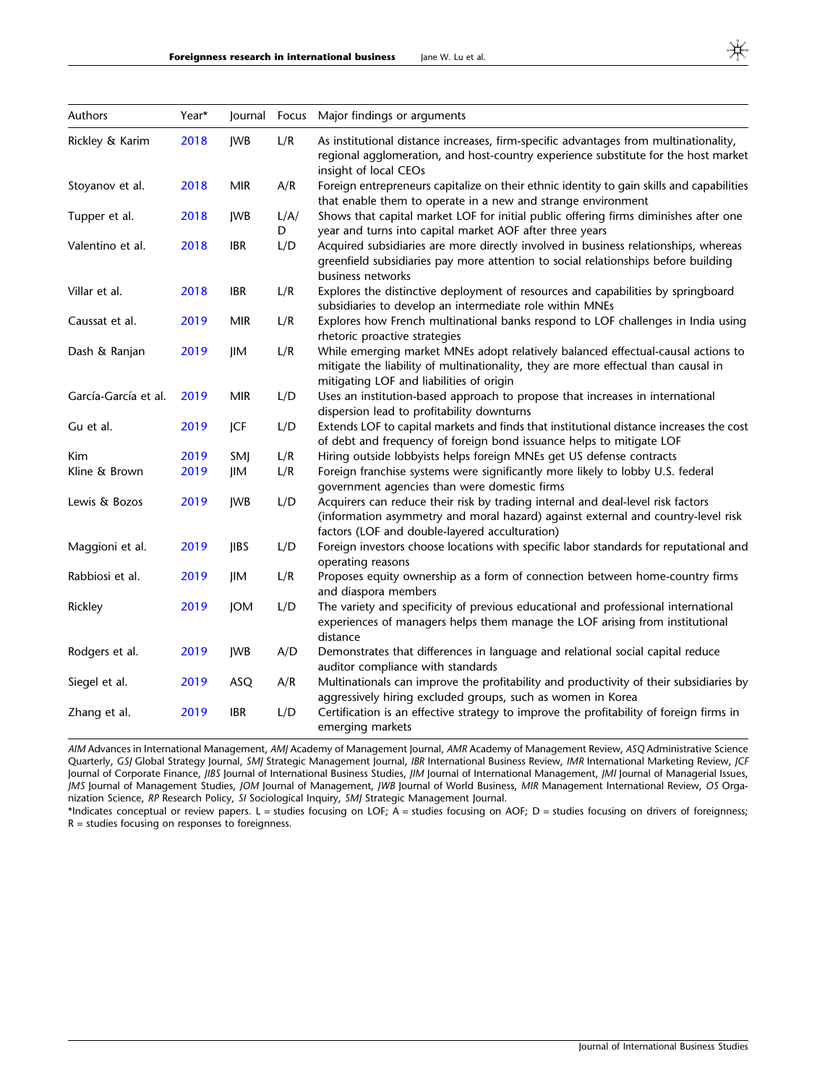| Authors              | Year* | Journal     |           | Focus Major findings or arguments                                                                                                                                                                                     |
|----------------------|-------|-------------|-----------|-----------------------------------------------------------------------------------------------------------------------------------------------------------------------------------------------------------------------|
| Rickley & Karim      | 2018  | <b>JWB</b>  | L/R       | As institutional distance increases, firm-specific advantages from multinationality,<br>regional agglomeration, and host-country experience substitute for the host market<br>insight of local CEOs                   |
| Stoyanov et al.      | 2018  | <b>MIR</b>  | A/R       | Foreign entrepreneurs capitalize on their ethnic identity to gain skills and capabilities<br>that enable them to operate in a new and strange environment                                                             |
| Tupper et al.        | 2018  | <b>JWB</b>  | L/A/<br>D | Shows that capital market LOF for initial public offering firms diminishes after one<br>year and turns into capital market AOF after three years                                                                      |
| Valentino et al.     | 2018  | <b>IBR</b>  | L/D       | Acquired subsidiaries are more directly involved in business relationships, whereas<br>greenfield subsidiaries pay more attention to social relationships before building<br>business networks                        |
| Villar et al.        | 2018  | <b>IBR</b>  | L/R       | Explores the distinctive deployment of resources and capabilities by springboard<br>subsidiaries to develop an intermediate role within MNEs                                                                          |
| Caussat et al.       | 2019  | <b>MIR</b>  | L/R       | Explores how French multinational banks respond to LOF challenges in India using<br>rhetoric proactive strategies                                                                                                     |
| Dash & Ranjan        | 2019  | JIM         | L/R       | While emerging market MNEs adopt relatively balanced effectual-causal actions to<br>mitigate the liability of multinationality, they are more effectual than causal in<br>mitigating LOF and liabilities of origin    |
| García-García et al. | 2019  | <b>MIR</b>  | L/D       | Uses an institution-based approach to propose that increases in international<br>dispersion lead to profitability downturns                                                                                           |
| Gu et al.            | 2019  | <b>JCF</b>  | L/D       | Extends LOF to capital markets and finds that institutional distance increases the cost<br>of debt and frequency of foreign bond issuance helps to mitigate LOF                                                       |
| Kim                  | 2019  | <b>SMI</b>  | L/R       | Hiring outside lobbyists helps foreign MNEs get US defense contracts                                                                                                                                                  |
| Kline & Brown        | 2019  | JIM         | L/R       | Foreign franchise systems were significantly more likely to lobby U.S. federal<br>government agencies than were domestic firms                                                                                        |
| Lewis & Bozos        | 2019  | <b>JWB</b>  | L/D       | Acquirers can reduce their risk by trading internal and deal-level risk factors<br>(information asymmetry and moral hazard) against external and country-level risk<br>factors (LOF and double-layered acculturation) |
| Maggioni et al.      | 2019  | <b>JIBS</b> | L/D       | Foreign investors choose locations with specific labor standards for reputational and<br>operating reasons                                                                                                            |
| Rabbiosi et al.      | 2019  | JIM         | L/R       | Proposes equity ownership as a form of connection between home-country firms<br>and diaspora members                                                                                                                  |
| Rickley              | 2019  | JOM         | L/D       | The variety and specificity of previous educational and professional international<br>experiences of managers helps them manage the LOF arising from institutional<br>distance                                        |
| Rodgers et al.       | 2019  | <b>JWB</b>  | A/D       | Demonstrates that differences in language and relational social capital reduce<br>auditor compliance with standards                                                                                                   |
| Siegel et al.        | 2019  | ASQ         | A/R       | Multinationals can improve the profitability and productivity of their subsidiaries by<br>aggressively hiring excluded groups, such as women in Korea                                                                 |
| Zhang et al.         | 2019  | <b>IBR</b>  | L/D       | Certification is an effective strategy to improve the profitability of foreign firms in<br>emerging markets                                                                                                           |

AIM Advances in International Management, AMJ Academy of Management Journal, AMR Academy of Management Review, ASQ Administrative Science Quarterly, GSJ Global Strategy Journal, SMJ Strategic Management Journal, IBR International Business Review, IMR International Marketing Review, JCF Journal of Corporate Finance, JIBS Journal of International Business Studies, JIM Journal of International Management, JMI Journal of Managerial Issues, JMS Journal of Management Studies, JOM Journal of Management, JWB Journal of World Business, MIR Management International Review, OS Organization Science, RP Research Policy, SI Sociological Inquiry, SMJ Strategic Management Journal.

\*Indicates conceptual or review papers. L = studies focusing on LOF; A = studies focusing on AOF; D = studies focusing on drivers of foreignness; R = studies focusing on responses to foreignness.

米